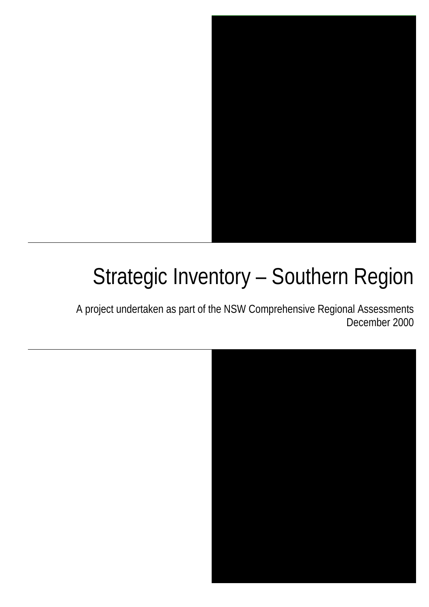

### Strategic Inventory – Southern Region

A project undertaken as part of the NSW Comprehensive Regional Assessments December 2000

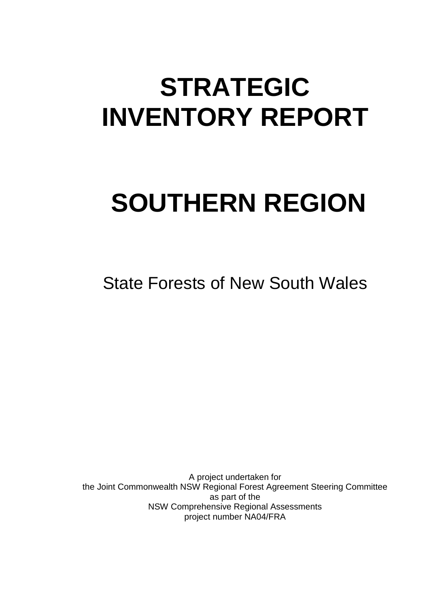## **STRATEGIC INVENTORY REPORT**

# **SOUTHERN REGION**

State Forests of New South Wales

A project undertaken for the Joint Commonwealth NSW Regional Forest Agreement Steering Committee as part of the NSW Comprehensive Regional Assessments project number NA04/FRA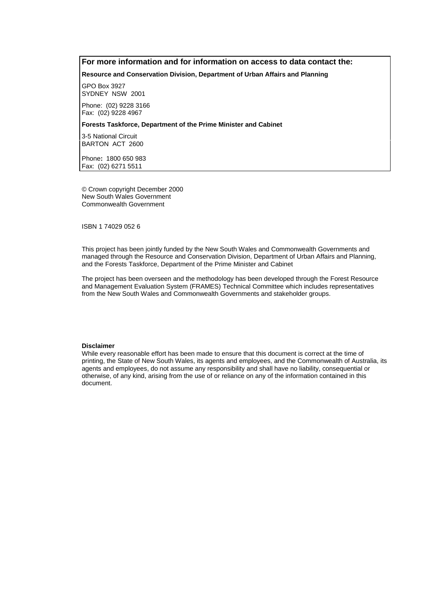#### **For more information and for information on access to data contact the:**

**Resource and Conservation Division, Department of Urban Affairs and Planning**

GPO Box 3927 SYDNEY NSW 2001

Phone: (02) 9228 3166 Fax: (02) 9228 4967

#### **Forests Taskforce, Department of the Prime Minister and Cabinet**

3-5 National Circuit BARTON ACT 2600

Phone**:** 1800 650 983 Fax: (02) 6271 5511

© Crown copyright December 2000 New South Wales Government Commonwealth Government

ISBN 1 74029 052 6

This project has been jointly funded by the New South Wales and Commonwealth Governments and managed through the Resource and Conservation Division, Department of Urban Affairs and Planning, and the Forests Taskforce, Department of the Prime Minister and Cabinet

The project has been overseen and the methodology has been developed through the Forest Resource and Management Evaluation System (FRAMES) Technical Committee which includes representatives from the New South Wales and Commonwealth Governments and stakeholder groups.

#### **Disclaimer**

While every reasonable effort has been made to ensure that this document is correct at the time of printing, the State of New South Wales, its agents and employees, and the Commonwealth of Australia, its agents and employees, do not assume any responsibility and shall have no liability, consequential or otherwise, of any kind, arising from the use of or reliance on any of the information contained in this document.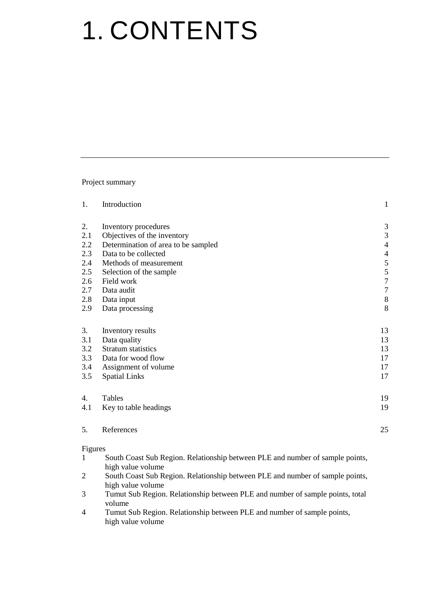# 1. CONTENTS

Project summary

| 2.      | Inventory procedures                | 3                        |
|---------|-------------------------------------|--------------------------|
| 2.1     | Objectives of the inventory         | 3                        |
| 2.2     | Determination of area to be sampled | $\overline{\mathcal{L}}$ |
| 2.3     | Data to be collected                | 4                        |
| 2.4     | Methods of measurement              | 5                        |
| 2.5     | Selection of the sample             | 5                        |
| 2.6     | Field work                          | $\overline{7}$           |
| 2.7     | Data audit                          | $\boldsymbol{7}$         |
| 2.8     | Data input                          | $\,8\,$                  |
| 2.9     | Data processing                     | 8                        |
| 3.      | Inventory results                   | 13                       |
| 3.1     | Data quality                        | 13                       |
| 3.2     | <b>Stratum statistics</b>           | 13                       |
| 3.3     | Data for wood flow                  | 17                       |
| 3.4     | Assignment of volume                | 17                       |
| 3.5     | <b>Spatial Links</b>                | 17                       |
| 4.      | Tables                              | 19                       |
| 4.1     | Key to table headings               | 19                       |
| 5.      | References                          | 25                       |
| Figures |                                     |                          |

1. Introduction 1

- 1 South Coast Sub Region. Relationship between PLE and number of sample points, high value volume
- 2 South Coast Sub Region. Relationship between PLE and number of sample points, high value volume
- 3 Tumut Sub Region. Relationship between PLE and number of sample points, total volume
- 4 Tumut Sub Region. Relationship between PLE and number of sample points, high value volume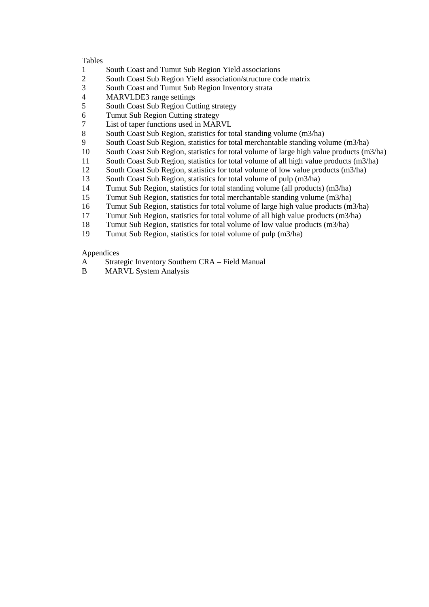#### Tables

- 1 South Coast and Tumut Sub Region Yield associations
- 2 South Coast Sub Region Yield association/structure code matrix
- 3 South Coast and Tumut Sub Region Inventory strata
- 4 MARVLDE3 range settings
- 5 South Coast Sub Region Cutting strategy
- 6 Tumut Sub Region Cutting strategy
- 7 List of taper functions used in MARVL
- 8 South Coast Sub Region, statistics for total standing volume (m3/ha)
- 9 South Coast Sub Region, statistics for total merchantable standing volume (m3/ha)
- 10 South Coast Sub Region, statistics for total volume of large high value products (m3/ha)
- 11 South Coast Sub Region, statistics for total volume of all high value products (m3/ha)
- 12 South Coast Sub Region, statistics for total volume of low value products (m3/ha)
- 13 South Coast Sub Region, statistics for total volume of pulp (m3/ha)
- 14 Tumut Sub Region, statistics for total standing volume (all products) (m3/ha)
- 15 Tumut Sub Region, statistics for total merchantable standing volume (m3/ha)
- 16 Tumut Sub Region, statistics for total volume of large high value products (m3/ha)
- 17 Tumut Sub Region, statistics for total volume of all high value products (m3/ha)
- 18 Tumut Sub Region, statistics for total volume of low value products (m3/ha)
- 19 Tumut Sub Region, statistics for total volume of pulp (m3/ha)

#### Appendices

- A Strategic Inventory Southern CRA Field Manual
- B MARVL System Analysis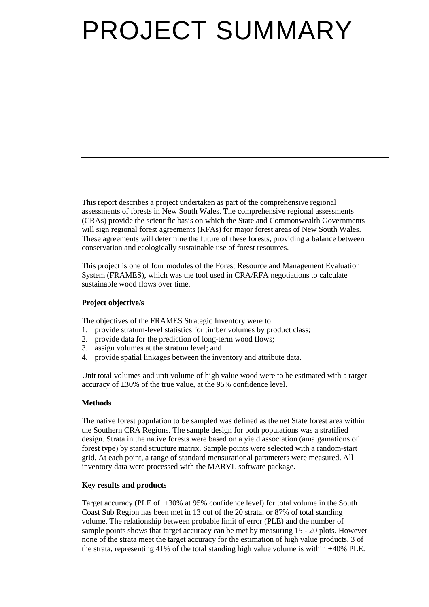# PROJECT SUMMARY

This report describes a project undertaken as part of the comprehensive regional assessments of forests in New South Wales. The comprehensive regional assessments (CRAs) provide the scientific basis on which the State and Commonwealth Governments will sign regional forest agreements (RFAs) for major forest areas of New South Wales. These agreements will determine the future of these forests, providing a balance between conservation and ecologically sustainable use of forest resources.

This project is one of four modules of the Forest Resource and Management Evaluation System (FRAMES), which was the tool used in CRA/RFA negotiations to calculate sustainable wood flows over time.

#### **Project objective/s**

The objectives of the FRAMES Strategic Inventory were to:

- 1. provide stratum-level statistics for timber volumes by product class;
- 2. provide data for the prediction of long-term wood flows;
- 3. assign volumes at the stratum level; and
- 4. provide spatial linkages between the inventory and attribute data.

Unit total volumes and unit volume of high value wood were to be estimated with a target accuracy of  $\pm 30\%$  of the true value, at the 95% confidence level.

#### **Methods**

The native forest population to be sampled was defined as the net State forest area within the Southern CRA Regions. The sample design for both populations was a stratified design. Strata in the native forests were based on a yield association (amalgamations of forest type) by stand structure matrix. Sample points were selected with a random-start grid. At each point, a range of standard mensurational parameters were measured. All inventory data were processed with the MARVL software package.

#### **Key results and products**

Target accuracy (PLE of +30% at 95% confidence level) for total volume in the South Coast Sub Region has been met in 13 out of the 20 strata, or 87% of total standing volume. The relationship between probable limit of error (PLE) and the number of sample points shows that target accuracy can be met by measuring 15 - 20 plots. However none of the strata meet the target accuracy for the estimation of high value products. 3 of the strata, representing 41% of the total standing high value volume is within +40% PLE.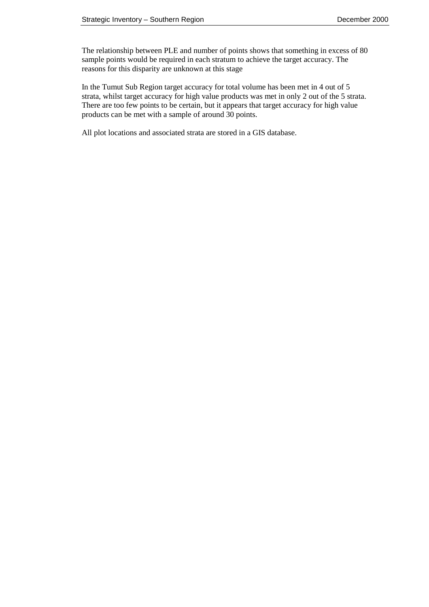The relationship between PLE and number of points shows that something in excess of 80 sample points would be required in each stratum to achieve the target accuracy. The reasons for this disparity are unknown at this stage

In the Tumut Sub Region target accuracy for total volume has been met in 4 out of 5 strata, whilst target accuracy for high value products was met in only 2 out of the 5 strata. There are too few points to be certain, but it appears that target accuracy for high value products can be met with a sample of around 30 points.

All plot locations and associated strata are stored in a GIS database.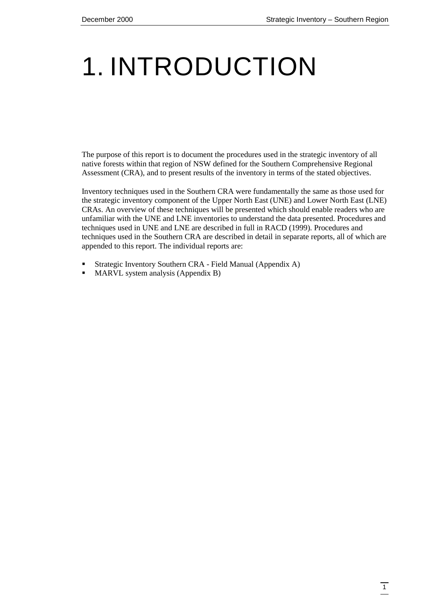# 1. INTRODUCTION

The purpose of this report is to document the procedures used in the strategic inventory of all native forests within that region of NSW defined for the Southern Comprehensive Regional Assessment (CRA), and to present results of the inventory in terms of the stated objectives.

Inventory techniques used in the Southern CRA were fundamentally the same as those used for the strategic inventory component of the Upper North East (UNE) and Lower North East (LNE) CRAs. An overview of these techniques will be presented which should enable readers who are unfamiliar with the UNE and LNE inventories to understand the data presented. Procedures and techniques used in UNE and LNE are described in full in RACD (1999). Procedures and techniques used in the Southern CRA are described in detail in separate reports, all of which are appended to this report. The individual reports are:

- ! Strategic Inventory Southern CRA Field Manual (Appendix A)
- ! MARVL system analysis (Appendix B)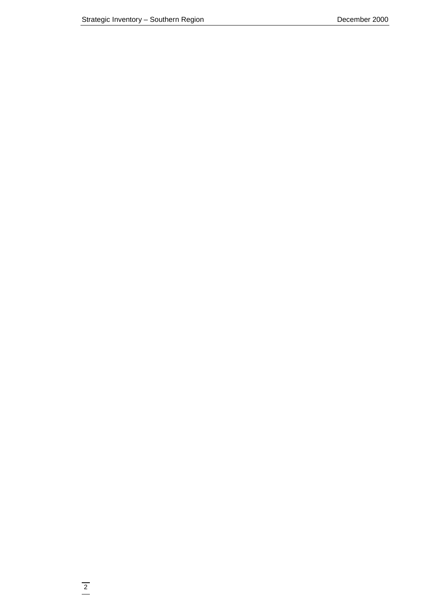### $\frac{2}{\sqrt{2}}$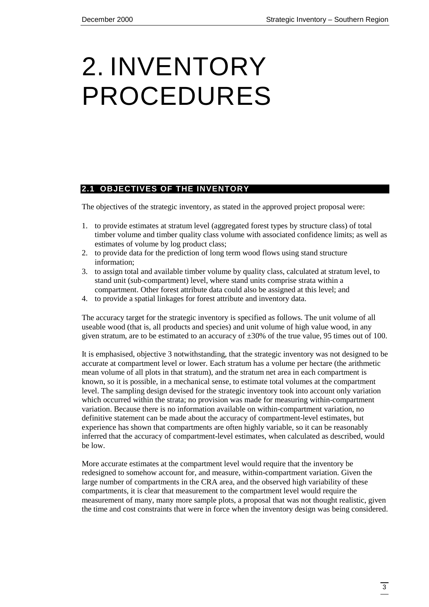## 2. INVENTORY PROCEDURES

#### **2.1 OBJECTIVES OF THE INVENTORY**

The objectives of the strategic inventory, as stated in the approved project proposal were:

- 1. to provide estimates at stratum level (aggregated forest types by structure class) of total timber volume and timber quality class volume with associated confidence limits; as well as estimates of volume by log product class;
- 2. to provide data for the prediction of long term wood flows using stand structure information;
- 3. to assign total and available timber volume by quality class, calculated at stratum level, to stand unit (sub-compartment) level, where stand units comprise strata within a compartment. Other forest attribute data could also be assigned at this level; and
- 4. to provide a spatial linkages for forest attribute and inventory data.

The accuracy target for the strategic inventory is specified as follows. The unit volume of all useable wood (that is, all products and species) and unit volume of high value wood, in any given stratum, are to be estimated to an accuracy of  $\pm 30\%$  of the true value, 95 times out of 100.

It is emphasised, objective 3 notwithstanding, that the strategic inventory was not designed to be accurate at compartment level or lower. Each stratum has a volume per hectare (the arithmetic mean volume of all plots in that stratum), and the stratum net area in each compartment is known, so it is possible, in a mechanical sense, to estimate total volumes at the compartment level. The sampling design devised for the strategic inventory took into account only variation which occurred within the strata; no provision was made for measuring within-compartment variation. Because there is no information available on within-compartment variation, no definitive statement can be made about the accuracy of compartment-level estimates, but experience has shown that compartments are often highly variable, so it can be reasonably inferred that the accuracy of compartment-level estimates, when calculated as described, would be low.

More accurate estimates at the compartment level would require that the inventory be redesigned to somehow account for, and measure, within-compartment variation. Given the large number of compartments in the CRA area, and the observed high variability of these compartments, it is clear that measurement to the compartment level would require the measurement of many, many more sample plots, a proposal that was not thought realistic, given the time and cost constraints that were in force when the inventory design was being considered.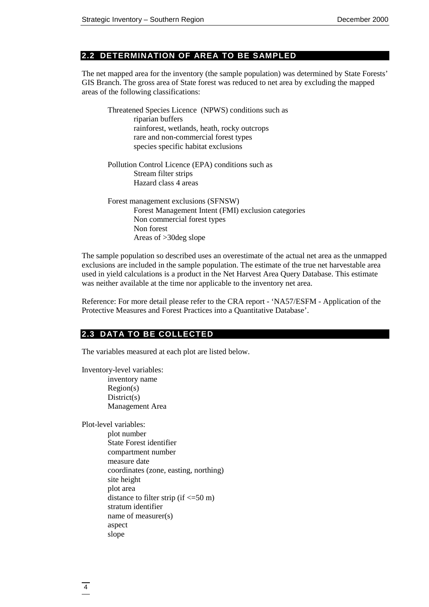#### **2.2 DETERMINATION OF AREA TO BE SAMPLED**

The net mapped area for the inventory (the sample population) was determined by State Forests' GIS Branch. The gross area of State forest was reduced to net area by excluding the mapped areas of the following classifications:

|            | Threatened Species Licence (NPWS) conditions such as |
|------------|------------------------------------------------------|
|            | riparian buffers                                     |
|            | rainforest, wetlands, heath, rocky outcrops          |
|            | rare and non-commercial forest types                 |
|            | species specific habitat exclusions                  |
|            | Pollution Control Licence (EPA) conditions such as   |
|            | Stream filter strips                                 |
|            | Hazard class 4 areas                                 |
|            | Forest management exclusions (SFNSW)                 |
|            | Forest Management Intent (FMI) exclusion categories  |
|            | Non commercial forest types                          |
| Non forest |                                                      |
|            | Areas of >30deg slope                                |
|            |                                                      |

The sample population so described uses an overestimate of the actual net area as the unmapped exclusions are included in the sample population. The estimate of the true net harvestable area used in yield calculations is a product in the Net Harvest Area Query Database. This estimate was neither available at the time nor applicable to the inventory net area.

Reference: For more detail please refer to the CRA report - 'NA57/ESFM - Application of the Protective Measures and Forest Practices into a Quantitative Database'.

#### **2.3 DATA TO BE COLLECTED**

The variables measured at each plot are listed below.

Inventory-level variables: inventory name Region(s) District(s) Management Area

Plot-level variables:

plot number State Forest identifier compartment number measure date coordinates (zone, easting, northing) site height plot area distance to filter strip (if <=50 m) stratum identifier name of measurer(s) aspect slope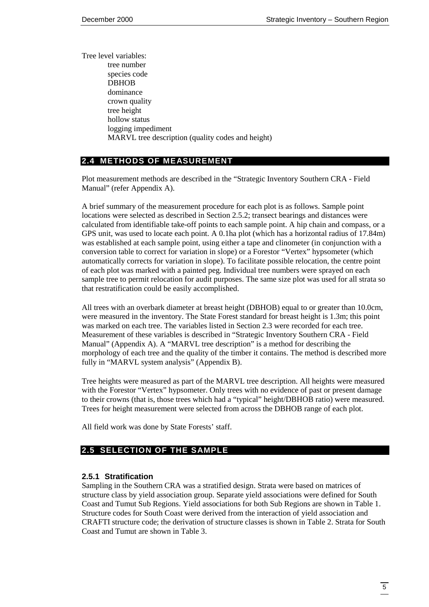Tree level variables: tree number species code DBHOB dominance crown quality tree height hollow status logging impediment MARVL tree description (quality codes and height)

#### **2.4 METHODS OF MEASUREMENT**

Plot measurement methods are described in the "Strategic Inventory Southern CRA - Field Manual" (refer Appendix A).

A brief summary of the measurement procedure for each plot is as follows. Sample point locations were selected as described in Section 2.5.2; transect bearings and distances were calculated from identifiable take-off points to each sample point. A hip chain and compass, or a GPS unit, was used to locate each point. A 0.1ha plot (which has a horizontal radius of 17.84m) was established at each sample point, using either a tape and clinometer (in conjunction with a conversion table to correct for variation in slope) or a Forestor "Vertex" hypsometer (which automatically corrects for variation in slope). To facilitate possible relocation, the centre point of each plot was marked with a painted peg. Individual tree numbers were sprayed on each sample tree to permit relocation for audit purposes. The same size plot was used for all strata so that restratification could be easily accomplished.

All trees with an overbark diameter at breast height (DBHOB) equal to or greater than 10.0cm, were measured in the inventory. The State Forest standard for breast height is 1.3m; this point was marked on each tree. The variables listed in Section 2.3 were recorded for each tree. Measurement of these variables is described in "Strategic Inventory Southern CRA - Field Manual" (Appendix A). A "MARVL tree description" is a method for describing the morphology of each tree and the quality of the timber it contains. The method is described more fully in "MARVL system analysis" (Appendix B).

Tree heights were measured as part of the MARVL tree description. All heights were measured with the Forestor "Vertex" hypsometer. Only trees with no evidence of past or present damage to their crowns (that is, those trees which had a "typical" height/DBHOB ratio) were measured. Trees for height measurement were selected from across the DBHOB range of each plot.

All field work was done by State Forests' staff.

#### **2.5 SELECTION OF THE SAMPLE**

#### **2.5.1 Stratification**

Sampling in the Southern CRA was a stratified design. Strata were based on matrices of structure class by yield association group. Separate yield associations were defined for South Coast and Tumut Sub Regions. Yield associations for both Sub Regions are shown in Table 1. Structure codes for South Coast were derived from the interaction of yield association and CRAFTI structure code; the derivation of structure classes is shown in Table 2. Strata for South Coast and Tumut are shown in Table 3.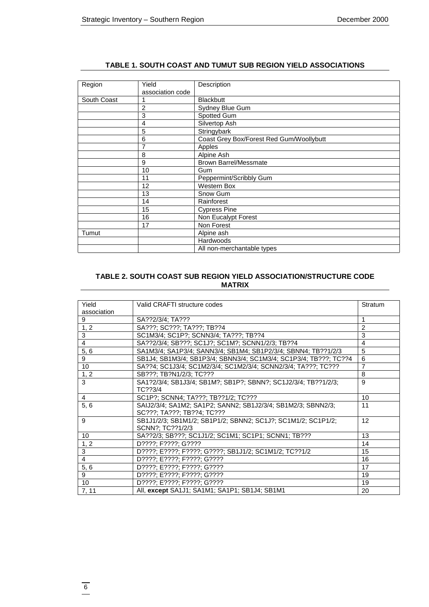| Region      | Yield             | Description                              |
|-------------|-------------------|------------------------------------------|
|             | association code  |                                          |
| South Coast |                   | <b>Blackbutt</b>                         |
|             | $\overline{2}$    | Sydney Blue Gum                          |
|             | 3                 | Spotted Gum                              |
|             | 4                 | Silvertop Ash                            |
|             | 5                 | Stringybark                              |
|             | 6                 | Coast Grey Box/Forest Red Gum/Woollybutt |
|             | 7                 | Apples                                   |
|             | 8                 | Alpine Ash                               |
|             | 9                 | <b>Brown Barrel/Messmate</b>             |
|             | 10                | Gum                                      |
|             | 11                | Peppermint/Scribbly Gum                  |
|             | $12 \overline{ }$ | <b>Western Box</b>                       |
|             | 13                | Snow Gum                                 |
|             | 14                | Rainforest                               |
|             | 15                | <b>Cypress Pine</b>                      |
|             | 16                | Non Eucalypt Forest                      |
|             | 17                | Non Forest                               |
| Tumut       |                   | Alpine ash                               |
|             |                   | Hardwoods                                |
|             |                   | All non-merchantable types               |

#### **TABLE 1. SOUTH COAST AND TUMUT SUB REGION YIELD ASSOCIATIONS**

#### **TABLE 2. SOUTH COAST SUB REGION YIELD ASSOCIATION/STRUCTURE CODE MATRIX**

| Yield                   | Valid CRAFTI structure codes                                     | Stratum |
|-------------------------|------------------------------------------------------------------|---------|
| association             |                                                                  |         |
| 9                       | SA??2/3/4; TA???                                                 | 1       |
| 1, 2                    | SA???: SC???: TA???: TB??4                                       | 2       |
| 3                       | SC1M3/4; SC1P?; SCNN3/4; TA???; TB??4                            | 3       |
| $\overline{4}$          | SA??2/3/4; SB???; SC1J?; SC1M?; SCNN1/2/3; TB??4                 | 4       |
| 5, 6                    | SA1M3/4; SA1P3/4; SANN3/4; SB1M4; SB1P2/3/4; SBNN4; TB??1/2/3    | 5       |
| 9                       | SB1J4; SB1M3/4; SB1P3/4; SBNN3/4; SC1M3/4; SC1P3/4; TB???; TC??4 | 6       |
| 10                      | SA??4; SC1J3/4; SC1M2/3/4; SC1M2/3/4; SCNN2/3/4; TA???; TC???    | 7       |
| 1, 2                    | SB???; TB?N1/2/3; TC???                                          | 8       |
| 3                       | SA1?2/3/4; SB1J3/4; SB1M?; SB1P?; SBNN?; SC1J2/3/4; TB??1/2/3;   | 9       |
|                         | TC??3/4                                                          |         |
| $\overline{4}$          | SC1P?; SCNN4; TA???; TB??1/2; TC???                              | 10      |
| 5, 6                    | SAIJ2/3/4; SA1M2; SA1P2; SANN2; SB1J2/3/4; SB1M2/3; SBNN2/3;     | 11      |
|                         | SC???: TA???: TB??4: TC???                                       |         |
| 9                       | SB1J1/2/3; SB1M1/2; SB1P1/2; SBNN2; SC1J?; SC1M1/2; SC1P1/2;     | 12      |
|                         | SCNN?; TC??1/2/3                                                 |         |
| 10                      | SA??2/3; SB???; SC1J1/2; SC1M1; SC1P1; SCNN1; TB???              | 13      |
| 1, 2                    | D????; F????; G????                                              | 14      |
| 3                       | D????; E????; F????; G????; SB1J1/2; SC1M1/2; TC??1/2            | 15      |
| $\overline{\mathbf{4}}$ | D????; E????; F????; G????                                       | 16      |
| 5, 6                    | D????: E????: F????: G????                                       | 17      |
| 9                       | D????: E????: F????: G????                                       | 19      |
| 10                      | D????; E????; F????; G????                                       | 19      |
| 7, 11                   | All, except SA1J1; SA1M1; SA1P1; SB1J4; SB1M1                    | 20      |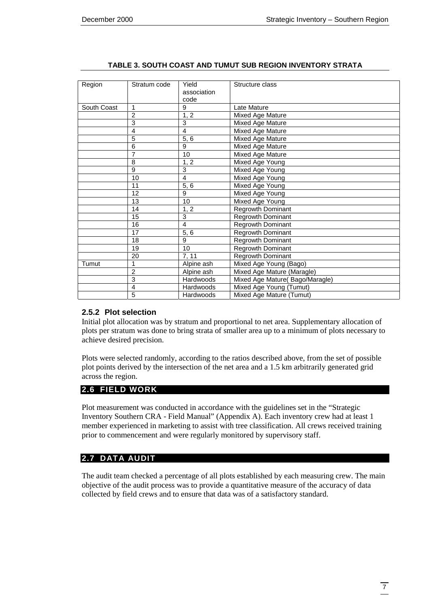| Region      | Stratum code<br>Yield |                | Structure class                |  |  |
|-------------|-----------------------|----------------|--------------------------------|--|--|
|             |                       | association    |                                |  |  |
|             |                       | code           |                                |  |  |
| South Coast | 1                     | 9              | Late Mature                    |  |  |
|             | 2                     | 1, 2           | Mixed Age Mature               |  |  |
|             | 3                     | 3              | Mixed Age Mature               |  |  |
|             | 4                     | $\overline{4}$ | Mixed Age Mature               |  |  |
|             | 5                     | 5,6            | Mixed Age Mature               |  |  |
|             | 6                     | 9              | Mixed Age Mature               |  |  |
|             | 7                     | 10             | Mixed Age Mature               |  |  |
|             | 8                     | 1, 2           | Mixed Age Young                |  |  |
|             | 9                     | 3              | Mixed Age Young                |  |  |
|             | 10                    | $\overline{4}$ | Mixed Age Young                |  |  |
|             | 11                    | 5, 6           | Mixed Age Young                |  |  |
|             | 12                    | 9              | Mixed Age Young                |  |  |
|             | 13                    | 10             | Mixed Age Young                |  |  |
|             | 14                    | 1, 2           | Regrowth Dominant              |  |  |
|             | 15                    | 3              | Regrowth Dominant              |  |  |
|             | 16                    | $\overline{4}$ | <b>Regrowth Dominant</b>       |  |  |
|             | 17                    | 5,6            | Regrowth Dominant              |  |  |
|             | 18                    | 9              | Regrowth Dominant              |  |  |
|             | 19                    | 10             | Regrowth Dominant              |  |  |
|             | 20                    | 7, 11          | <b>Regrowth Dominant</b>       |  |  |
| Tumut       | 1                     | Alpine ash     | Mixed Age Young (Bago)         |  |  |
|             | 2                     | Alpine ash     | Mixed Age Mature (Maragle)     |  |  |
|             | 3                     | Hardwoods      | Mixed Age Mature(Bago/Maragle) |  |  |
|             | 4                     | Hardwoods      | Mixed Age Young (Tumut)        |  |  |
|             | 5                     | Hardwoods      | Mixed Age Mature (Tumut)       |  |  |

#### **2.5.2 Plot selection**

Initial plot allocation was by stratum and proportional to net area. Supplementary allocation of plots per stratum was done to bring strata of smaller area up to a minimum of plots necessary to achieve desired precision.

Plots were selected randomly, according to the ratios described above, from the set of possible plot points derived by the intersection of the net area and a 1.5 km arbitrarily generated grid across the region.

#### **2.6 FIELD WORK**

Plot measurement was conducted in accordance with the guidelines set in the "Strategic Inventory Southern CRA - Field Manual" (Appendix A). Each inventory crew had at least 1 member experienced in marketing to assist with tree classification. All crews received training prior to commencement and were regularly monitored by supervisory staff.

#### **2.7 DATA AUDIT**

The audit team checked a percentage of all plots established by each measuring crew. The main objective of the audit process was to provide a quantitative measure of the accuracy of data collected by field crews and to ensure that data was of a satisfactory standard.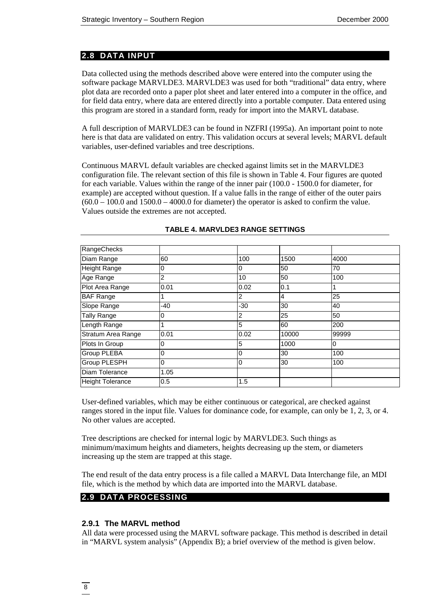#### **2.8 DATA INPUT**

Data collected using the methods described above were entered into the computer using the software package MARVLDE3. MARVLDE3 was used for both "traditional" data entry, where plot data are recorded onto a paper plot sheet and later entered into a computer in the office, and for field data entry, where data are entered directly into a portable computer. Data entered using this program are stored in a standard form, ready for import into the MARVL database.

A full description of MARVLDE3 can be found in NZFRI (1995a). An important point to note here is that data are validated on entry. This validation occurs at several levels; MARVL default variables, user-defined variables and tree descriptions.

Continuous MARVL default variables are checked against limits set in the MARVLDE3 configuration file. The relevant section of this file is shown in Table 4. Four figures are quoted for each variable. Values within the range of the inner pair (100.0 - 1500.0 for diameter, for example) are accepted without question. If a value falls in the range of either of the outer pairs  $(60.0 - 100.0$  and  $1500.0 - 4000.0$  for diameter) the operator is asked to confirm the value. Values outside the extremes are not accepted.

| RangeChecks             |          |                |       |                |  |
|-------------------------|----------|----------------|-------|----------------|--|
| Diam Range              | 60       | 100            | 1500  | 4000           |  |
| Height Range            | 0        | 0              | 50    | 70             |  |
| Age Range               | 2        | 10             | 50    | 100            |  |
| Plot Area Range         | 0.01     | 0.02           | 0.1   |                |  |
| <b>BAF Range</b>        |          | $\overline{2}$ | 4     | 25             |  |
| Slope Range             | -40      | $-30$          | 30    | 40             |  |
| <b>Tally Range</b>      | 0        | 2              | 25    | 50             |  |
| Length Range            |          | 5              | 60    | 200            |  |
| Stratum Area Range      | 0.01     | 0.02           | 10000 | 99999          |  |
| Plots In Group          | 0        | 5              | 1000  | $\overline{0}$ |  |
| Group PLEBA             | 0        | 0              | 30    | 100            |  |
| Group PLESPH            | $\Omega$ | $\Omega$       | 30    | 100            |  |
| Diam Tolerance          | 1.05     |                |       |                |  |
| <b>Height Tolerance</b> | 0.5      | 1.5            |       |                |  |

#### **TABLE 4. MARVLDE3 RANGE SETTINGS**

User-defined variables, which may be either continuous or categorical, are checked against ranges stored in the input file. Values for dominance code, for example, can only be 1, 2, 3, or 4. No other values are accepted.

Tree descriptions are checked for internal logic by MARVLDE3. Such things as minimum/maximum heights and diameters, heights decreasing up the stem, or diameters increasing up the stem are trapped at this stage.

The end result of the data entry process is a file called a MARVL Data Interchange file, an MDI file, which is the method by which data are imported into the MARVL database.

#### **2.9 DATA PROCESSING**

#### **2.9.1 The MARVL method**

All data were processed using the MARVL software package. This method is described in detail in "MARVL system analysis" (Appendix B); a brief overview of the method is given below.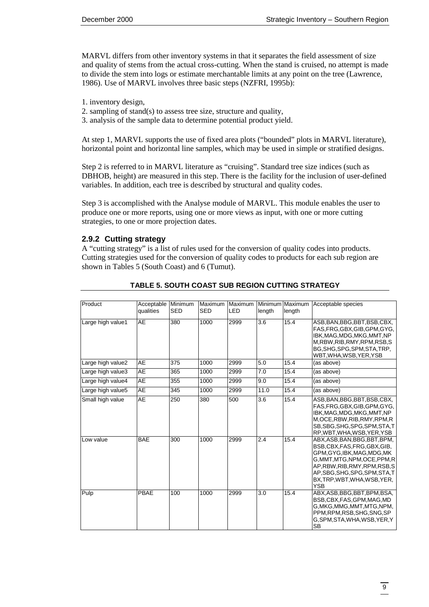MARVL differs from other inventory systems in that it separates the field assessment of size and quality of stems from the actual cross-cutting. When the stand is cruised, no attempt is made to divide the stem into logs or estimate merchantable limits at any point on the tree (Lawrence, 1986). Use of MARVL involves three basic steps (NZFRI, 1995b):

- 1. inventory design,
- 2. sampling of stand(s) to assess tree size, structure and quality,
- 3. analysis of the sample data to determine potential product yield.

At step 1, MARVL supports the use of fixed area plots ("bounded" plots in MARVL literature), horizontal point and horizontal line samples, which may be used in simple or stratified designs.

Step 2 is referred to in MARVL literature as "cruising". Standard tree size indices (such as DBHOB, height) are measured in this step. There is the facility for the inclusion of user-defined variables. In addition, each tree is described by structural and quality codes.

Step 3 is accomplished with the Analyse module of MARVL. This module enables the user to produce one or more reports, using one or more views as input, with one or more cutting strategies, to one or more projection dates.

#### **2.9.2 Cutting strategy**

A "cutting strategy" is a list of rules used for the conversion of quality codes into products. Cutting strategies used for the conversion of quality codes to products for each sub region are shown in Tables 5 (South Coast) and 6 (Tumut).

| Product           | Acceptable Minimum |            | Maximum    | Maximum |                  | Minimum Maximum | Acceptable species                                                                                                                                                                                                          |
|-------------------|--------------------|------------|------------|---------|------------------|-----------------|-----------------------------------------------------------------------------------------------------------------------------------------------------------------------------------------------------------------------------|
|                   | qualities          | <b>SED</b> | <b>SED</b> | LED     | length           | length          |                                                                                                                                                                                                                             |
| Large high value1 | AE                 | 380        | 1000       | 2999    | $\overline{3.6}$ | 15.4            | ASB, BAN, BBG, BBT, BSB, CBX,<br>FAS, FRG, GBX, GIB, GPM, GYG,<br>IBK.MAG.MDG.MKG.MMT.NP<br>M, RBW, RIB, RMY, RPM, RSB, S<br>BG, SHG, SPG, SPM, STA, TRP,<br>WBT, WHA, WSB, YER, YSB                                        |
| Large high value2 | AE                 | 375        | 1000       | 2999    | 5.0              | 15.4            | (as above)                                                                                                                                                                                                                  |
| Large high value3 | AE                 | 365        | 1000       | 2999    | 7.0              | 15.4            | (as above)                                                                                                                                                                                                                  |
| Large high value4 | AE                 | 355        | 1000       | 2999    | 9.0              | 15.4            | (as above)                                                                                                                                                                                                                  |
| Large high value5 | <b>AE</b>          | 345        | 1000       | 2999    | 11.0             | 15.4            | (as above)                                                                                                                                                                                                                  |
| Small high value  | AE                 | 250        | 380        | 500     | 3.6              | 15.4            | ASB, BAN, BBG, BBT, BSB, CBX,<br>FAS, FRG, GBX, GIB, GPM, GYG,<br>IBK, MAG, MDG, MKG, MMT, NP<br>M, OCE, RBW, RIB, RMY, RPM, R<br>SB, SBG, SHG, SPG, SPM, STA, T<br>RP, WBT, WHA, WSB, YER, YSB                             |
| Low value         | <b>BAE</b>         | 300        | 1000       | 2999    | 2.4              | 15.4            | ABX.ASB.BAN.BBG.BBT.BPM.<br>BSB,CBX,FAS,FRG,GBX,GIB,<br>GPM, GYG, IBK, MAG, MDG, MK<br>G, MMT, MTG, NPM, OCE, PPM, R<br>AP.RBW.RIB.RMY.RPM.RSB.S<br>AP, SBG, SHG, SPG, SPM, STA, T<br>BX,TRP,WBT,WHA,WSB,YER,<br><b>YSB</b> |
| Pulp              | PBAE               | 100        | 1000       | 2999    | 3.0              | 15.4            | ABX, ASB, BBG, BBT, BPM, BSA,<br>BSB,CBX,FAS,GPM,MAG,MD<br>G, MKG, MMG, MMT, MTG, NPM,<br>PPM, RPM, RSB, SHG, SNG, SP<br>G, SPM, STA, WHA, WSB, YER, Y<br><b>SB</b>                                                         |

#### **TABLE 5. SOUTH COAST SUB REGION CUTTING STRATEGY**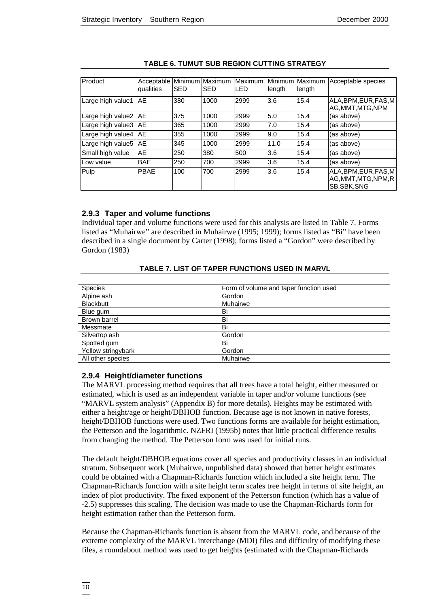| Product               | Acceptable Minimum Maximum<br>qualities | ISED | ISED | ILED | length | length | Maximum Minimum Maximum Acceptable species                  |
|-----------------------|-----------------------------------------|------|------|------|--------|--------|-------------------------------------------------------------|
| Large high value1     | <b>AE</b>                               | 380  | 1000 | 2999 | 3.6    | 15.4   | ALA, BPM, EUR, FAS, M<br>AG.MMT.MTG.NPM                     |
| Large high value2 AE  |                                         | 375  | 1000 | 2999 | 5.0    | 15.4   | (as above)                                                  |
| Large high value3 AE  |                                         | 365  | 1000 | 2999 | 7.0    | 15.4   | (as above)                                                  |
| Large high value $AE$ |                                         | 355  | 1000 | 2999 | 9.0    | 15.4   | (as above)                                                  |
| Large high value5 AE  |                                         | 345  | 1000 | 2999 | 11.0   | 15.4   | (as above)                                                  |
| Small high value      | AE                                      | 250  | 380  | 500  | 3.6    | 15.4   | (as above)                                                  |
| Low value             | <b>BAE</b>                              | 250  | 700  | 2999 | 3.6    | 15.4   | (as above)                                                  |
| Pulp                  | <b>PBAE</b>                             | 100  | 700  | 2999 | 3.6    | 15.4   | ALA, BPM, EUR, FAS, M<br>AG, MMT, MTG, NPM, R<br>SB.SBK.SNG |

#### **TABLE 6. TUMUT SUB REGION CUTTING STRATEGY**

#### **2.9.3 Taper and volume functions**

Individual taper and volume functions were used for this analysis are listed in Table 7. Forms listed as "Muhairwe" are described in Muhairwe (1995; 1999); forms listed as "Bi" have been described in a single document by Carter (1998); forms listed a "Gordon" were described by Gordon (1983)

| Species            | Form of volume and taper function used |
|--------------------|----------------------------------------|
| Alpine ash         | Gordon                                 |
| <b>Blackbutt</b>   | Muhairwe                               |
| Blue gum           | Bi                                     |
| Brown barrel       | Bi                                     |
| Messmate           | Bi                                     |
| Silvertop ash      | Gordon                                 |
| Spotted gum        | Bi                                     |
| Yellow stringybark | Gordon                                 |
| All other species  | Muhairwe                               |

#### **TABLE 7. LIST OF TAPER FUNCTIONS USED IN MARVL**

#### **2.9.4 Height/diameter functions**

The MARVL processing method requires that all trees have a total height, either measured or estimated, which is used as an independent variable in taper and/or volume functions (see "MARVL system analysis" (Appendix B) for more details). Heights may be estimated with either a height/age or height/DBHOB function. Because age is not known in native forests, height/DBHOB functions were used. Two functions forms are available for height estimation, the Petterson and the logarithmic. NZFRI (1995b) notes that little practical difference results from changing the method. The Petterson form was used for initial runs.

The default height/DBHOB equations cover all species and productivity classes in an individual stratum. Subsequent work (Muhairwe, unpublished data) showed that better height estimates could be obtained with a Chapman-Richards function which included a site height term. The Chapman-Richards function with a site height term scales tree height in terms of site height, an index of plot productivity. The fixed exponent of the Petterson function (which has a value of -2.5) suppresses this scaling. The decision was made to use the Chapman-Richards form for height estimation rather than the Petterson form.

Because the Chapman-Richards function is absent from the MARVL code, and because of the extreme complexity of the MARVL interchange (MDI) files and difficulty of modifying these files, a roundabout method was used to get heights (estimated with the Chapman-Richards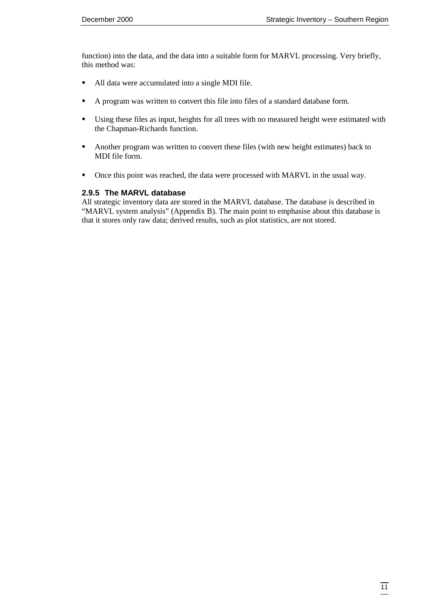function) into the data, and the data into a suitable form for MARVL processing. Very briefly, this method was:

- ! All data were accumulated into a single MDI file.
- ! A program was written to convert this file into files of a standard database form.
- ! Using these files as input, heights for all trees with no measured height were estimated with the Chapman-Richards function.
- ! Another program was written to convert these files (with new height estimates) back to MDI file form.
- ! Once this point was reached, the data were processed with MARVL in the usual way.

#### **2.9.5 The MARVL database**

All strategic inventory data are stored in the MARVL database. The database is described in "MARVL system analysis" (Appendix B). The main point to emphasise about this database is that it stores only raw data; derived results, such as plot statistics, are not stored.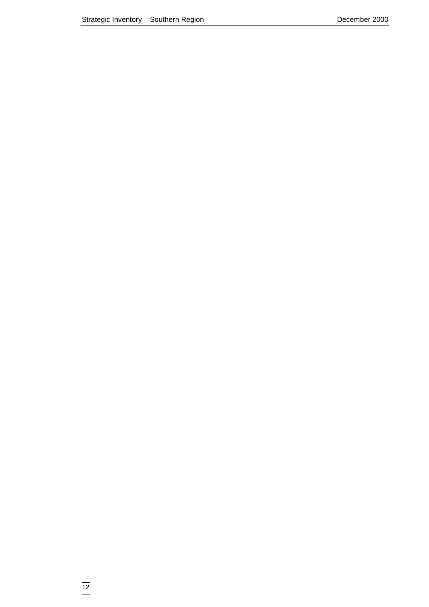### $\frac{12}{1}$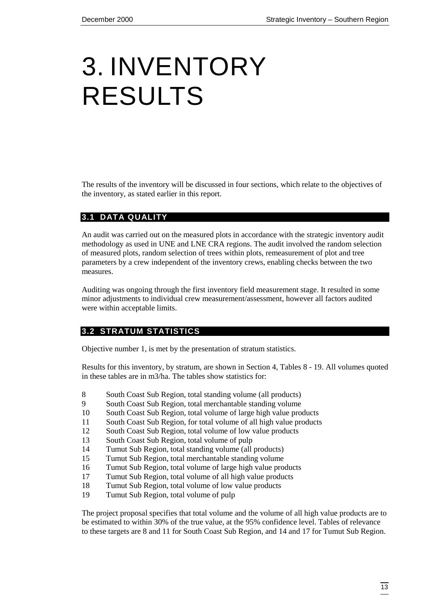## 3. INVENTORY RESULTS

The results of the inventory will be discussed in four sections, which relate to the objectives of the inventory, as stated earlier in this report.

#### **3.1 DATA QUALITY**

An audit was carried out on the measured plots in accordance with the strategic inventory audit methodology as used in UNE and LNE CRA regions. The audit involved the random selection of measured plots, random selection of trees within plots, remeasurement of plot and tree parameters by a crew independent of the inventory crews, enabling checks between the two measures.

Auditing was ongoing through the first inventory field measurement stage. It resulted in some minor adjustments to individual crew measurement/assessment, however all factors audited were within acceptable limits.

#### **3.2 STRATUM STATISTICS**

Objective number 1, is met by the presentation of stratum statistics.

Results for this inventory, by stratum, are shown in Section 4, Tables 8 - 19. All volumes quoted in these tables are in m3/ha. The tables show statistics for:

- 8 South Coast Sub Region, total standing volume (all products)
- 9 South Coast Sub Region, total merchantable standing volume
- 10 South Coast Sub Region, total volume of large high value products
- 11 South Coast Sub Region, for total volume of all high value products
- 12 South Coast Sub Region, total volume of low value products
- 13 South Coast Sub Region, total volume of pulp
- 14 Tumut Sub Region, total standing volume (all products)
- 15 Tumut Sub Region, total merchantable standing volume
- 16 Tumut Sub Region, total volume of large high value products
- 17 Tumut Sub Region, total volume of all high value products
- 18 Tumut Sub Region, total volume of low value products
- 19 Tumut Sub Region, total volume of pulp

The project proposal specifies that total volume and the volume of all high value products are to be estimated to within 30% of the true value, at the 95% confidence level. Tables of relevance to these targets are 8 and 11 for South Coast Sub Region, and 14 and 17 for Tumut Sub Region.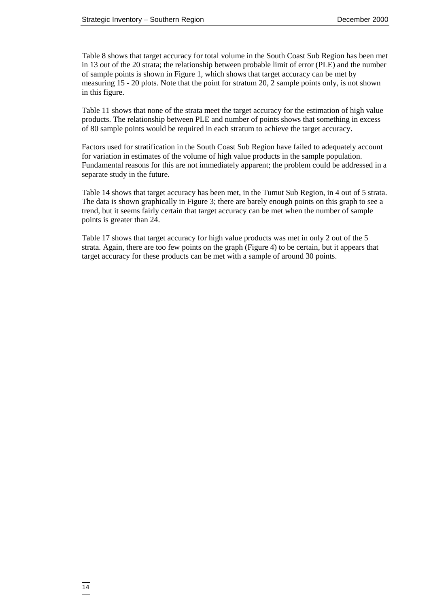Table 8 shows that target accuracy for total volume in the South Coast Sub Region has been met in 13 out of the 20 strata; the relationship between probable limit of error (PLE) and the number of sample points is shown in Figure 1, which shows that target accuracy can be met by measuring 15 - 20 plots. Note that the point for stratum 20, 2 sample points only, is not shown in this figure.

Table 11 shows that none of the strata meet the target accuracy for the estimation of high value products. The relationship between PLE and number of points shows that something in excess of 80 sample points would be required in each stratum to achieve the target accuracy.

Factors used for stratification in the South Coast Sub Region have failed to adequately account for variation in estimates of the volume of high value products in the sample population. Fundamental reasons for this are not immediately apparent; the problem could be addressed in a separate study in the future.

Table 14 shows that target accuracy has been met, in the Tumut Sub Region, in 4 out of 5 strata. The data is shown graphically in Figure 3; there are barely enough points on this graph to see a trend, but it seems fairly certain that target accuracy can be met when the number of sample points is greater than 24.

Table 17 shows that target accuracy for high value products was met in only 2 out of the 5 strata. Again, there are too few points on the graph (Figure 4) to be certain, but it appears that target accuracy for these products can be met with a sample of around 30 points.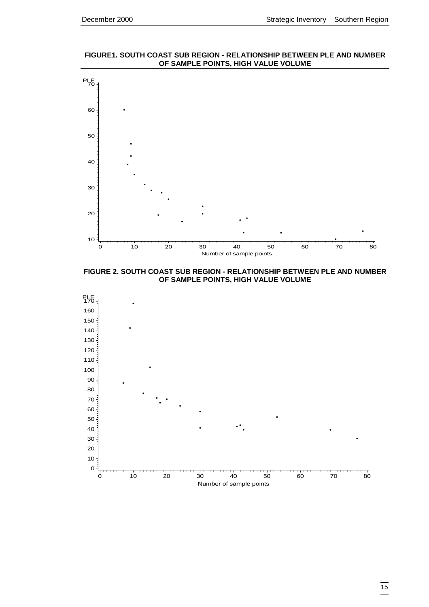



**FIGURE 2. SOUTH COAST SUB REGION - RELATIONSHIP BETWEEN PLE AND NUMBER OF SAMPLE POINTS, HIGH VALUE VOLUME**

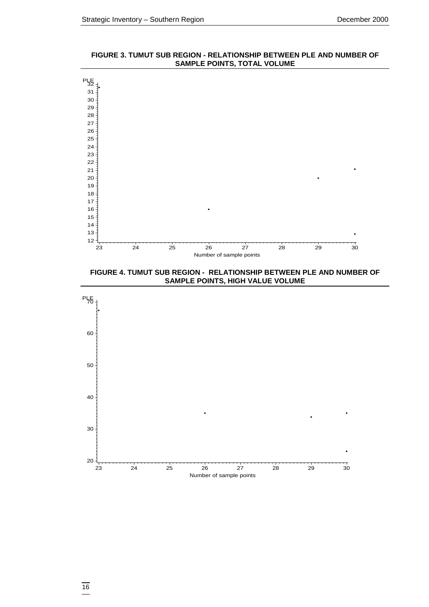

#### **FIGURE 3. TUMUT SUB REGION - RELATIONSHIP BETWEEN PLE AND NUMBER OF SAMPLE POINTS, TOTAL VOLUME**

**FIGURE 4. TUMUT SUB REGION - RELATIONSHIP BETWEEN PLE AND NUMBER OF SAMPLE POINTS, HIGH VALUE VOLUME**

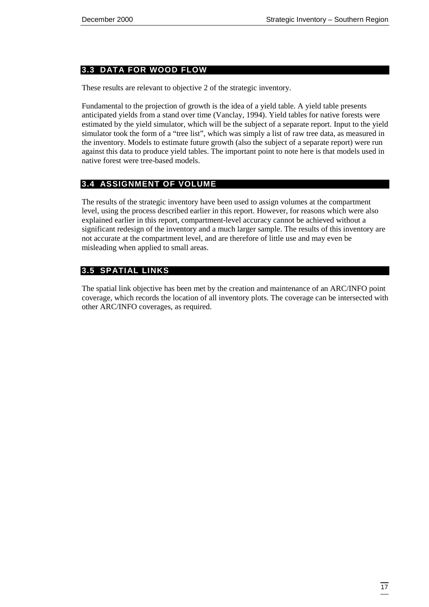#### **3.3 DATA FOR WOOD FLOW**

These results are relevant to objective 2 of the strategic inventory.

Fundamental to the projection of growth is the idea of a yield table. A yield table presents anticipated yields from a stand over time (Vanclay, 1994). Yield tables for native forests were estimated by the yield simulator, which will be the subject of a separate report. Input to the yield simulator took the form of a "tree list", which was simply a list of raw tree data, as measured in the inventory. Models to estimate future growth (also the subject of a separate report) were run against this data to produce yield tables. The important point to note here is that models used in native forest were tree-based models.

#### **3.4 ASSIGNMENT OF VOLUME**

The results of the strategic inventory have been used to assign volumes at the compartment level, using the process described earlier in this report. However, for reasons which were also explained earlier in this report, compartment-level accuracy cannot be achieved without a significant redesign of the inventory and a much larger sample. The results of this inventory are not accurate at the compartment level, and are therefore of little use and may even be misleading when applied to small areas.

#### **3.5 SPATIAL LINKS**

The spatial link objective has been met by the creation and maintenance of an ARC/INFO point coverage, which records the location of all inventory plots. The coverage can be intersected with other ARC/INFO coverages, as required.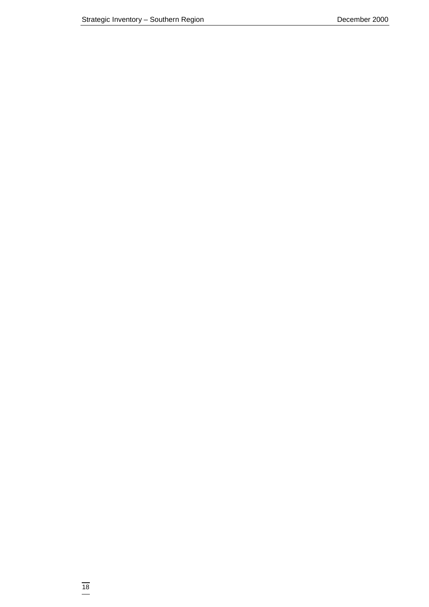### $\frac{18}{1}$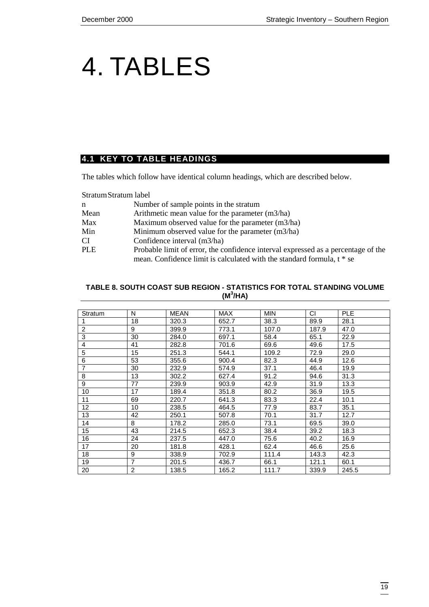### 4. TABLES

#### **4.1 KEY TO TABLE HEADINGS**

The tables which follow have identical column headings, which are described below.

| Stratum Stratum label |                                                                                   |
|-----------------------|-----------------------------------------------------------------------------------|
| n                     | Number of sample points in the stratum                                            |
| Mean                  | Arithmetic mean value for the parameter $(m3/ha)$                                 |
| Max                   | Maximum observed value for the parameter (m3/ha)                                  |
| Min                   | Minimum observed value for the parameter (m3/ha)                                  |
| <b>CI</b>             | Confidence interval (m3/ha)                                                       |
| <b>PLE</b>            | Probable limit of error, the confidence interval expressed as a percentage of the |
|                       | mean. Confidence limit is calculated with the standard formula, $t * se$          |

#### **TABLE 8. SOUTH COAST SUB REGION - STATISTICS FOR TOTAL STANDING VOLUME (M<sup>3</sup> /HA)**

| Stratum        | N              | <b>MEAN</b> | <b>MAX</b> | <b>MIN</b> | СI    | PLE   |  |
|----------------|----------------|-------------|------------|------------|-------|-------|--|
|                | 18             | 320.3       | 652.7      | 38.3       | 89.9  | 28.1  |  |
| 2              | 9              | 399.9       | 773.1      | 107.0      | 187.9 | 47.0  |  |
| 3              | 30             | 284.0       | 697.1      | 58.4       | 65.1  | 22.9  |  |
| $\overline{4}$ | 41             | 282.8       | 701.6      | 69.6       | 49.6  | 17.5  |  |
| 5              | 15             | 251.3       | 544.1      | 109.2      | 72.9  | 29.0  |  |
| 6              | 53             | 355.6       | 900.4      | 82.3       | 44.9  | 12.6  |  |
| $\overline{7}$ | 30             | 232.9       | 574.9      | 37.1       | 46.4  | 19.9  |  |
| 8              | 13             | 302.2       | 627.4      | 91.2       | 94.6  | 31.3  |  |
| 9              | 77             | 239.9       | 903.9      | 42.9       | 31.9  | 13.3  |  |
| 10             | 17             | 189.4       | 351.8      | 80.2       | 36.9  | 19.5  |  |
| 11             | 69             | 220.7       | 641.3      | 83.3       | 22.4  | 10.1  |  |
| 12             | 10             | 238.5       | 464.5      | 77.9       | 83.7  | 35.1  |  |
| 13             | 42             | 250.1       | 507.8      | 70.1       | 31.7  | 12.7  |  |
| 14             | 8              | 178.2       | 285.0      | 73.1       | 69.5  | 39.0  |  |
| 15             | 43             | 214.5       | 652.3      | 38.4       | 39.2  | 18.3  |  |
| 16             | 24             | 237.5       | 447.0      | 75.6       | 40.2  | 16.9  |  |
| 17             | 20             | 181.8       | 428.1      | 62.4       | 46.6  | 25.6  |  |
| 18             | 9              | 338.9       | 702.9      | 111.4      | 143.3 | 42.3  |  |
| 19             | $\overline{7}$ | 201.5       | 436.7      | 66.1       | 121.1 | 60.1  |  |
| 20             | $\overline{2}$ | 138.5       | 165.2      | 111.7      | 339.9 | 245.5 |  |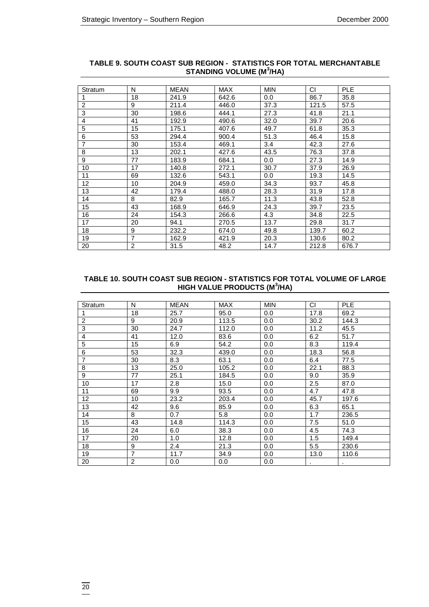| Stratum        | N              | <b>MEAN</b> | <b>MAX</b> | <b>MIN</b> | <b>CI</b> | <b>PLE</b> |
|----------------|----------------|-------------|------------|------------|-----------|------------|
|                | 18             | 241.9       | 642.6      | 0.0        | 86.7      | 35.8       |
| $\overline{2}$ | 9              | 211.4       | 446.0      | 37.3       | 121.5     | 57.5       |
| 3              | 30             | 198.6       | 444.1      | 27.3       | 41.8      | 21.1       |
| 4              | 41             | 192.9       | 490.6      | 32.0       | 39.7      | 20.6       |
| 5              | 15             | 175.1       | 407.6      | 49.7       | 61.8      | 35.3       |
| 6              | 53             | 294.4       | 900.4      | 51.3       | 46.4      | 15.8       |
| $\overline{7}$ | 30             | 153.4       | 469.1      | 3.4        | 42.3      | 27.6       |
| 8              | 13             | 202.1       | 427.6      | 43.5       | 76.3      | 37.8       |
| 9              | 77             | 183.9       | 684.1      | 0.0        | 27.3      | 14.9       |
| 10             | 17             | 140.8       | 272.1      | 30.7       | 37.9      | 26.9       |
| 11             | 69             | 132.6       | 543.1      | 0.0        | 19.3      | 14.5       |
| 12             | 10             | 204.9       | 459.0      | 34.3       | 93.7      | 45.8       |
| 13             | 42             | 179.4       | 488.0      | 28.3       | 31.9      | 17.8       |
| 14             | 8              | 82.9        | 165.7      | 11.3       | 43.8      | 52.8       |
| 15             | 43             | 168.9       | 646.9      | 24.3       | 39.7      | 23.5       |
| 16             | 24             | 154.3       | 266.6      | 4.3        | 34.8      | 22.5       |
| 17             | 20             | 94.1        | 270.5      | 13.7       | 29.8      | 31.7       |
| 18             | 9              | 232.2       | 674.0      | 49.8       | 139.7     | 60.2       |
| 19             | $\overline{7}$ | 162.9       | 421.9      | 20.3       | 130.6     | 80.2       |
| 20             | $\overline{2}$ | 31.5        | 48.2       | 14.7       | 212.8     | 676.7      |

#### **TABLE 9. SOUTH COAST SUB REGION - STATISTICS FOR TOTAL MERCHANTABLE STANDING VOLUME (M<sup>3</sup> /HA)**

#### **TABLE 10. SOUTH COAST SUB REGION - STATISTICS FOR TOTAL VOLUME OF LARGE HIGH VALUE PRODUCTS (M<sup>3</sup> /HA)**

| Stratum        | N  | <b>MEAN</b> | <b>MAX</b> | <b>MIN</b> | СI        | <b>PLE</b> |
|----------------|----|-------------|------------|------------|-----------|------------|
|                | 18 | 25.7        | 95.0       | 0.0        | 17.8      | 69.2       |
| $\overline{2}$ | 9  | 20.9        | 113.5      | 0.0        | 30.2      | 144.3      |
| 3              | 30 | 24.7        | 112.0      | 0.0        | 11.2      | 45.5       |
| 4              | 41 | 12.0        | 83.6       | 0.0        | 6.2       | 51.7       |
| 5              | 15 | 6.9         | 54.2       | 0.0        | 8.3       | 119.4      |
| 6              | 53 | 32.3        | 439.0      | 0.0        | 18.3      | 56.8       |
| $\overline{7}$ | 30 | 8.3         | 63.1       | 0.0        | 6.4       | 77.5       |
| 8              | 13 | 25.0        | 105.2      | 0.0        | 22.1      | 88.3       |
| 9              | 77 | 25.1        | 184.5      | 0.0        | 9.0       | 35.9       |
| 10             | 17 | 2.8         | 15.0       | 0.0        | 2.5       | 87.0       |
| 11             | 69 | 9.9         | 93.5       | 0.0        | 4.7       | 47.8       |
| 12             | 10 | 23.2        | 203.4      | 0.0        | 45.7      | 197.6      |
| 13             | 42 | 9.6         | 85.9       | 0.0        | 6.3       | 65.1       |
| 14             | 8  | 0.7         | 5.8        | 0.0        | 1.7       | 236.5      |
| 15             | 43 | 14.8        | 114.3      | 0.0        | 7.5       | 51.0       |
| 16             | 24 | 6.0         | 38.3       | 0.0        | 4.5       | 74.3       |
| 17             | 20 | 1.0         | 12.8       | 0.0        | 1.5       | 149.4      |
| 18             | 9  | 2.4         | 21.3       | 0.0        | 5.5       | 230.6      |
| 19             | 7  | 11.7        | 34.9       | 0.0        | 13.0      | 110.6      |
| 20             | 2  | 0.0         | 0.0        | 0.0        | $\bullet$ | х.         |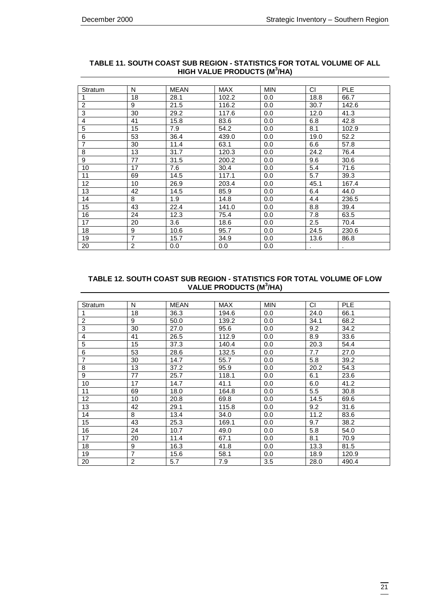| Stratum         | N              | MEAN | <b>MAX</b> | <b>MIN</b> | СI   | <b>PLE</b>     |
|-----------------|----------------|------|------------|------------|------|----------------|
|                 | 18             | 28.1 | 102.2      | 0.0        | 18.8 | 66.7           |
| $\overline{c}$  | 9              | 21.5 | 116.2      | 0.0        | 30.7 | 142.6          |
| 3               | 30             | 29.2 | 117.6      | 0.0        | 12.0 | 41.3           |
| 4               | 41             | 15.8 | 83.6       | 0.0        | 6.8  | 42.8           |
| 5               | 15             | 7.9  | 54.2       | 0.0        | 8.1  | 102.9          |
| 6               | 53             | 36.4 | 439.0      | 0.0        | 19.0 | 52.2           |
| $\overline{7}$  | 30             | 11.4 | 63.1       | 0.0        | 6.6  | 57.8           |
| 8               | 13             | 31.7 | 120.3      | 0.0        | 24.2 | 76.4           |
| 9               | 77             | 31.5 | 200.2      | 0.0        | 9.6  | 30.6           |
| 10              | 17             | 7.6  | 30.4       | 0.0        | 5.4  | 71.6           |
| 11              | 69             | 14.5 | 117.1      | 0.0        | 5.7  | 39.3           |
| 12 <sub>2</sub> | 10             | 26.9 | 203.4      | 0.0        | 45.1 | 167.4          |
| 13              | 42             | 14.5 | 85.9       | 0.0        | 6.4  | 44.0           |
| 14              | 8              | 1.9  | 14.8       | 0.0        | 4.4  | 236.5          |
| 15              | 43             | 22.4 | 141.0      | 0.0        | 8.8  | 39.4           |
| 16              | 24             | 12.3 | 75.4       | 0.0        | 7.8  | 63.5           |
| 17              | 20             | 3.6  | 18.6       | 0.0        | 2.5  | 70.4           |
| 18              | 9              | 10.6 | 95.7       | 0.0        | 24.5 | 230.6          |
| 19              | $\overline{7}$ | 15.7 | 34.9       | 0.0        | 13.6 | 86.8           |
| 20              | $\overline{c}$ | 0.0  | 0.0        | 0.0        |      | $\blacksquare$ |

#### **TABLE 11. SOUTH COAST SUB REGION - STATISTICS FOR TOTAL VOLUME OF ALL HIGH VALUE PRODUCTS (M<sup>3</sup> /HA)**

#### **TABLE 12. SOUTH COAST SUB REGION - STATISTICS FOR TOTAL VOLUME OF LOW VALUE PRODUCTS (M<sup>3</sup> /HA)**

| Stratum          | N              | <b>MEAN</b> | <b>MAX</b> | <b>MIN</b> | СI   | <b>PLE</b> |
|------------------|----------------|-------------|------------|------------|------|------------|
| 1                | 18             | 36.3        | 194.6      | 0.0        | 24.0 | 66.1       |
| $\overline{2}$   | 9              | 50.0        | 139.2      | 0.0        | 34.1 | 68.2       |
| 3                | 30             | 27.0        | 95.6       | 0.0        | 9.2  | 34.2       |
| $\overline{4}$   | 41             | 26.5        | 112.9      | 0.0        | 8.9  | 33.6       |
| 5                | 15             | 37.3        | 140.4      | 0.0        | 20.3 | 54.4       |
| $\,6$            | 53             | 28.6        | 132.5      | 0.0        | 7.7  | 27.0       |
| $\overline{7}$   | 30             | 14.7        | 55.7       | 0.0        | 5.8  | 39.2       |
| 8                | 13             | 37.2        | 95.9       | 0.0        | 20.2 | 54.3       |
| $\boldsymbol{9}$ | 77             | 25.7        | 118.1      | 0.0        | 6.1  | 23.6       |
| 10               | 17             | 14.7        | 41.1       | 0.0        | 6.0  | 41.2       |
| 11               | 69             | 18.0        | 164.8      | 0.0        | 5.5  | 30.8       |
| 12               | 10             | 20.8        | 69.8       | 0.0        | 14.5 | 69.6       |
| 13               | 42             | 29.1        | 115.8      | 0.0        | 9.2  | 31.6       |
| 14               | 8              | 13.4        | 34.0       | 0.0        | 11.2 | 83.6       |
| 15               | 43             | 25.3        | 169.1      | 0.0        | 9.7  | 38.2       |
| 16               | 24             | 10.7        | 49.0       | 0.0        | 5.8  | 54.0       |
| 17               | 20             | 11.4        | 67.1       | 0.0        | 8.1  | 70.9       |
| 18               | 9              | 16.3        | 41.8       | 0.0        | 13.3 | 81.5       |
| 19               | 7              | 15.6        | 58.1       | 0.0        | 18.9 | 120.9      |
| 20               | $\overline{2}$ | 5.7         | 7.9        | 3.5        | 28.0 | 490.4      |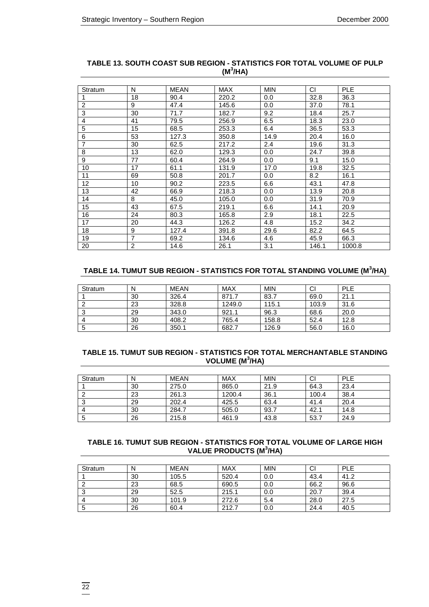| Stratum         | N  | <b>MEAN</b> | <b>MAX</b> | <b>MIN</b> | CI    | <b>PLE</b> |
|-----------------|----|-------------|------------|------------|-------|------------|
| 1               | 18 | 90.4        | 220.2      | 0.0        | 32.8  | 36.3       |
| $\overline{c}$  | 9  | 47.4        | 145.6      | 0.0        | 37.0  | 78.1       |
| 3               | 30 | 71.7        | 182.7      | 9.2        | 18.4  | 25.7       |
| 4               | 41 | 79.5        | 256.9      | 6.5        | 18.3  | 23.0       |
| 5               | 15 | 68.5        | 253.3      | 6.4        | 36.5  | 53.3       |
| 6               | 53 | 127.3       | 350.8      | 14.9       | 20.4  | 16.0       |
| $\overline{7}$  | 30 | 62.5        | 217.2      | 2.4        | 19.6  | 31.3       |
| 8               | 13 | 62.0        | 129.3      | 0.0        | 24.7  | 39.8       |
| 9               | 77 | 60.4        | 264.9      | 0.0        | 9.1   | 15.0       |
| 10              | 17 | 61.1        | 131.9      | 17.0       | 19.8  | 32.5       |
| 11              | 69 | 50.8        | 201.7      | 0.0        | 8.2   | 16.1       |
| 12 <sup>2</sup> | 10 | 90.2        | 223.5      | 6.6        | 43.1  | 47.8       |
| 13              | 42 | 66.9        | 218.3      | 0.0        | 13.9  | 20.8       |
| 14              | 8  | 45.0        | 105.0      | 0.0        | 31.9  | 70.9       |
| 15              | 43 | 67.5        | 219.1      | 6.6        | 14.1  | 20.9       |
| 16              | 24 | 80.3        | 165.8      | 2.9        | 18.1  | 22.5       |
| 17              | 20 | 44.3        | 126.2      | 4.8        | 15.2  | 34.2       |
| 18              | 9  | 127.4       | 391.8      | 29.6       | 82.2  | 64.5       |
| 19              | 7  | 69.2        | 134.6      | 4.6        | 45.9  | 66.3       |
| 20              | 2  | 14.6        | 26.1       | 3.1        | 146.1 | 1000.8     |

#### **TABLE 13. SOUTH COAST SUB REGION - STATISTICS FOR TOTAL VOLUME OF PULP (M<sup>3</sup> /HA)**

#### **TABLE 14. TUMUT SUB REGION - STATISTICS FOR TOTAL STANDING VOLUME (M<sup>3</sup> /HA)**

| Stratum  | N  | MEAN  | MAX    | <b>MIN</b> | CI    | <b>PLE</b> |
|----------|----|-------|--------|------------|-------|------------|
|          | 30 | 326.4 | 871.7  | 83.7       | 69.0  | 21.1       |
|          | 23 | 328.8 | 1249.0 | 115.1      | 103.9 | 31.6       |
| ົ<br>J   | 29 | 343.0 | 921.1  | 96.3       | 68.6  | 20.0       |
| $\Delta$ | 30 | 408.2 | 765.4  | 158.8      | 52.4  | 12.8       |
| đ        | 26 | 350.1 | 682.7  | 126.9      | 56.0  | 16.0       |

#### **TABLE 15. TUMUT SUB REGION - STATISTICS FOR TOTAL MERCHANTABLE STANDING VOLUME (M<sup>3</sup> /HA)**

| <b>Stratum</b> | N  | <b>MEAN</b> | MAX    | <b>MIN</b> | СI    | <b>PLE</b> |
|----------------|----|-------------|--------|------------|-------|------------|
|                | 30 | 275.0       | 865.0  | 21.9       | 64.3  | 23.4       |
|                | 23 | 261.3       | 1200.4 | 36.1       | 100.4 | 38.4       |
|                | 29 | 202.4       | 425.5  | 63.4       | 41.4  | 20.4       |
|                | 30 | 284.7       | 505.0  | 93.7       | 42.1  | 14.8       |
| 5              | 26 | 215.8       | 461.9  | 43.8       | 53.7  | 24.9       |

#### **TABLE 16. TUMUT SUB REGION - STATISTICS FOR TOTAL VOLUME OF LARGE HIGH VALUE PRODUCTS (M<sup>3</sup> /HA)**

| <b>Stratum</b> | N  | <b>MEAN</b> | MAX   | <b>MIN</b> | СI   | <b>PLE</b> |
|----------------|----|-------------|-------|------------|------|------------|
|                | 30 | 105.5       | 520.4 | 0.0        | 43.4 | 41.2       |
|                | 23 | 68.5        | 690.5 | 0.0        | 66.2 | 96.6       |
| ົ<br>J         | 29 | 52.5        | 215.1 | 0.0        | 20.7 | 39.4       |
|                | 30 | 101.9       | 272.6 | 5.4        | 28.0 | 27.5       |
| G              | 26 | 60.4        | 212.7 | 0.0        | 24.4 | 40.5       |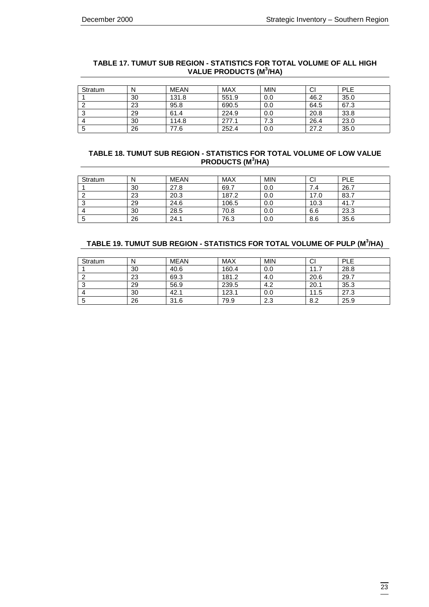#### **TABLE 17. TUMUT SUB REGION - STATISTICS FOR TOTAL VOLUME OF ALL HIGH VALUE PRODUCTS (M<sup>3</sup> /HA)**

| <b>Stratum</b> | N  | <b>MEAN</b> | <b>MAX</b> | <b>MIN</b> | <b>CI</b> | <b>PLE</b> |  |
|----------------|----|-------------|------------|------------|-----------|------------|--|
|                | 30 | 131.8       | 551.9      | 0.0        | 46.2      | 35.0       |  |
|                | 23 | 95.8        | 690.5      | 0.0        | 64.5      | 67.3       |  |
| ◠              | 29 | 61.4        | 224.9      | 0.0        | 20.8      | 33.8       |  |
|                | 30 | 114.8       | 277.1      | 7.3        | 26.4      | 23.0       |  |
| 5              | 26 | 77.6        | 252.4      | 0.0        | 27.2      | 35.0       |  |

#### **TABLE 18. TUMUT SUB REGION - STATISTICS FOR TOTAL VOLUME OF LOW VALUE PRODUCTS (M<sup>3</sup> /HA)**

| Stratum | N  | MEAN | <b>MAX</b> | <b>MIN</b> | CI   | <b>PLE</b> |
|---------|----|------|------------|------------|------|------------|
|         | 30 | 27.8 | 69.7       | 0.0        | 7.4  | 26.7       |
|         | 23 | 20.3 | 187.2      | 0.0        | 17.0 | 83.7       |
|         | 29 | 24.6 | 106.5      | 0.0        | 10.3 | 41.7       |
|         | 30 | 28.5 | 70.8       | 0.0        | 6.6  | 23.3       |
|         | 26 | 24.1 | 76.3       | 0.0        | 8.6  | 35.6       |

#### **TABLE 19. TUMUT SUB REGION - STATISTICS FOR TOTAL VOLUME OF PULP (M<sup>3</sup> /HA)**

| Stratum | N  | <b>MEAN</b> | <b>MAX</b> | <b>MIN</b> | <b>CI</b> | <b>PLE</b> |  |
|---------|----|-------------|------------|------------|-----------|------------|--|
|         | 30 | 40.6        | 160.4      | 0.0        | 11.7      | 28.8       |  |
|         | 23 | 69.3        | 181.2      | 4.0        | 20.6      | 29.7       |  |
| J       | 29 | 56.9        | 239.5      | 4.2        | 20.1      | 35.3       |  |
|         | 30 | 42.1        | 123.1      | 0.0        | 11.5      | 27.3       |  |
|         | 26 | 31.6        | 79.9       | 2.3        | 8.2       | 25.9       |  |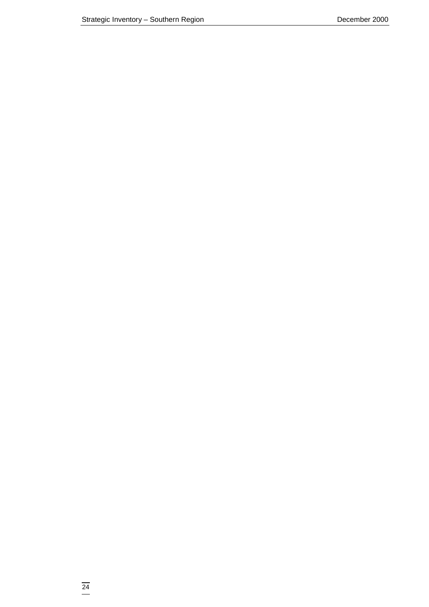### $\frac{24}{1}$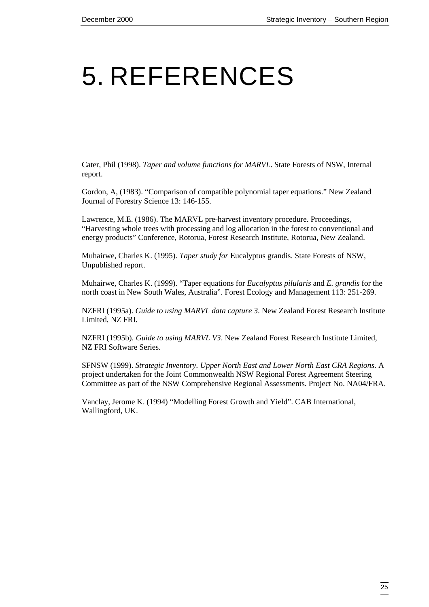## 5. REFERENCES

Cater, Phil (1998). *Taper and volume functions for MARVL*. State Forests of NSW, Internal report.

Gordon, A, (1983). "Comparison of compatible polynomial taper equations." New Zealand Journal of Forestry Science 13: 146-155.

Lawrence, M.E. (1986). The MARVL pre-harvest inventory procedure. Proceedings, "Harvesting whole trees with processing and log allocation in the forest to conventional and energy products" Conference, Rotorua, Forest Research Institute, Rotorua, New Zealand.

Muhairwe, Charles K. (1995). *Taper study for* Eucalyptus grandis. State Forests of NSW, Unpublished report.

Muhairwe, Charles K. (1999). "Taper equations for *Eucalyptus pilularis* and *E. grandis* for the north coast in New South Wales, Australia". Forest Ecology and Management 113: 251-269.

NZFRI (1995a). *Guide to using MARVL data capture 3*. New Zealand Forest Research Institute Limited, NZ FRI.

NZFRI (1995b). *Guide to using MARVL V3*. New Zealand Forest Research Institute Limited, NZ FRI Software Series.

SFNSW (1999). *Strategic Inventory. Upper North East and Lower North East CRA Regions*. A project undertaken for the Joint Commonwealth NSW Regional Forest Agreement Steering Committee as part of the NSW Comprehensive Regional Assessments. Project No. NA04/FRA.

Vanclay, Jerome K. (1994) "Modelling Forest Growth and Yield". CAB International, Wallingford, UK.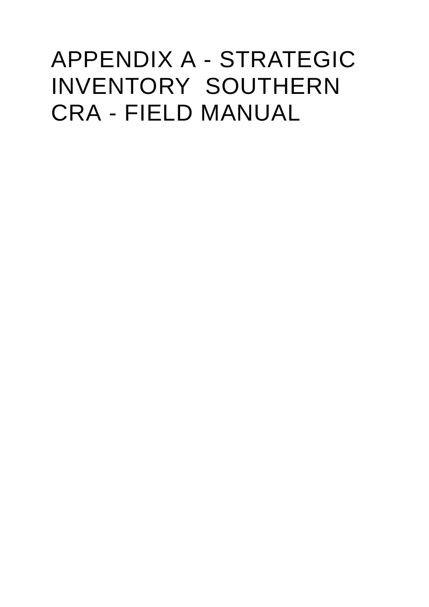### APPENDIX A - STRATEGIC INVENTORY SOUTHERN CRA - FIELD MANUAL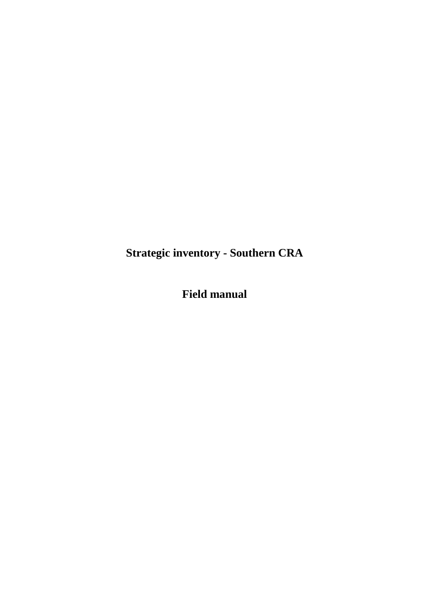**Strategic inventory - Southern CRA**

**Field manual**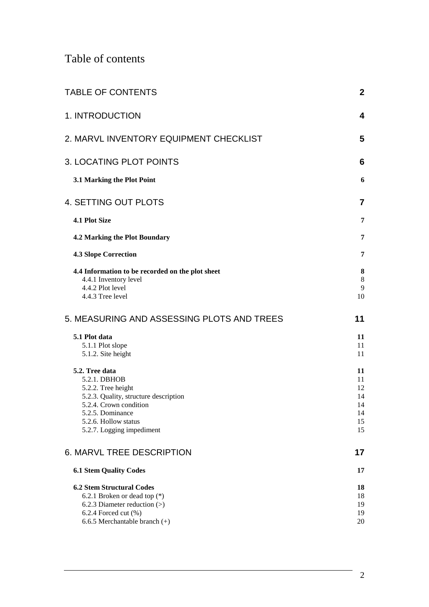### Table of contents

| <b>TABLE OF CONTENTS</b>                                                                                                                                                                         | $\boldsymbol{2}$                             |
|--------------------------------------------------------------------------------------------------------------------------------------------------------------------------------------------------|----------------------------------------------|
| 1. INTRODUCTION                                                                                                                                                                                  | 4                                            |
| 2. MARVL INVENTORY EQUIPMENT CHECKLIST                                                                                                                                                           | 5                                            |
| 3. LOCATING PLOT POINTS                                                                                                                                                                          | 6                                            |
| 3.1 Marking the Plot Point                                                                                                                                                                       | 6                                            |
| 4. SETTING OUT PLOTS                                                                                                                                                                             | $\overline{7}$                               |
| 4.1 Plot Size                                                                                                                                                                                    | 7                                            |
| 4.2 Marking the Plot Boundary                                                                                                                                                                    | 7                                            |
| <b>4.3 Slope Correction</b>                                                                                                                                                                      | 7                                            |
| 4.4 Information to be recorded on the plot sheet<br>4.4.1 Inventory level<br>4.4.2 Plot level<br>4.4.3 Tree level                                                                                | 8<br>8<br>9<br>10                            |
| 5. MEASURING AND ASSESSING PLOTS AND TREES                                                                                                                                                       | 11                                           |
| 5.1 Plot data<br>5.1.1 Plot slope<br>5.1.2. Site height                                                                                                                                          | 11<br>11<br>11                               |
| 5.2. Tree data<br>5.2.1. DBHOB<br>5.2.2. Tree height<br>5.2.3. Quality, structure description<br>5.2.4. Crown condition<br>5.2.5. Dominance<br>5.2.6. Hollow status<br>5.2.7. Logging impediment | 11<br>11<br>12<br>14<br>14<br>14<br>15<br>15 |
| <b>6. MARVL TREE DESCRIPTION</b>                                                                                                                                                                 | 17                                           |
| <b>6.1 Stem Quality Codes</b>                                                                                                                                                                    | 17                                           |
| <b>6.2 Stem Structural Codes</b><br>6.2.1 Broken or dead top $(*)$<br>6.2.3 Diameter reduction $(>)$<br>6.2.4 Forced cut (%)<br>6.6.5 Merchantable branch (+)                                    | 18<br>18<br>19<br>19<br>20                   |
|                                                                                                                                                                                                  |                                              |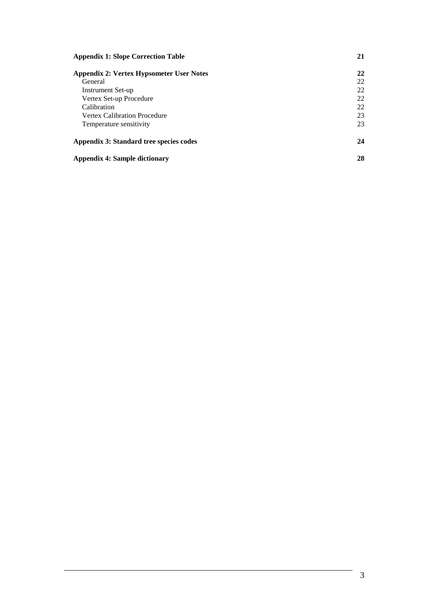| <b>Appendix 1: Slope Correction Table</b> |  |
|-------------------------------------------|--|
|-------------------------------------------|--|

| <b>Appendix 2: Vertex Hypsometer User Notes</b> | 22 |
|-------------------------------------------------|----|
| General                                         | 22 |
| <b>Instrument Set-up</b>                        | 22 |
| Vertex Set-up Procedure                         | 22 |
| Calibration                                     | 22 |
| <b>Vertex Calibration Procedure</b>             | 23 |
| Temperature sensitivity                         | 23 |
| Appendix 3: Standard tree species codes         | 24 |

| <b>Appendix 4: Sample dictionary</b> |  |
|--------------------------------------|--|
|--------------------------------------|--|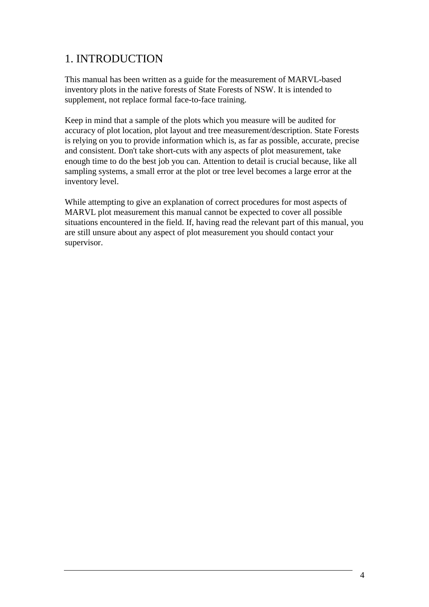# 1. INTRODUCTION

This manual has been written as a guide for the measurement of MARVL-based inventory plots in the native forests of State Forests of NSW. It is intended to supplement, not replace formal face-to-face training.

Keep in mind that a sample of the plots which you measure will be audited for accuracy of plot location, plot layout and tree measurement/description. State Forests is relying on you to provide information which is, as far as possible, accurate, precise and consistent. Don't take short-cuts with any aspects of plot measurement, take enough time to do the best job you can. Attention to detail is crucial because, like all sampling systems, a small error at the plot or tree level becomes a large error at the inventory level.

While attempting to give an explanation of correct procedures for most aspects of MARVL plot measurement this manual cannot be expected to cover all possible situations encountered in the field. If, having read the relevant part of this manual, you are still unsure about any aspect of plot measurement you should contact your supervisor.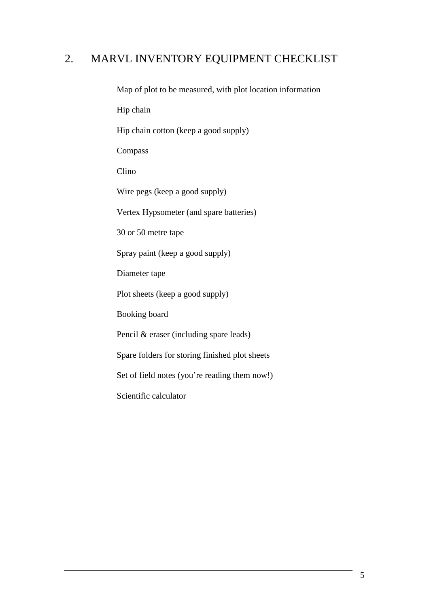# 2. MARVL INVENTORY EQUIPMENT CHECKLIST

Map of plot to be measured, with plot location information Hip chain Hip chain cotton (keep a good supply) Compass Clino Wire pegs (keep a good supply) Vertex Hypsometer (and spare batteries) 30 or 50 metre tape Spray paint (keep a good supply) Diameter tape Plot sheets (keep a good supply) Booking board Pencil & eraser (including spare leads) Spare folders for storing finished plot sheets Set of field notes (you're reading them now!)

Scientific calculator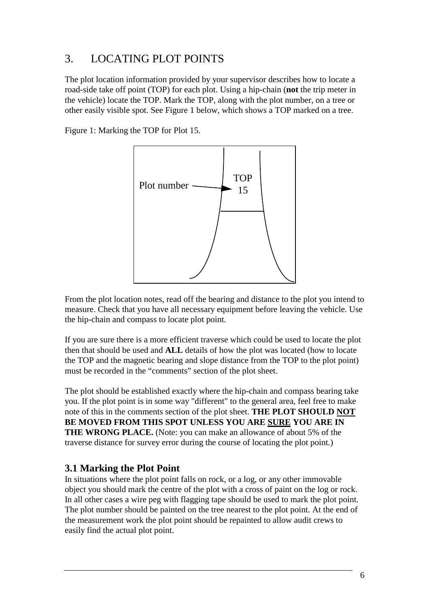# 3. LOCATING PLOT POINTS

The plot location information provided by your supervisor describes how to locate a road-side take off point (TOP) for each plot. Using a hip-chain (**not** the trip meter in the vehicle) locate the TOP. Mark the TOP, along with the plot number, on a tree or other easily visible spot. See Figure 1 below, which shows a TOP marked on a tree.

Figure 1: Marking the TOP for Plot 15.



From the plot location notes, read off the bearing and distance to the plot you intend to measure. Check that you have all necessary equipment before leaving the vehicle. Use the hip-chain and compass to locate plot point.

If you are sure there is a more efficient traverse which could be used to locate the plot then that should be used and **ALL** details of how the plot was located (how to locate the TOP and the magnetic bearing and slope distance from the TOP to the plot point) must be recorded in the "comments" section of the plot sheet.

The plot should be established exactly where the hip-chain and compass bearing take you. If the plot point is in some way "different" to the general area, feel free to make note of this in the comments section of the plot sheet. **THE PLOT SHOULD NOT BE MOVED FROM THIS SPOT UNLESS YOU ARE SURE YOU ARE IN THE WRONG PLACE.** (Note: you can make an allowance of about 5% of the traverse distance for survey error during the course of locating the plot point.)

#### **3.1 Marking the Plot Point**

In situations where the plot point falls on rock, or a log, or any other immovable object you should mark the centre of the plot with a cross of paint on the log or rock. In all other cases a wire peg with flagging tape should be used to mark the plot point. The plot number should be painted on the tree nearest to the plot point. At the end of the measurement work the plot point should be repainted to allow audit crews to easily find the actual plot point.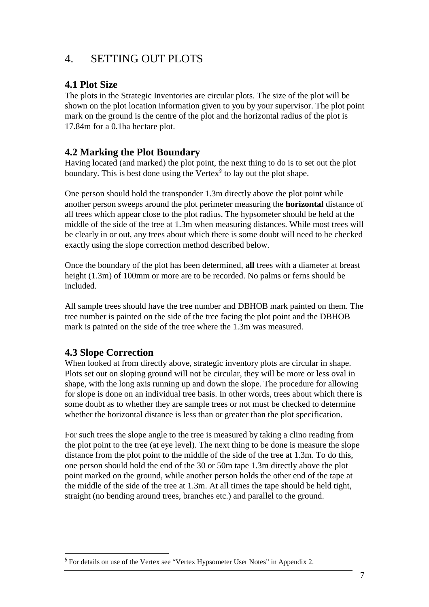# 4. SETTING OUT PLOTS

## **4.1 Plot Size**

The plots in the Strategic Inventories are circular plots. The size of the plot will be shown on the plot location information given to you by your supervisor. The plot point mark on the ground is the centre of the plot and the horizontal radius of the plot is 17.84m for a 0.1ha hectare plot.

### **4.2 Marking the Plot Boundary**

Having located (and marked) the plot point, the next thing to do is to set out the plot boundary. This is best done using the Vertex $\frac{8}{3}$  to lay out the plot shape.

One person should hold the transponder 1.3m directly above the plot point while another person sweeps around the plot perimeter measuring the **horizontal** distance of all trees which appear close to the plot radius. The hypsometer should be held at the middle of the side of the tree at 1.3m when measuring distances. While most trees will be clearly in or out, any trees about which there is some doubt will need to be checked exactly using the slope correction method described below.

Once the boundary of the plot has been determined, **all** trees with a diameter at breast height (1.3m) of 100mm or more are to be recorded. No palms or ferns should be included.

All sample trees should have the tree number and DBHOB mark painted on them. The tree number is painted on the side of the tree facing the plot point and the DBHOB mark is painted on the side of the tree where the 1.3m was measured.

# **4.3 Slope Correction**

 $\overline{a}$ 

When looked at from directly above, strategic inventory plots are circular in shape. Plots set out on sloping ground will not be circular, they will be more or less oval in shape, with the long axis running up and down the slope. The procedure for allowing for slope is done on an individual tree basis. In other words, trees about which there is some doubt as to whether they are sample trees or not must be checked to determine whether the horizontal distance is less than or greater than the plot specification.

For such trees the slope angle to the tree is measured by taking a clino reading from the plot point to the tree (at eye level). The next thing to be done is measure the slope distance from the plot point to the middle of the side of the tree at 1.3m. To do this, one person should hold the end of the 30 or 50m tape 1.3m directly above the plot point marked on the ground, while another person holds the other end of the tape at the middle of the side of the tree at 1.3m. At all times the tape should be held tight, straight (no bending around trees, branches etc.) and parallel to the ground.

<sup>§</sup> For details on use of the Vertex see "Vertex Hypsometer User Notes" in Appendix 2.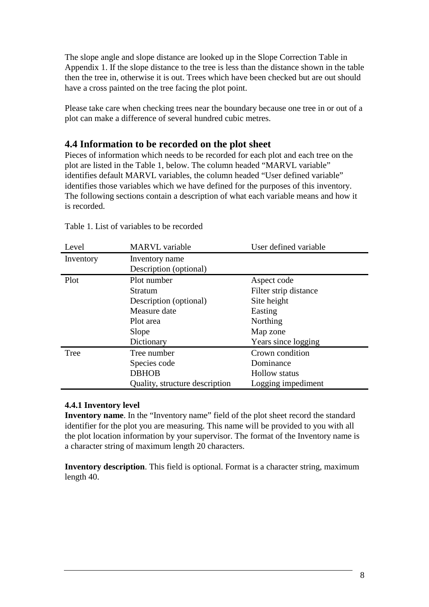The slope angle and slope distance are looked up in the Slope Correction Table in Appendix 1. If the slope distance to the tree is less than the distance shown in the table then the tree in, otherwise it is out. Trees which have been checked but are out should have a cross painted on the tree facing the plot point.

Please take care when checking trees near the boundary because one tree in or out of a plot can make a difference of several hundred cubic metres.

#### **4.4 Information to be recorded on the plot sheet**

Pieces of information which needs to be recorded for each plot and each tree on the plot are listed in the Table 1, below. The column headed "MARVL variable" identifies default MARVL variables, the column headed "User defined variable" identifies those variables which we have defined for the purposes of this inventory. The following sections contain a description of what each variable means and how it is recorded.

| Level     | <b>MARVL</b> variable          | User defined variable |
|-----------|--------------------------------|-----------------------|
| Inventory | Inventory name                 |                       |
|           | Description (optional)         |                       |
| Plot      | Plot number                    | Aspect code           |
|           | <b>Stratum</b>                 | Filter strip distance |
|           | Description (optional)         | Site height           |
|           | Measure date                   | Easting               |
|           | Plot area                      | Northing              |
|           | Slope                          | Map zone              |
|           | Dictionary                     | Years since logging   |
| Tree      | Tree number                    | Crown condition       |
|           | Species code                   | Dominance             |
|           | <b>DBHOB</b>                   | <b>Hollow</b> status  |
|           | Quality, structure description | Logging impediment    |

Table 1. List of variables to be recorded

#### **4.4.1 Inventory level**

**Inventory name**. In the "Inventory name" field of the plot sheet record the standard identifier for the plot you are measuring. This name will be provided to you with all the plot location information by your supervisor. The format of the Inventory name is a character string of maximum length 20 characters.

**Inventory description**. This field is optional. Format is a character string, maximum length 40.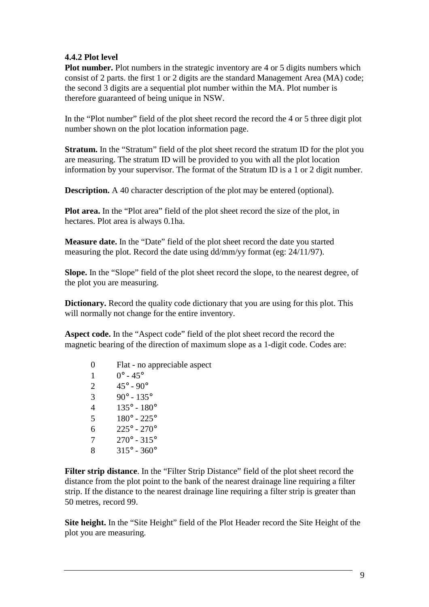#### **4.4.2 Plot level**

**Plot number.** Plot numbers in the strategic inventory are 4 or 5 digits numbers which consist of 2 parts. the first 1 or 2 digits are the standard Management Area (MA) code; the second 3 digits are a sequential plot number within the MA. Plot number is therefore guaranteed of being unique in NSW.

In the "Plot number" field of the plot sheet record the record the 4 or 5 three digit plot number shown on the plot location information page.

**Stratum.** In the "Stratum" field of the plot sheet record the stratum ID for the plot you are measuring. The stratum ID will be provided to you with all the plot location information by your supervisor. The format of the Stratum ID is a 1 or 2 digit number.

**Description.** A 40 character description of the plot may be entered (optional).

**Plot area.** In the "Plot area" field of the plot sheet record the size of the plot, in hectares. Plot area is always 0.1ha.

**Measure date.** In the "Date" field of the plot sheet record the date you started measuring the plot. Record the date using dd/mm/yy format (eg: 24/11/97).

**Slope.** In the "Slope" field of the plot sheet record the slope, to the nearest degree, of the plot you are measuring.

**Dictionary.** Record the quality code dictionary that you are using for this plot. This will normally not change for the entire inventory.

**Aspect code.** In the "Aspect code" field of the plot sheet record the record the magnetic bearing of the direction of maximum slope as a 1-digit code. Codes are:

| $\mathbf{0}$ | Flat - no appreciable aspect |
|--------------|------------------------------|
| 1            | $0^{\circ}$ - $45^{\circ}$   |
| 2            | $45^{\circ} - 90^{\circ}$    |
| 3            | $90^{\circ}$ - $135^{\circ}$ |
| 4            | $135^{\circ} - 180^{\circ}$  |
| 5            | $180^{\circ} - 225^{\circ}$  |
| 6            | $225^{\circ} - 270^{\circ}$  |
| 7            | $270^{\circ} - 315^{\circ}$  |
| 8            | $315^{\circ} - 360^{\circ}$  |
|              |                              |

**Filter strip distance**. In the "Filter Strip Distance" field of the plot sheet record the distance from the plot point to the bank of the nearest drainage line requiring a filter strip. If the distance to the nearest drainage line requiring a filter strip is greater than 50 metres, record 99.

**Site height.** In the "Site Height" field of the Plot Header record the Site Height of the plot you are measuring.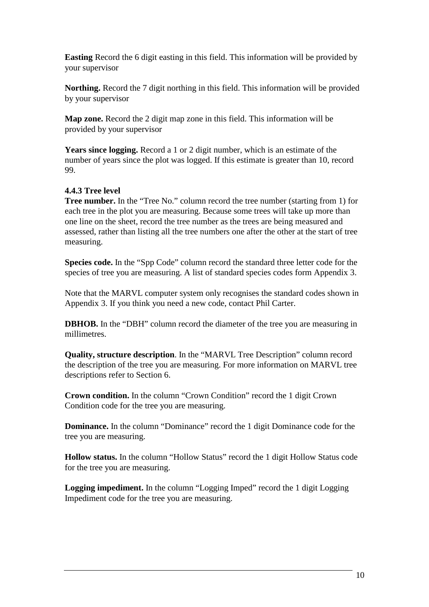**Easting** Record the 6 digit easting in this field. This information will be provided by your supervisor

**Northing.** Record the 7 digit northing in this field. This information will be provided by your supervisor

**Map zone.** Record the 2 digit map zone in this field. This information will be provided by your supervisor

**Years since logging.** Record a 1 or 2 digit number, which is an estimate of the number of years since the plot was logged. If this estimate is greater than 10, record 99.

#### **4.4.3 Tree level**

**Tree number.** In the "Tree No." column record the tree number (starting from 1) for each tree in the plot you are measuring. Because some trees will take up more than one line on the sheet, record the tree number as the trees are being measured and assessed, rather than listing all the tree numbers one after the other at the start of tree measuring.

**Species code.** In the "Spp Code" column record the standard three letter code for the species of tree you are measuring. A list of standard species codes form Appendix 3.

Note that the MARVL computer system only recognises the standard codes shown in Appendix 3. If you think you need a new code, contact Phil Carter.

**DBHOB.** In the "DBH" column record the diameter of the tree you are measuring in millimetres.

**Quality, structure description**. In the "MARVL Tree Description" column record the description of the tree you are measuring. For more information on MARVL tree descriptions refer to Section 6.

**Crown condition.** In the column "Crown Condition" record the 1 digit Crown Condition code for the tree you are measuring.

**Dominance.** In the column "Dominance" record the 1 digit Dominance code for the tree you are measuring.

**Hollow status.** In the column "Hollow Status" record the 1 digit Hollow Status code for the tree you are measuring.

**Logging impediment.** In the column "Logging Imped" record the 1 digit Logging Impediment code for the tree you are measuring.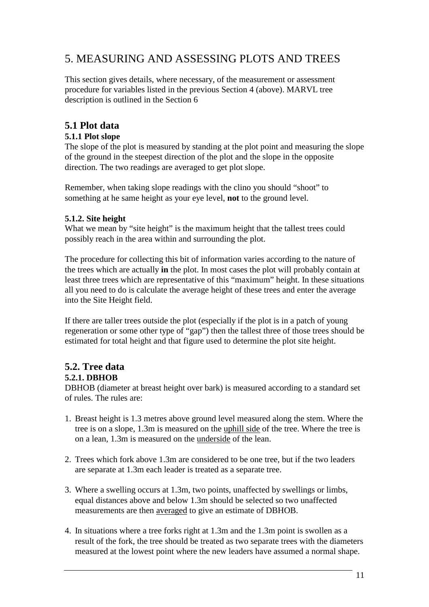# 5. MEASURING AND ASSESSING PLOTS AND TREES

This section gives details, where necessary, of the measurement or assessment procedure for variables listed in the previous Section 4 (above). MARVL tree description is outlined in the Section 6

# **5.1 Plot data**

#### **5.1.1 Plot slope**

The slope of the plot is measured by standing at the plot point and measuring the slope of the ground in the steepest direction of the plot and the slope in the opposite direction. The two readings are averaged to get plot slope.

Remember, when taking slope readings with the clino you should "shoot" to something at he same height as your eye level, **not** to the ground level.

#### **5.1.2. Site height**

What we mean by "site height" is the maximum height that the tallest trees could possibly reach in the area within and surrounding the plot.

The procedure for collecting this bit of information varies according to the nature of the trees which are actually **in** the plot. In most cases the plot will probably contain at least three trees which are representative of this "maximum" height. In these situations all you need to do is calculate the average height of these trees and enter the average into the Site Height field.

If there are taller trees outside the plot (especially if the plot is in a patch of young regeneration or some other type of "gap") then the tallest three of those trees should be estimated for total height and that figure used to determine the plot site height.

# **5.2. Tree data**

**5.2.1. DBHOB**

DBHOB (diameter at breast height over bark) is measured according to a standard set of rules. The rules are:

- 1. Breast height is 1.3 metres above ground level measured along the stem. Where the tree is on a slope, 1.3m is measured on the uphill side of the tree. Where the tree is on a lean, 1.3m is measured on the underside of the lean.
- 2. Trees which fork above 1.3m are considered to be one tree, but if the two leaders are separate at 1.3m each leader is treated as a separate tree.
- 3. Where a swelling occurs at 1.3m, two points, unaffected by swellings or limbs, equal distances above and below 1.3m should be selected so two unaffected measurements are then averaged to give an estimate of DBHOB.
- 4. In situations where a tree forks right at 1.3m and the 1.3m point is swollen as a result of the fork, the tree should be treated as two separate trees with the diameters measured at the lowest point where the new leaders have assumed a normal shape.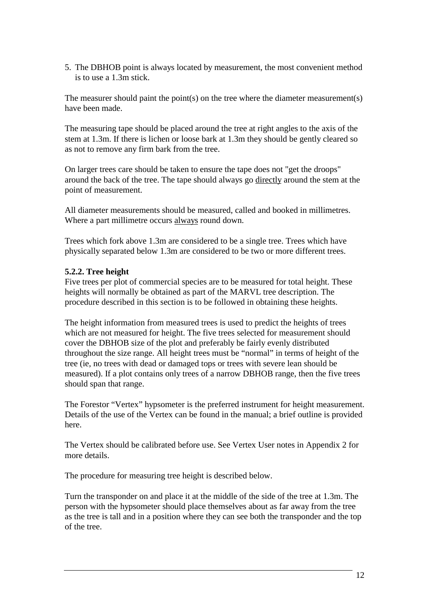5. The DBHOB point is always located by measurement, the most convenient method is to use a 1.3m stick.

The measurer should paint the point(s) on the tree where the diameter measurement(s) have been made.

The measuring tape should be placed around the tree at right angles to the axis of the stem at 1.3m. If there is lichen or loose bark at 1.3m they should be gently cleared so as not to remove any firm bark from the tree.

On larger trees care should be taken to ensure the tape does not "get the droops" around the back of the tree. The tape should always go directly around the stem at the point of measurement.

All diameter measurements should be measured, called and booked in millimetres. Where a part millimetre occurs always round down.

Trees which fork above 1.3m are considered to be a single tree. Trees which have physically separated below 1.3m are considered to be two or more different trees.

#### **5.2.2. Tree height**

Five trees per plot of commercial species are to be measured for total height. These heights will normally be obtained as part of the MARVL tree description. The procedure described in this section is to be followed in obtaining these heights.

The height information from measured trees is used to predict the heights of trees which are not measured for height. The five trees selected for measurement should cover the DBHOB size of the plot and preferably be fairly evenly distributed throughout the size range. All height trees must be "normal" in terms of height of the tree (ie, no trees with dead or damaged tops or trees with severe lean should be measured). If a plot contains only trees of a narrow DBHOB range, then the five trees should span that range.

The Forestor "Vertex" hypsometer is the preferred instrument for height measurement. Details of the use of the Vertex can be found in the manual; a brief outline is provided here.

The Vertex should be calibrated before use. See Vertex User notes in Appendix 2 for more details.

The procedure for measuring tree height is described below.

Turn the transponder on and place it at the middle of the side of the tree at 1.3m. The person with the hypsometer should place themselves about as far away from the tree as the tree is tall and in a position where they can see both the transponder and the top of the tree.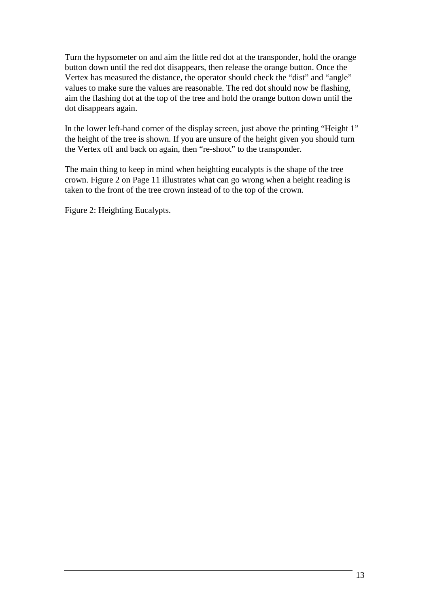Turn the hypsometer on and aim the little red dot at the transponder, hold the orange button down until the red dot disappears, then release the orange button. Once the Vertex has measured the distance, the operator should check the "dist" and "angle" values to make sure the values are reasonable. The red dot should now be flashing, aim the flashing dot at the top of the tree and hold the orange button down until the dot disappears again.

In the lower left-hand corner of the display screen, just above the printing "Height 1" the height of the tree is shown. If you are unsure of the height given you should turn the Vertex off and back on again, then "re-shoot" to the transponder.

The main thing to keep in mind when heighting eucalypts is the shape of the tree crown. Figure 2 on Page 11 illustrates what can go wrong when a height reading is taken to the front of the tree crown instead of to the top of the crown.

Figure 2: Heighting Eucalypts.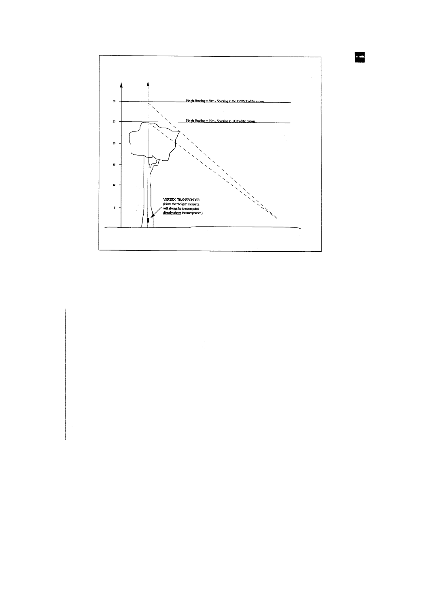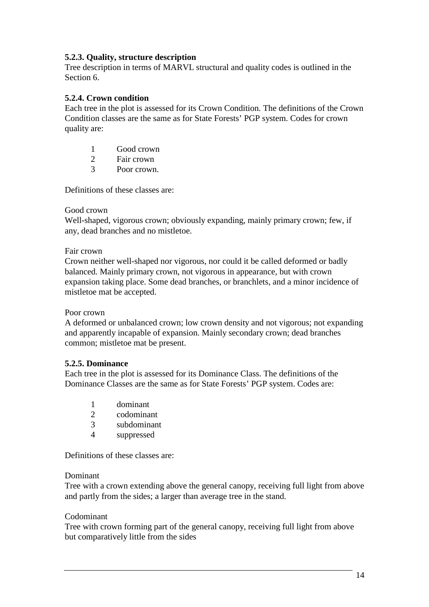#### **5.2.3. Quality, structure description**

Tree description in terms of MARVL structural and quality codes is outlined in the Section 6.

#### **5.2.4. Crown condition**

Each tree in the plot is assessed for its Crown Condition. The definitions of the Crown Condition classes are the same as for State Forests' PGP system. Codes for crown quality are:

- 1 Good crown
- 2 Fair crown
- 3 Poor crown.

Definitions of these classes are:

#### Good crown

Well-shaped, vigorous crown; obviously expanding, mainly primary crown; few, if any, dead branches and no mistletoe.

#### Fair crown

Crown neither well-shaped nor vigorous, nor could it be called deformed or badly balanced. Mainly primary crown, not vigorous in appearance, but with crown expansion taking place. Some dead branches, or branchlets, and a minor incidence of mistletoe mat be accepted.

#### Poor crown

A deformed or unbalanced crown; low crown density and not vigorous; not expanding and apparently incapable of expansion. Mainly secondary crown; dead branches common; mistletoe mat be present.

#### **5.2.5. Dominance**

Each tree in the plot is assessed for its Dominance Class. The definitions of the Dominance Classes are the same as for State Forests' PGP system. Codes are:

- 1 dominant
- 2 codominant
- 3 subdominant
- 4 suppressed

Definitions of these classes are:

#### Dominant

Tree with a crown extending above the general canopy, receiving full light from above and partly from the sides; a larger than average tree in the stand.

#### Codominant

Tree with crown forming part of the general canopy, receiving full light from above but comparatively little from the sides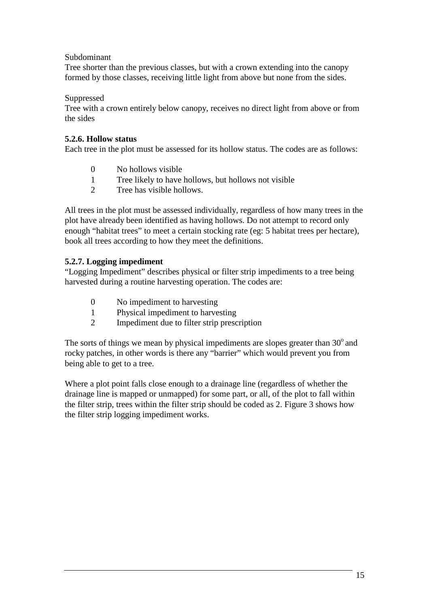#### Subdominant

Tree shorter than the previous classes, but with a crown extending into the canopy formed by those classes, receiving little light from above but none from the sides.

#### Suppressed

Tree with a crown entirely below canopy, receives no direct light from above or from the sides

#### **5.2.6. Hollow status**

Each tree in the plot must be assessed for its hollow status. The codes are as follows:

- 0 No hollows visible
- 1 Tree likely to have hollows, but hollows not visible
- 2 Tree has visible hollows.

All trees in the plot must be assessed individually, regardless of how many trees in the plot have already been identified as having hollows. Do not attempt to record only enough "habitat trees" to meet a certain stocking rate (eg: 5 habitat trees per hectare), book all trees according to how they meet the definitions.

#### **5.2.7. Logging impediment**

"Logging Impediment" describes physical or filter strip impediments to a tree being harvested during a routine harvesting operation. The codes are:

- 0 No impediment to harvesting
- 1 Physical impediment to harvesting
- 2 Impediment due to filter strip prescription

The sorts of things we mean by physical impediments are slopes greater than  $30^{\circ}$  and rocky patches, in other words is there any "barrier" which would prevent you from being able to get to a tree.

Where a plot point falls close enough to a drainage line (regardless of whether the drainage line is mapped or unmapped) for some part, or all, of the plot to fall within the filter strip, trees within the filter strip should be coded as 2. Figure 3 shows how the filter strip logging impediment works.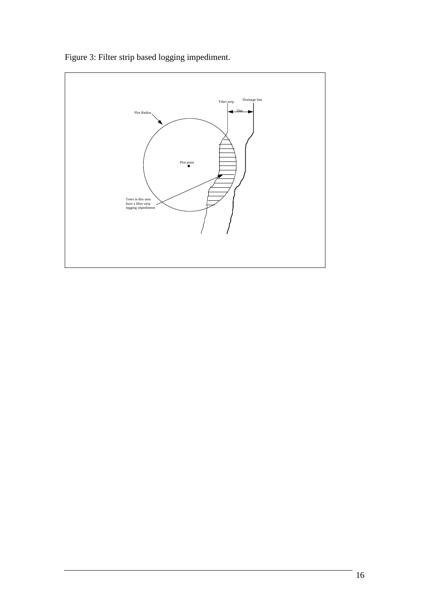

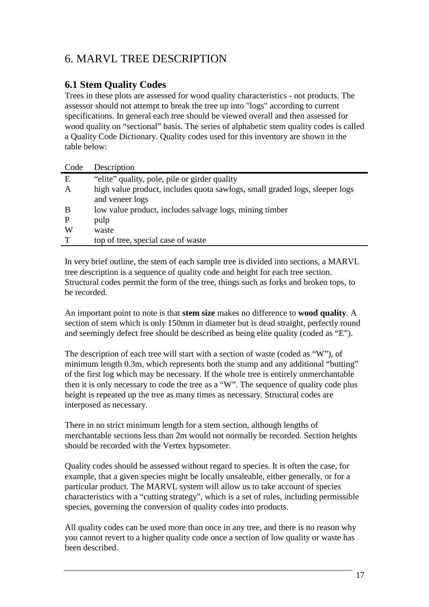# 6. MARVL TREE DESCRIPTION

## **6.1 Stem Quality Codes**

Trees in these plots are assessed for wood quality characteristics - not products. The assessor should not attempt to break the tree up into "logs" according to current specifications. In general each tree should be viewed overall and then assessed for wood quality on "sectional" basis. The series of alphabetic stem quality codes is called a Quality Code Dictionary. Quality codes used for this inventory are shown in the table below:

| Code | Description                                                                 |
|------|-----------------------------------------------------------------------------|
| E    | "elite" quality, pole, pile or girder quality                               |
| A    | high value product, includes quota sawlogs, small graded logs, sleeper logs |
|      | and veneer logs                                                             |
| B    | low value product, includes salvage logs, mining timber                     |
| P    | pulp                                                                        |
| W    | waste                                                                       |
|      | top of tree, special case of waste                                          |

In very brief outline, the stem of each sample tree is divided into sections, a MARVL tree description is a sequence of quality code and height for each tree section. Structural codes permit the form of the tree, things such as forks and broken tops, to be recorded.

An important point to note is that **stem size** makes no difference to **wood quality**. A section of stem which is only 150mm in diameter but is dead straight, perfectly round and seemingly defect free should be described as being elite quality (coded as "E").

The description of each tree will start with a section of waste (coded as "W"), of minimum length 0.3m, which represents both the stump and any additional "butting" of the first log which may be necessary. If the whole tree is entirely unmerchantable then it is only necessary to code the tree as a "W". The sequence of quality code plus height is repeated up the tree as many times as necessary. Structural codes are interposed as necessary.

There in no strict minimum length for a stem section, although lengths of merchantable sections less than 2m would not normally be recorded. Section heights should be recorded with the Vertex hypsometer.

Quality codes should be assessed without regard to species. It is often the case, for example, that a given species might be locally unsaleable, either generally, or for a particular product. The MARVL system will allow us to take account of species characteristics with a "cutting strategy", which is a set of rules, including permissible species, governing the conversion of quality codes into products.

All quality codes can be used more than once in any tree, and there is no reason why you cannot revert to a higher quality code once a section of low quality or waste has been described.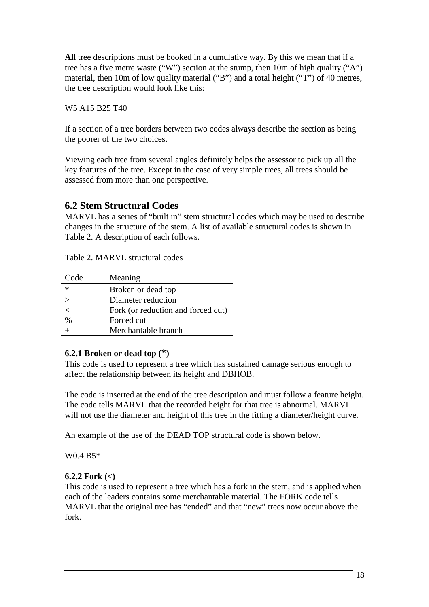**All** tree descriptions must be booked in a cumulative way. By this we mean that if a tree has a five metre waste ("W") section at the stump, then 10m of high quality ("A") material, then 10m of low quality material ("B") and a total height ("T") of 40 metres, the tree description would look like this:

W5 A15 B25 T40

If a section of a tree borders between two codes always describe the section as being the poorer of the two choices.

Viewing each tree from several angles definitely helps the assessor to pick up all the key features of the tree. Except in the case of very simple trees, all trees should be assessed from more than one perspective.

#### **6.2 Stem Structural Codes**

MARVL has a series of "built in" stem structural codes which may be used to describe changes in the structure of the stem. A list of available structural codes is shown in Table 2. A description of each follows.

Table 2. MARVL structural codes

| Code     | Meaning                            |
|----------|------------------------------------|
| $\ast$   | Broken or dead top                 |
| $\rm{>}$ | Diameter reduction                 |
| $\,<\,$  | Fork (or reduction and forced cut) |
| $\%$     | Forced cut                         |
|          | Merchantable branch                |

#### **6.2.1 Broken or dead top (\*)**

This code is used to represent a tree which has sustained damage serious enough to affect the relationship between its height and DBHOB.

The code is inserted at the end of the tree description and must follow a feature height. The code tells MARVL that the recorded height for that tree is abnormal. MARVL will not use the diameter and height of this tree in the fitting a diameter/height curve.

An example of the use of the DEAD TOP structural code is shown below.

W0.4 B5\*

#### **6.2.2 Fork (<)**

This code is used to represent a tree which has a fork in the stem, and is applied when each of the leaders contains some merchantable material. The FORK code tells MARVL that the original tree has "ended" and that "new" trees now occur above the fork.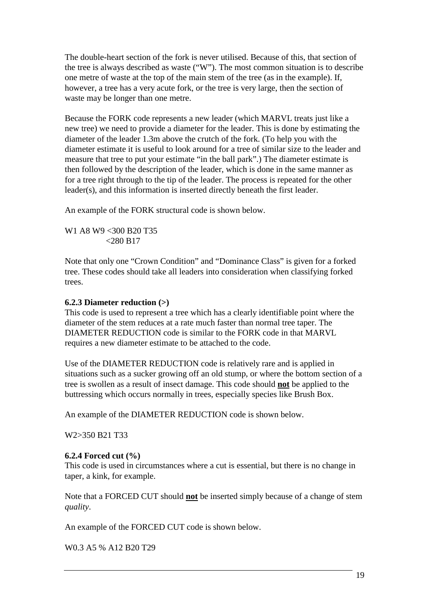The double-heart section of the fork is never utilised. Because of this, that section of the tree is always described as waste ("W"). The most common situation is to describe one metre of waste at the top of the main stem of the tree (as in the example). If, however, a tree has a very acute fork, or the tree is very large, then the section of waste may be longer than one metre.

Because the FORK code represents a new leader (which MARVL treats just like a new tree) we need to provide a diameter for the leader. This is done by estimating the diameter of the leader 1.3m above the crutch of the fork. (To help you with the diameter estimate it is useful to look around for a tree of similar size to the leader and measure that tree to put your estimate "in the ball park".) The diameter estimate is then followed by the description of the leader, which is done in the same manner as for a tree right through to the tip of the leader. The process is repeated for the other leader(s), and this information is inserted directly beneath the first leader.

An example of the FORK structural code is shown below.

W<sub>1</sub> A<sub>8</sub> W<sub>9</sub> < 300 B<sub>20</sub> T<sub>35</sub>  $<$ 280 B17

Note that only one "Crown Condition" and "Dominance Class" is given for a forked tree. These codes should take all leaders into consideration when classifying forked trees.

#### **6.2.3 Diameter reduction (>)**

This code is used to represent a tree which has a clearly identifiable point where the diameter of the stem reduces at a rate much faster than normal tree taper. The DIAMETER REDUCTION code is similar to the FORK code in that MARVL requires a new diameter estimate to be attached to the code.

Use of the DIAMETER REDUCTION code is relatively rare and is applied in situations such as a sucker growing off an old stump, or where the bottom section of a tree is swollen as a result of insect damage. This code should **not** be applied to the buttressing which occurs normally in trees, especially species like Brush Box.

An example of the DIAMETER REDUCTION code is shown below.

W2>350 B21 T33

#### **6.2.4 Forced cut (%)**

This code is used in circumstances where a cut is essential, but there is no change in taper, a kink, for example.

Note that a FORCED CUT should **not** be inserted simply because of a change of stem *quality*.

An example of the FORCED CUT code is shown below.

W0.3 A5 % A12 B20 T29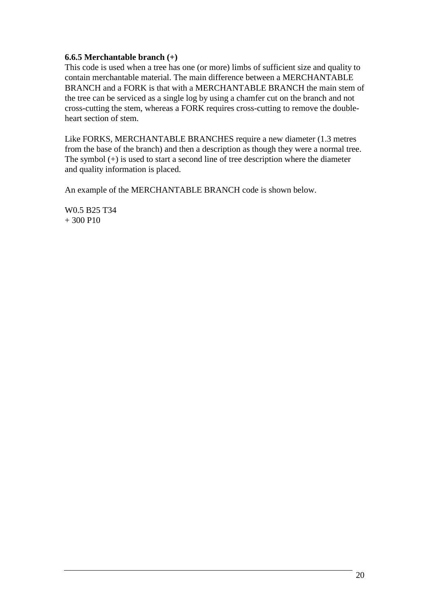#### **6.6.5 Merchantable branch (+)**

This code is used when a tree has one (or more) limbs of sufficient size and quality to contain merchantable material. The main difference between a MERCHANTABLE BRANCH and a FORK is that with a MERCHANTABLE BRANCH the main stem of the tree can be serviced as a single log by using a chamfer cut on the branch and not cross-cutting the stem, whereas a FORK requires cross-cutting to remove the doubleheart section of stem.

Like FORKS, MERCHANTABLE BRANCHES require a new diameter (1.3 metres from the base of the branch) and then a description as though they were a normal tree. The symbol (+) is used to start a second line of tree description where the diameter and quality information is placed.

An example of the MERCHANTABLE BRANCH code is shown below.

W<sub>0.5</sub> B<sub>25</sub> T<sub>34</sub>  $+ 300 P10$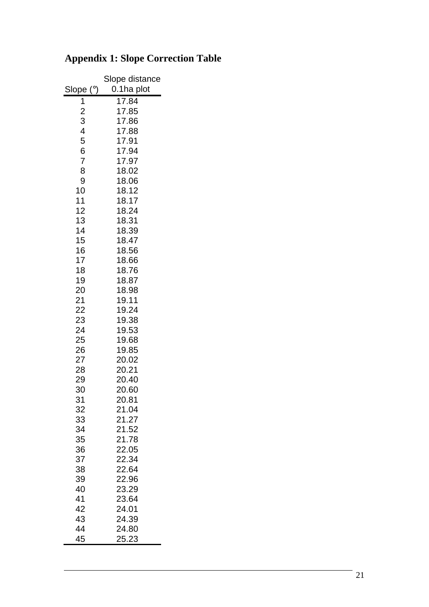| Slope $(°)$             | Slope distance<br>0.1ha plot |  |
|-------------------------|------------------------------|--|
| 1                       | 17.84                        |  |
| $\overline{\mathbf{c}}$ | 17.85                        |  |
| 3                       | 17.86                        |  |
| 4                       | 17.88                        |  |
| 5                       | 17.91                        |  |
| 6<br>$\overline{7}$     | 17.94<br>17.97               |  |
| 8                       | 18.02                        |  |
| 9                       | 18.06                        |  |
| 10                      | 18.12                        |  |
| 11                      | 18.17                        |  |
| 12                      | 18.24                        |  |
| 13                      | 18.31                        |  |
| 14<br>15                | 18.39                        |  |
| 16                      | 18.47<br>18.56               |  |
| 17                      | 18.66                        |  |
| 18                      | 18.76                        |  |
| 19                      | 18.87                        |  |
| 20                      | 18.98                        |  |
| 21                      | 19.11                        |  |
| 22                      | 19.24                        |  |
| 23<br>24                | 19.38<br>19.53               |  |
| 25                      | 19.68                        |  |
| 26                      | 19.85                        |  |
| 27                      | 20.02                        |  |
| 28                      | 20.21                        |  |
| 29                      | 20.40                        |  |
| 30<br>31                | 20.60<br>20.81               |  |
| 32                      | 21.04                        |  |
| 33                      | 21.27                        |  |
| 34                      | 21.52                        |  |
| 35                      | 21.78                        |  |
| 36                      | 22.05                        |  |
| 37                      | 22.34                        |  |
| 38<br>39                | 22.64<br>22.96               |  |
| 40                      | 23.29                        |  |
| 41                      | 23.64                        |  |
| 42                      | 24.01                        |  |
| 43                      | 24.39                        |  |
| 44                      | 24.80                        |  |
| 45                      | 25.23                        |  |

# **Appendix 1: Slope Correction Table**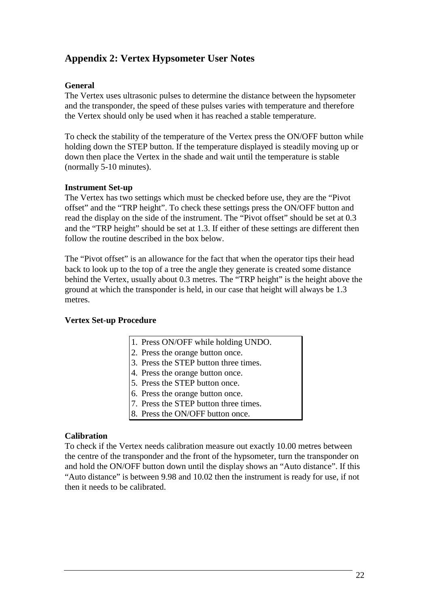# **Appendix 2: Vertex Hypsometer User Notes**

#### **General**

The Vertex uses ultrasonic pulses to determine the distance between the hypsometer and the transponder, the speed of these pulses varies with temperature and therefore the Vertex should only be used when it has reached a stable temperature.

To check the stability of the temperature of the Vertex press the ON/OFF button while holding down the STEP button. If the temperature displayed is steadily moving up or down then place the Vertex in the shade and wait until the temperature is stable (normally 5-10 minutes).

#### **Instrument Set-up**

The Vertex has two settings which must be checked before use, they are the "Pivot offset" and the "TRP height". To check these settings press the ON/OFF button and read the display on the side of the instrument. The "Pivot offset" should be set at 0.3 and the "TRP height" should be set at 1.3. If either of these settings are different then follow the routine described in the box below.

The "Pivot offset" is an allowance for the fact that when the operator tips their head back to look up to the top of a tree the angle they generate is created some distance behind the Vertex, usually about 0.3 metres. The "TRP height" is the height above the ground at which the transponder is held, in our case that height will always be 1.3 metres.

#### **Vertex Set-up Procedure**

- 1. Press ON/OFF while holding UNDO.
- 2. Press the orange button once.
- 3. Press the STEP button three times.
- 4. Press the orange button once.
- 5. Press the STEP button once.
- 6. Press the orange button once.
- 7. Press the STEP button three times.
- 8. Press the ON/OFF button once.

#### **Calibration**

To check if the Vertex needs calibration measure out exactly 10.00 metres between the centre of the transponder and the front of the hypsometer, turn the transponder on and hold the ON/OFF button down until the display shows an "Auto distance". If this "Auto distance" is between 9.98 and 10.02 then the instrument is ready for use, if not then it needs to be calibrated.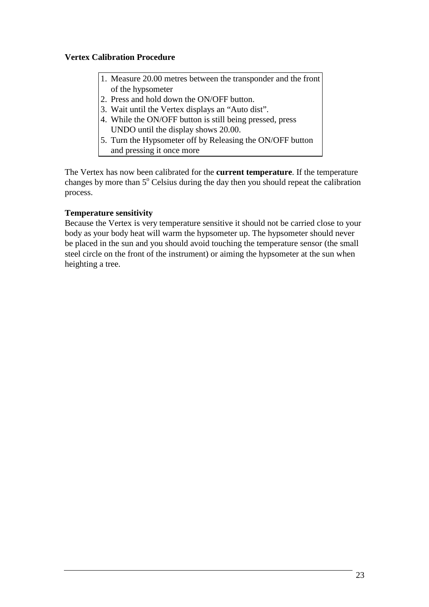#### **Vertex Calibration Procedure**

- 1. Measure 20.00 metres between the transponder and the front of the hypsometer
- 2. Press and hold down the ON/OFF button.
- 3. Wait until the Vertex displays an "Auto dist".
- 4. While the ON/OFF button is still being pressed, press UNDO until the display shows 20.00.
- 5. Turn the Hypsometer off by Releasing the ON/OFF button and pressing it once more

The Vertex has now been calibrated for the **current temperature**. If the temperature changes by more than 5° Celsius during the day then you should repeat the calibration process.

#### **Temperature sensitivity**

Because the Vertex is very temperature sensitive it should not be carried close to your body as your body heat will warm the hypsometer up. The hypsometer should never be placed in the sun and you should avoid touching the temperature sensor (the small steel circle on the front of the instrument) or aiming the hypsometer at the sun when heighting a tree.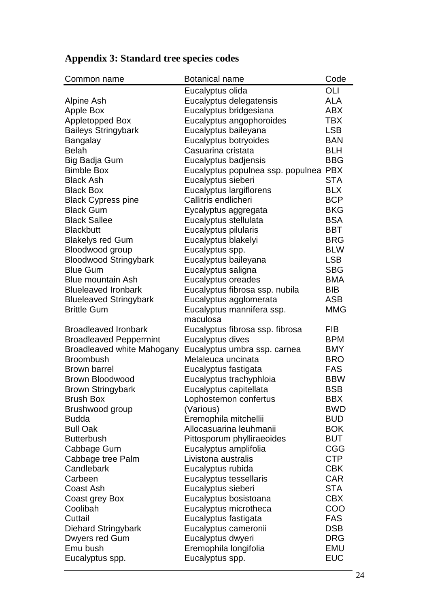# **Appendix 3: Standard tree species codes**

| Common name                   | <b>Botanical name</b>             | Code       |
|-------------------------------|-----------------------------------|------------|
|                               | Eucalyptus olida                  | OLI        |
| Alpine Ash                    | Eucalyptus delegatensis           | <b>ALA</b> |
| Apple Box                     | Eucalyptus bridgesiana            | <b>ABX</b> |
| <b>Appletopped Box</b>        | Eucalyptus angophoroides          | <b>TBX</b> |
| <b>Baileys Stringybark</b>    | Eucalyptus baileyana              | <b>LSB</b> |
| Bangalay                      | Eucalyptus botryoides             | <b>BAN</b> |
| <b>Belah</b>                  | Casuarina cristata                | <b>BLH</b> |
| Big Badja Gum                 | Eucalyptus badjensis              | <b>BBG</b> |
| <b>Bimble Box</b>             | Eucalyptus populnea ssp. populnea | <b>PBX</b> |
| <b>Black Ash</b>              | Eucalyptus sieberi                | <b>STA</b> |
| <b>Black Box</b>              | Eucalyptus largiflorens           | <b>BLX</b> |
| <b>Black Cypress pine</b>     | Callitris endlicheri              | <b>BCP</b> |
| <b>Black Gum</b>              | Eycalyptus aggregata              | <b>BKG</b> |
| <b>Black Sallee</b>           | Eucalyptus stellulata             | <b>BSA</b> |
| <b>Blackbutt</b>              | Eucalyptus pilularis              | <b>BBT</b> |
| <b>Blakelys red Gum</b>       | Eucalyptus blakelyi               | <b>BRG</b> |
| Bloodwood group               | Eucalyptus spp.                   | <b>BLW</b> |
| <b>Bloodwood Stringybark</b>  | Eucalyptus baileyana              | <b>LSB</b> |
| <b>Blue Gum</b>               | Eucalyptus saligna                | <b>SBG</b> |
| <b>Blue mountain Ash</b>      | Eucalyptus oreades                | <b>BMA</b> |
| <b>Blueleaved Ironbark</b>    | Eucalyptus fibrosa ssp. nubila    | <b>BIB</b> |
| <b>Blueleaved Stringybark</b> | Eucalyptus agglomerata            | <b>ASB</b> |
| <b>Brittle Gum</b>            | Eucalyptus mannifera ssp.         | <b>MMG</b> |
|                               | maculosa                          |            |
| <b>Broadleaved Ironbark</b>   | Eucalyptus fibrosa ssp. fibrosa   | <b>FIB</b> |
| <b>Broadleaved Peppermint</b> | Eucalyptus dives                  | <b>BPM</b> |
| Broadleaved white Mahogany    | Eucalyptus umbra ssp. carnea      | <b>BMY</b> |
| <b>Broombush</b>              | Melaleuca uncinata                | <b>BRO</b> |
| <b>Brown barrel</b>           | Eucalyptus fastigata              | <b>FAS</b> |
| <b>Brown Bloodwood</b>        | Eucalyptus trachyphloia           | <b>BBW</b> |
| <b>Brown Stringybark</b>      | Eucalyptus capitellata            | <b>BSB</b> |
| <b>Brush Box</b>              | Lophostemon confertus             | <b>BBX</b> |
| Brushwood group               | (Various)                         | <b>BWD</b> |
| <b>Budda</b>                  | Eremophila mitchellii             | <b>BUD</b> |
| <b>Bull Oak</b>               | Allocasuarina leuhmanii           | <b>BOK</b> |
| <b>Butterbush</b>             | Pittosporum phylliraeoides        | <b>BUT</b> |
| Cabbage Gum                   | Eucalyptus amplifolia             | <b>CGG</b> |
| Cabbage tree Palm             | Livistona australis               | <b>CTP</b> |
| Candlebark                    | Eucalyptus rubida                 | <b>CBK</b> |
| Carbeen                       | Eucalyptus tessellaris            | <b>CAR</b> |
| <b>Coast Ash</b>              | Eucalyptus sieberi                | <b>STA</b> |
| Coast grey Box                | Eucalyptus bosistoana             | <b>CBX</b> |
| Coolibah                      | Eucalyptus microtheca             | COO        |
| Cuttail                       | Eucalyptus fastigata              | <b>FAS</b> |
| Diehard Stringybark           | Eucalyptus cameronii              | <b>DSB</b> |
| Dwyers red Gum                | Eucalyptus dwyeri                 | <b>DRG</b> |
| Emu bush                      | Eremophila longifolia             | <b>EMU</b> |
| Eucalyptus spp.               | Eucalyptus spp.                   | <b>EUC</b> |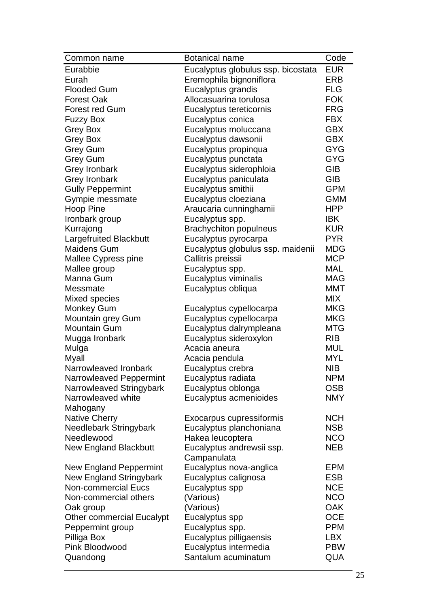| Common name                      | <b>Botanical name</b>              | Code       |
|----------------------------------|------------------------------------|------------|
| Eurabbie                         | Eucalyptus globulus ssp. bicostata | <b>EUR</b> |
| Eurah                            | Eremophila bignoniflora            | <b>ERB</b> |
| <b>Flooded Gum</b>               | Eucalyptus grandis                 | <b>FLG</b> |
| <b>Forest Oak</b>                | Allocasuarina torulosa             | <b>FOK</b> |
| <b>Forest red Gum</b>            | Eucalyptus tereticornis            | <b>FRG</b> |
| <b>Fuzzy Box</b>                 | Eucalyptus conica                  | <b>FBX</b> |
| Grey Box                         | Eucalyptus moluccana               | <b>GBX</b> |
| <b>Grey Box</b>                  | Eucalyptus dawsonii                | <b>GBX</b> |
| <b>Grey Gum</b>                  | Eucalyptus propinqua               | <b>GYG</b> |
| <b>Grey Gum</b>                  | Eucalyptus punctata                | <b>GYG</b> |
| <b>Grey Ironbark</b>             | Eucalyptus siderophloia            | <b>GIB</b> |
| <b>Grey Ironbark</b>             | Eucalyptus paniculata              | <b>GIB</b> |
| <b>Gully Peppermint</b>          | Eucalyptus smithii                 | <b>GPM</b> |
| Gympie messmate                  | Eucalyptus cloeziana               | <b>GMM</b> |
| <b>Hoop Pine</b>                 | Araucaria cunninghamii             | <b>HPP</b> |
| Ironbark group                   | Eucalyptus spp.                    | <b>IBK</b> |
| Kurrajong                        | <b>Brachychiton populneus</b>      | <b>KUR</b> |
| <b>Largefruited Blackbutt</b>    | Eucalyptus pyrocarpa               | <b>PYR</b> |
| <b>Maidens Gum</b>               | Eucalyptus globulus ssp. maidenii  | <b>MDG</b> |
| Mallee Cypress pine              | Callitris preissii                 | <b>MCP</b> |
| Mallee group                     | Eucalyptus spp.                    | <b>MAL</b> |
| Manna Gum                        | Eucalyptus viminalis               | <b>MAG</b> |
| Messmate                         | Eucalyptus obliqua                 | <b>MMT</b> |
| <b>Mixed species</b>             |                                    | <b>MIX</b> |
| <b>Monkey Gum</b>                | Eucalyptus cypellocarpa            | <b>MKG</b> |
| Mountain grey Gum                | Eucalyptus cypellocarpa            | <b>MKG</b> |
| <b>Mountain Gum</b>              | Eucalyptus dalrympleana            | <b>MTG</b> |
| Mugga Ironbark                   | Eucalyptus sideroxylon             | <b>RIB</b> |
| Mulga                            | Acacia aneura                      | <b>MUL</b> |
| Myall                            | Acacia pendula                     | <b>MYL</b> |
| Narrowleaved Ironbark            | Eucalyptus crebra                  | <b>NIB</b> |
| Narrowleaved Peppermint          | Eucalyptus radiata                 | <b>NPM</b> |
| Narrowleaved Stringybark         | Eucalyptus oblonga                 | <b>OSB</b> |
| Narrowleaved white               | Eucalyptus acmenioides             | <b>NMY</b> |
| Mahogany                         |                                    |            |
| <b>Native Cherry</b>             | Exocarpus cupressiformis           | <b>NCH</b> |
| Needlebark Stringybark           | Eucalyptus planchoniana            | <b>NSB</b> |
| Needlewood                       | Hakea leucoptera                   | <b>NCO</b> |
| <b>New England Blackbutt</b>     | Eucalyptus andrewsii ssp.          | <b>NEB</b> |
|                                  | Campanulata                        |            |
| <b>New England Peppermint</b>    | Eucalyptus nova-anglica            | <b>EPM</b> |
| <b>New England Stringybark</b>   | Eucalyptus calignosa               | <b>ESB</b> |
| <b>Non-commercial Eucs</b>       | Eucalyptus spp                     | <b>NCE</b> |
| Non-commercial others            | (Various)                          | <b>NCO</b> |
| Oak group                        | (Various)                          | <b>OAK</b> |
| <b>Other commercial Eucalypt</b> | Eucalyptus spp                     | <b>OCE</b> |
| Peppermint group                 | Eucalyptus spp.                    | <b>PPM</b> |
| Pilliga Box                      | Eucalyptus pilligaensis            | <b>LBX</b> |
| Pink Bloodwood                   | Eucalyptus intermedia              | <b>PBW</b> |
| Quandong                         | Santalum acuminatum                | <b>QUA</b> |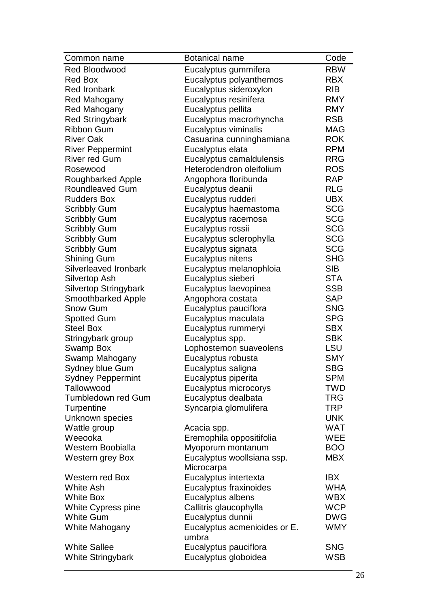| Common name                  | <b>Botanical name</b>        | Code       |
|------------------------------|------------------------------|------------|
| Red Bloodwood                | Eucalyptus gummifera         | <b>RBW</b> |
| <b>Red Box</b>               | Eucalyptus polyanthemos      | <b>RBX</b> |
| <b>Red Ironbark</b>          | Eucalyptus sideroxylon       | <b>RIB</b> |
| Red Mahogany                 | Eucalyptus resinifera        | <b>RMY</b> |
| Red Mahogany                 | Eucalyptus pellita           | <b>RMY</b> |
| <b>Red Stringybark</b>       | Eucalyptus macrorhyncha      | <b>RSB</b> |
| <b>Ribbon Gum</b>            | Eucalyptus viminalis         | <b>MAG</b> |
| <b>River Oak</b>             | Casuarina cunninghamiana     | <b>ROK</b> |
| <b>River Peppermint</b>      | Eucalyptus elata             | <b>RPM</b> |
| <b>River red Gum</b>         | Eucalyptus camaldulensis     | <b>RRG</b> |
| Rosewood                     | Heterodendron oleifolium     | <b>ROS</b> |
| <b>Roughbarked Apple</b>     | Angophora floribunda         | <b>RAP</b> |
| <b>Roundleaved Gum</b>       | Eucalyptus deanii            | <b>RLG</b> |
| <b>Rudders Box</b>           | Eucalyptus rudderi           | <b>UBX</b> |
| <b>Scribbly Gum</b>          | Eucalyptus haemastoma        | <b>SCG</b> |
| <b>Scribbly Gum</b>          | Eucalyptus racemosa          | <b>SCG</b> |
| <b>Scribbly Gum</b>          | Eucalyptus rossii            | <b>SCG</b> |
| <b>Scribbly Gum</b>          | Eucalyptus sclerophylla      | <b>SCG</b> |
| <b>Scribbly Gum</b>          | Eucalyptus signata           | <b>SCG</b> |
| <b>Shining Gum</b>           | Eucalyptus nitens            | <b>SHG</b> |
| Silverleaved Ironbark        | Eucalyptus melanophloia      | <b>SIB</b> |
| Silvertop Ash                | Eucalyptus sieberi           | <b>STA</b> |
| <b>Silvertop Stringybark</b> | Eucalyptus laevopinea        | <b>SSB</b> |
| <b>Smoothbarked Apple</b>    | Angophora costata            | <b>SAP</b> |
| <b>Snow Gum</b>              | Eucalyptus pauciflora        | <b>SNG</b> |
| <b>Spotted Gum</b>           | Eucalyptus maculata          | <b>SPG</b> |
| <b>Steel Box</b>             | Eucalyptus rummeryi          | <b>SBX</b> |
| Stringybark group            | Eucalyptus spp.              | <b>SBK</b> |
| Swamp Box                    | Lophostemon suaveolens       | LSU        |
| Swamp Mahogany               | Eucalyptus robusta           | <b>SMY</b> |
| Sydney blue Gum              | Eucalyptus saligna           | <b>SBG</b> |
| Sydney Peppermint            | Eucalyptus piperita          | <b>SPM</b> |
| Tallowwood                   | Eucalyptus microcorys        | <b>TWD</b> |
| <b>Tumbledown red Gum</b>    | Eucalyptus dealbata          | <b>TRG</b> |
| Turpentine                   | Syncarpia glomulifera        | <b>TRP</b> |
| Unknown species              |                              | <b>UNK</b> |
| Wattle group                 | Acacia spp.                  | <b>WAT</b> |
| Weeooka                      | Eremophila oppositifolia     | <b>WEE</b> |
| Western Boobialla            | Myoporum montanum            | <b>BOO</b> |
| Western grey Box             | Eucalyptus woollsiana ssp.   | <b>MBX</b> |
|                              | Microcarpa                   |            |
| Western red Box              | Eucalyptus intertexta        | <b>IBX</b> |
| White Ash                    | Eucalyptus fraxinoides       | <b>WHA</b> |
| <b>White Box</b>             | Eucalyptus albens            | <b>WBX</b> |
| White Cypress pine           | Callitris glaucophylla       | <b>WCP</b> |
| <b>White Gum</b>             | Eucalyptus dunnii            | <b>DWG</b> |
| White Mahogany               | Eucalyptus acmenioides or E. | <b>WMY</b> |
|                              | umbra                        |            |
| <b>White Sallee</b>          | Eucalyptus pauciflora        | <b>SNG</b> |
| White Stringybark            | Eucalyptus globoidea         | <b>WSB</b> |
|                              |                              |            |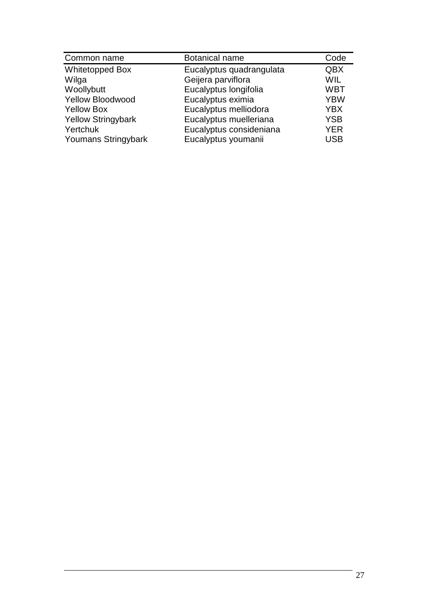| Common name                | <b>Botanical name</b>    | Code       |
|----------------------------|--------------------------|------------|
| <b>Whitetopped Box</b>     | Eucalyptus quadrangulata | QBX        |
| Wilga                      | Geijera parviflora       | <b>WIL</b> |
| Woollybutt                 | Eucalyptus longifolia    | <b>WBT</b> |
| <b>Yellow Bloodwood</b>    | Eucalyptus eximia        | <b>YBW</b> |
| <b>Yellow Box</b>          | Eucalyptus melliodora    | YBX.       |
| <b>Yellow Stringybark</b>  | Eucalyptus muelleriana   | <b>YSB</b> |
| Yertchuk                   | Eucalyptus consideniana  | <b>YER</b> |
| <b>Youmans Stringybark</b> | Eucalyptus youmanii      | <b>USB</b> |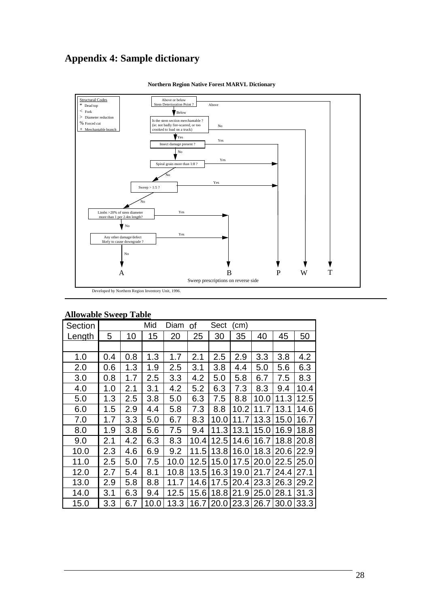# **Appendix 4: Sample dictionary**



#### **Northern Region Native Forest MARVL Dictionary**

#### **Allowable Sweep Table**

| Section |     |     | Mid  | Diam | οf   | Sect | cm)  |      |      |      |
|---------|-----|-----|------|------|------|------|------|------|------|------|
| Length  | 5   | 10  | 15   | 20   | 25   | 30   | 35   | 40   | 45   | 50   |
|         |     |     |      |      |      |      |      |      |      |      |
| 1.0     | 0.4 | 0.8 | 1.3  | 1.7  | 2.1  | 2.5  | 2.9  | 3.3  | 3.8  | 4.2  |
| 2.0     | 0.6 | 1.3 | 1.9  | 2.5  | 3.1  | 3.8  | 4.4  | 5.0  | 5.6  | 6.3  |
| 3.0     | 0.8 | 1.7 | 2.5  | 3.3  | 4.2  | 5.0  | 5.8  | 6.7  | 7.5  | 8.3  |
| 4.0     | 1.0 | 2.1 | 3.1  | 4.2  | 5.2  | 6.3  | 7.3  | 8.3  | 9.4  | 10.4 |
| 5.0     | 1.3 | 2.5 | 3.8  | 5.0  | 6.3  | 7.5  | 8.8  | 10.0 | 11.3 | 12.5 |
| 6.0     | 1.5 | 2.9 | 4.4  | 5.8  | 7.3  | 8.8  | 10.2 | 11.7 | 13.1 | 14.6 |
| 7.0     | 1.7 | 3.3 | 5.0  | 6.7  | 8.3  | 10.0 | 11.7 | 13.3 | 15.0 | 16.7 |
| 8.0     | 1.9 | 3.8 | 5.6  | 7.5  | 9.4  | 11.3 | 13.1 | 15.0 | 16.9 | 18.8 |
| 9.0     | 2.1 | 4.2 | 6.3  | 8.3  | 10.4 | 12.5 | 14.6 | 16.7 | 18.8 | 20.8 |
| 10.0    | 2.3 | 4.6 | 6.9  | 9.2  | 11.5 | 13.8 | 16.0 | 18.3 | 20.6 | 22.9 |
| 11.0    | 2.5 | 5.0 | 7.5  | 10.0 | 12.5 | 15.0 | 17.5 | 20.0 | 22.5 | 25.0 |
| 12.0    | 2.7 | 5.4 | 8.1  | 10.8 | 13.5 | 16.3 | 19.0 | 21.7 | 24.4 | 27.1 |
| 13.0    | 2.9 | 5.8 | 8.8  | 11.7 | 14.6 | 17.5 | 20.4 | 23.3 | 26.3 | 29.2 |
| 14.0    | 3.1 | 6.3 | 9.4  | 12.5 | 15.6 | 18.8 | 21.9 | 25.0 | 28.1 | 31.3 |
| 15.0    | 3.3 | 6.7 | 10.0 | 13.3 | 16.7 | 20.0 | 23.3 | 26.7 | 30.0 | 33.3 |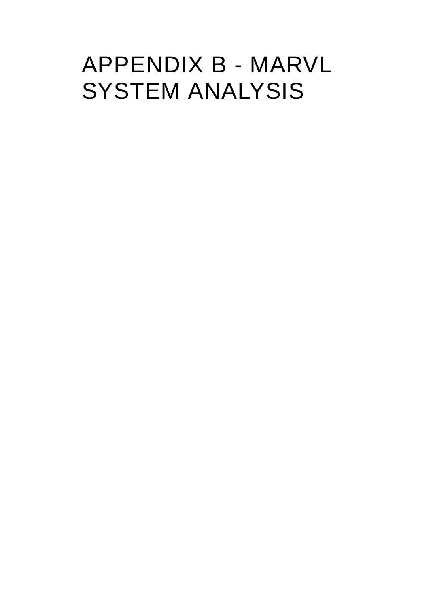# APPENDIX B - MARVL SYSTEM ANALYSIS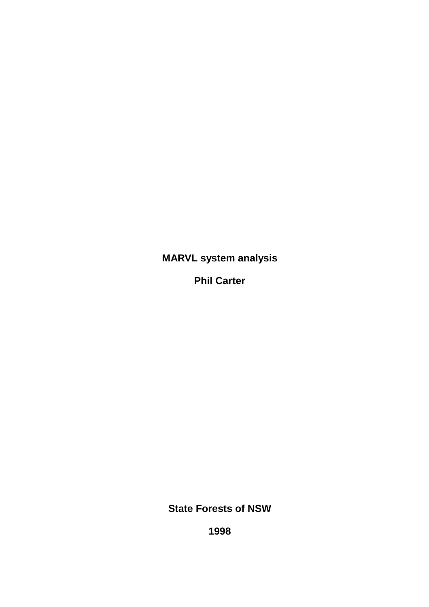**MARVL system analysis**

**Phil Carter**

**State Forests of NSW**

**1998**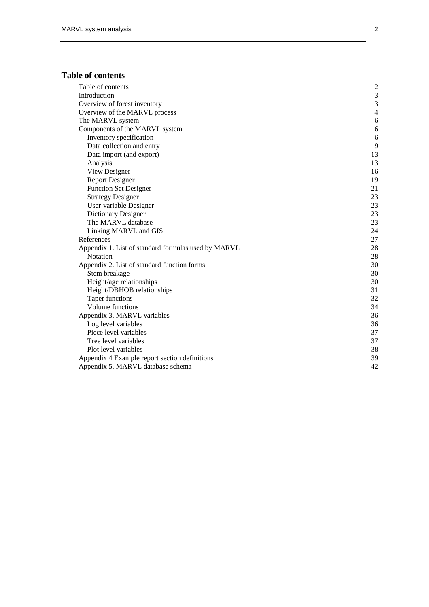#### **Table of contents**

| Table of contents                                   | $\overline{c}$ |
|-----------------------------------------------------|----------------|
| Introduction                                        | 3              |
| Overview of forest inventory                        | 3              |
| Overview of the MARVL process                       | $\overline{4}$ |
| The MARVL system                                    | 6              |
| Components of the MARVL system                      | 6              |
| Inventory specification                             | 6              |
| Data collection and entry                           | 9              |
| Data import (and export)                            | 13             |
| Analysis                                            | 13             |
| View Designer                                       | 16             |
| <b>Report Designer</b>                              | 19             |
| <b>Function Set Designer</b>                        | 21             |
| <b>Strategy Designer</b>                            | 23             |
| User-variable Designer                              | 23             |
| <b>Dictionary Designer</b>                          | 23             |
| The MARVL database                                  | 23             |
| Linking MARVL and GIS                               | 24             |
| References                                          | 27             |
| Appendix 1. List of standard formulas used by MARVL | 28             |
| <b>Notation</b>                                     | 28             |
| Appendix 2. List of standard function forms.        | 30             |
| Stem breakage                                       | 30             |
| Height/age relationships                            | 30             |
| Height/DBHOB relationships                          | 31             |
| Taper functions                                     | 32             |
| Volume functions                                    | 34             |
| Appendix 3. MARVL variables                         | 36             |
| Log level variables                                 | 36             |
| Piece level variables                               | 37             |
| Tree level variables                                | 37             |
| Plot level variables                                | 38             |
| Appendix 4 Example report section definitions       | 39             |
| Appendix 5. MARVL database schema                   | 42             |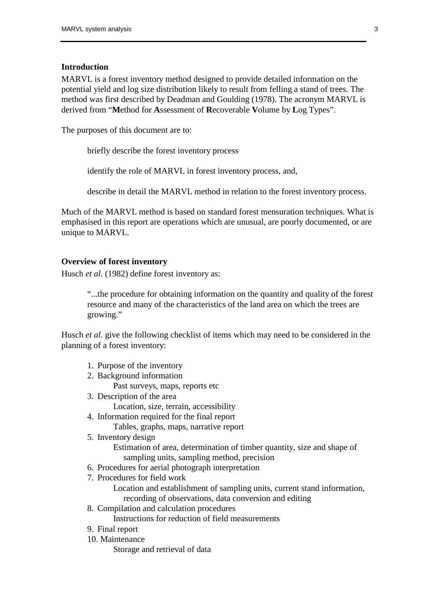#### **Introduction**

MARVL is a forest inventory method designed to provide detailed information on the potential yield and log size distribution likely to result from felling a stand of trees. The method was first described by Deadman and Goulding (1978). The acronym MARVL is derived from "**M**ethod for **A**ssessment of **R**ecoverable **V**olume by **L**og Types".

The purposes of this document are to:

briefly describe the forest inventory process

identify the role of MARVL in forest inventory process, and,

describe in detail the MARVL method in relation to the forest inventory process.

Much of the MARVL method is based on standard forest mensuration techniques. What is emphasised in this report are operations which are unusual, are poorly documented, or are unique to MARVL.

#### **Overview of forest inventory**

Husch *et al*. (1982) define forest inventory as:

"...the procedure for obtaining information on the quantity and quality of the forest resource and many of the characteristics of the land area on which the trees are growing."

Husch *et al*. give the following checklist of items which may need to be considered in the planning of a forest inventory:

- 1. Purpose of the inventory
- 2. Background information

Past surveys, maps, reports etc

3. Description of the area

Location, size, terrain, accessibility

- 4. Information required for the final report
- Tables, graphs, maps, narrative report
- 5. Inventory design

Estimation of area, determination of timber quantity, size and shape of sampling units, sampling method, precision

- 6. Procedures for aerial photograph interpretation
- 7. Procedures for field work

Location and establishment of sampling units, current stand information, recording of observations, data conversion and editing

- 8. Compilation and calculation procedures
	- Instructions for reduction of field measurements
- 9. Final report
- 10. Maintenance

Storage and retrieval of data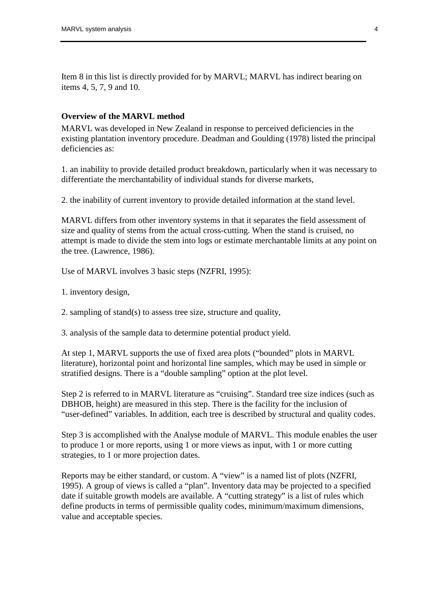Item 8 in this list is directly provided for by MARVL; MARVL has indirect bearing on items 4, 5, 7, 9 and 10.

#### **Overview of the MARVL method**

MARVL was developed in New Zealand in response to perceived deficiencies in the existing plantation inventory procedure. Deadman and Goulding (1978) listed the principal deficiencies as:

1. an inability to provide detailed product breakdown, particularly when it was necessary to differentiate the merchantability of individual stands for diverse markets,

2. the inability of current inventory to provide detailed information at the stand level.

MARVL differs from other inventory systems in that it separates the field assessment of size and quality of stems from the actual cross-cutting. When the stand is cruised, no attempt is made to divide the stem into logs or estimate merchantable limits at any point on the tree. (Lawrence, 1986).

Use of MARVL involves 3 basic steps (NZFRI, 1995):

- 1. inventory design,
- 2. sampling of stand(s) to assess tree size, structure and quality,

3. analysis of the sample data to determine potential product yield.

At step 1, MARVL supports the use of fixed area plots ("bounded" plots in MARVL literature), horizontal point and horizontal line samples, which may be used in simple or stratified designs. There is a "double sampling" option at the plot level.

Step 2 is referred to in MARVL literature as "cruising". Standard tree size indices (such as DBHOB, height) are measured in this step. There is the facility for the inclusion of "user-defined" variables. In addition, each tree is described by structural and quality codes.

Step 3 is accomplished with the Analyse module of MARVL. This module enables the user to produce 1 or more reports, using 1 or more views as input, with 1 or more cutting strategies, to 1 or more projection dates.

Reports may be either standard, or custom. A "view" is a named list of plots (NZFRI, 1995). A group of views is called a "plan". Inventory data may be projected to a specified date if suitable growth models are available. A "cutting strategy" is a list of rules which define products in terms of permissible quality codes, minimum/maximum dimensions, value and acceptable species.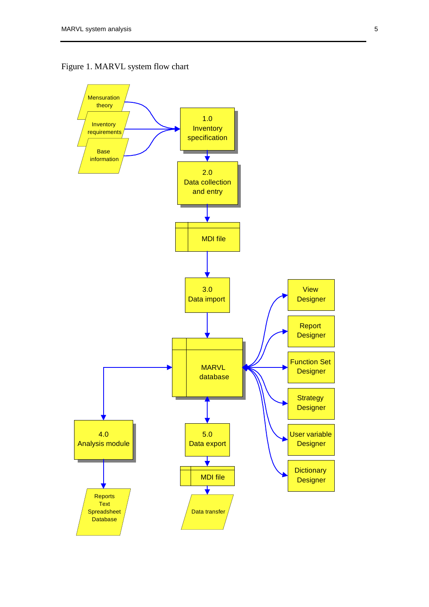Figure 1. MARVL system flow chart

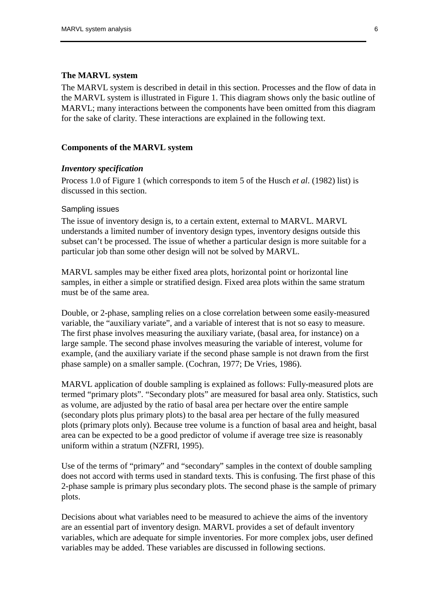#### **The MARVL system**

The MARVL system is described in detail in this section. Processes and the flow of data in the MARVL system is illustrated in Figure 1. This diagram shows only the basic outline of MARVL; many interactions between the components have been omitted from this diagram for the sake of clarity. These interactions are explained in the following text.

#### **Components of the MARVL system**

#### *Inventory specification*

Process 1.0 of Figure 1 (which corresponds to item 5 of the Husch *et al*. (1982) list) is discussed in this section.

#### Sampling issues

The issue of inventory design is, to a certain extent, external to MARVL. MARVL understands a limited number of inventory design types, inventory designs outside this subset can't be processed. The issue of whether a particular design is more suitable for a particular job than some other design will not be solved by MARVL.

MARVL samples may be either fixed area plots, horizontal point or horizontal line samples, in either a simple or stratified design. Fixed area plots within the same stratum must be of the same area.

Double, or 2-phase, sampling relies on a close correlation between some easily-measured variable, the "auxiliary variate", and a variable of interest that is not so easy to measure. The first phase involves measuring the auxiliary variate, (basal area, for instance) on a large sample. The second phase involves measuring the variable of interest, volume for example, (and the auxiliary variate if the second phase sample is not drawn from the first phase sample) on a smaller sample. (Cochran, 1977; De Vries, 1986).

MARVL application of double sampling is explained as follows: Fully-measured plots are termed "primary plots". "Secondary plots" are measured for basal area only. Statistics, such as volume, are adjusted by the ratio of basal area per hectare over the entire sample (secondary plots plus primary plots) to the basal area per hectare of the fully measured plots (primary plots only). Because tree volume is a function of basal area and height, basal area can be expected to be a good predictor of volume if average tree size is reasonably uniform within a stratum (NZFRI, 1995).

Use of the terms of "primary" and "secondary" samples in the context of double sampling does not accord with terms used in standard texts. This is confusing. The first phase of this 2-phase sample is primary plus secondary plots. The second phase is the sample of primary plots.

Decisions about what variables need to be measured to achieve the aims of the inventory are an essential part of inventory design. MARVL provides a set of default inventory variables, which are adequate for simple inventories. For more complex jobs, user defined variables may be added. These variables are discussed in following sections.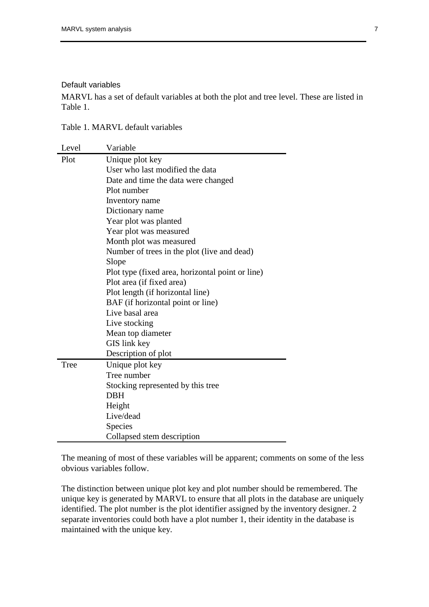#### Default variables

MARVL has a set of default variables at both the plot and tree level. These are listed in Table 1.

Table 1. MARVL default variables

| Level | Variable                                         |
|-------|--------------------------------------------------|
| Plot  | Unique plot key                                  |
|       | User who last modified the data                  |
|       | Date and time the data were changed              |
|       | Plot number                                      |
|       | Inventory name                                   |
|       | Dictionary name                                  |
|       | Year plot was planted                            |
|       | Year plot was measured                           |
|       | Month plot was measured                          |
|       | Number of trees in the plot (live and dead)      |
|       | Slope                                            |
|       | Plot type (fixed area, horizontal point or line) |
|       | Plot area (if fixed area)                        |
|       | Plot length (if horizontal line)                 |
|       | BAF (if horizontal point or line)                |
|       | Live basal area                                  |
|       | Live stocking                                    |
|       | Mean top diameter                                |
|       | GIS link key                                     |
|       | Description of plot                              |
| Tree  | Unique plot key                                  |
|       | Tree number                                      |
|       | Stocking represented by this tree                |
|       | <b>DBH</b>                                       |
|       | Height                                           |
|       | Live/dead                                        |
|       | <b>Species</b>                                   |
|       | Collapsed stem description                       |

The meaning of most of these variables will be apparent; comments on some of the less obvious variables follow.

The distinction between unique plot key and plot number should be remembered. The unique key is generated by MARVL to ensure that all plots in the database are uniquely identified. The plot number is the plot identifier assigned by the inventory designer. 2 separate inventories could both have a plot number 1, their identity in the database is maintained with the unique key.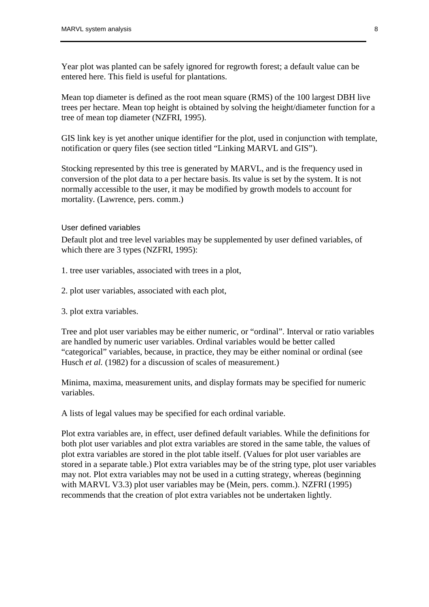Year plot was planted can be safely ignored for regrowth forest; a default value can be entered here. This field is useful for plantations.

Mean top diameter is defined as the root mean square (RMS) of the 100 largest DBH live trees per hectare. Mean top height is obtained by solving the height/diameter function for a tree of mean top diameter (NZFRI, 1995).

GIS link key is yet another unique identifier for the plot, used in conjunction with template, notification or query files (see section titled "Linking MARVL and GIS").

Stocking represented by this tree is generated by MARVL, and is the frequency used in conversion of the plot data to a per hectare basis. Its value is set by the system. It is not normally accessible to the user, it may be modified by growth models to account for mortality. (Lawrence, pers. comm.)

#### User defined variables

Default plot and tree level variables may be supplemented by user defined variables, of which there are 3 types (NZFRI, 1995):

- 1. tree user variables, associated with trees in a plot,
- 2. plot user variables, associated with each plot,
- 3. plot extra variables.

Tree and plot user variables may be either numeric, or "ordinal". Interval or ratio variables are handled by numeric user variables. Ordinal variables would be better called "categorical" variables, because, in practice, they may be either nominal or ordinal (see Husch *et al.* (1982) for a discussion of scales of measurement.)

Minima, maxima, measurement units, and display formats may be specified for numeric variables.

A lists of legal values may be specified for each ordinal variable.

Plot extra variables are, in effect, user defined default variables. While the definitions for both plot user variables and plot extra variables are stored in the same table, the values of plot extra variables are stored in the plot table itself. (Values for plot user variables are stored in a separate table.) Plot extra variables may be of the string type, plot user variables may not. Plot extra variables may not be used in a cutting strategy, whereas (beginning with MARVL V3.3) plot user variables may be (Mein, pers. comm.). NZFRI (1995) recommends that the creation of plot extra variables not be undertaken lightly.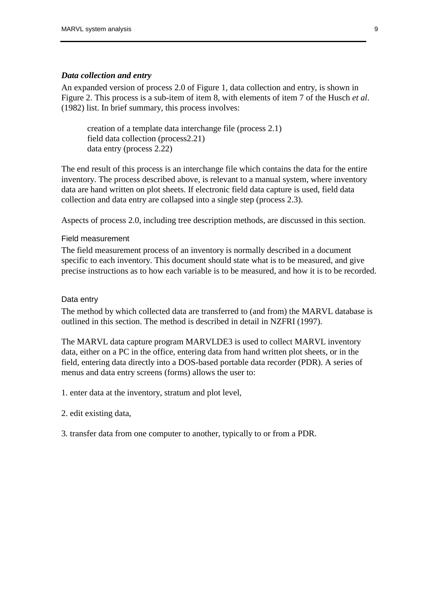### *Data collection and entry*

An expanded version of process 2.0 of Figure 1, data collection and entry, is shown in Figure 2. This process is a sub-item of item 8, with elements of item 7 of the Husch *et al*. (1982) list. In brief summary, this process involves:

creation of a template data interchange file (process 2.1) field data collection (process2.21) data entry (process 2.22)

The end result of this process is an interchange file which contains the data for the entire inventory. The process described above, is relevant to a manual system, where inventory data are hand written on plot sheets. If electronic field data capture is used, field data collection and data entry are collapsed into a single step (process 2.3).

Aspects of process 2.0, including tree description methods, are discussed in this section.

#### Field measurement

The field measurement process of an inventory is normally described in a document specific to each inventory. This document should state what is to be measured, and give precise instructions as to how each variable is to be measured, and how it is to be recorded.

### Data entry

The method by which collected data are transferred to (and from) the MARVL database is outlined in this section. The method is described in detail in NZFRI (1997).

The MARVL data capture program MARVLDE3 is used to collect MARVL inventory data, either on a PC in the office, entering data from hand written plot sheets, or in the field, entering data directly into a DOS-based portable data recorder (PDR). A series of menus and data entry screens (forms) allows the user to:

1. enter data at the inventory, stratum and plot level,

- 2. edit existing data,
- 3. transfer data from one computer to another, typically to or from a PDR.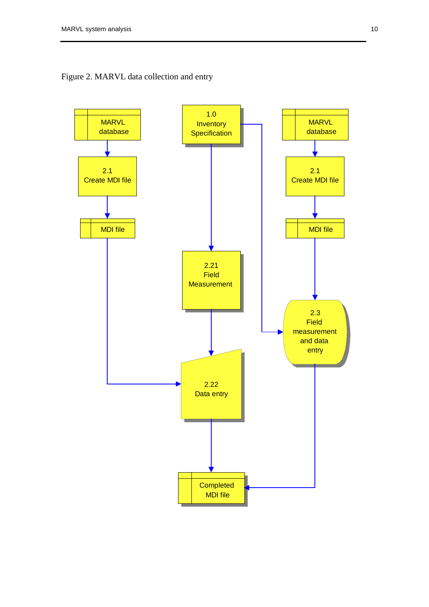Figure 2. MARVL data collection and entry

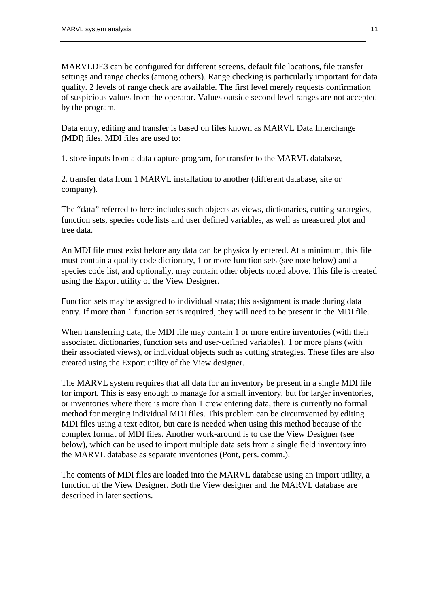MARVLDE3 can be configured for different screens, default file locations, file transfer settings and range checks (among others). Range checking is particularly important for data quality. 2 levels of range check are available. The first level merely requests confirmation of suspicious values from the operator. Values outside second level ranges are not accepted by the program.

Data entry, editing and transfer is based on files known as MARVL Data Interchange (MDI) files. MDI files are used to:

1. store inputs from a data capture program, for transfer to the MARVL database,

2. transfer data from 1 MARVL installation to another (different database, site or company).

The "data" referred to here includes such objects as views, dictionaries, cutting strategies, function sets, species code lists and user defined variables, as well as measured plot and tree data.

An MDI file must exist before any data can be physically entered. At a minimum, this file must contain a quality code dictionary, 1 or more function sets (see note below) and a species code list, and optionally, may contain other objects noted above. This file is created using the Export utility of the View Designer.

Function sets may be assigned to individual strata; this assignment is made during data entry. If more than 1 function set is required, they will need to be present in the MDI file.

When transferring data, the MDI file may contain 1 or more entire inventories (with their associated dictionaries, function sets and user-defined variables). 1 or more plans (with their associated views), or individual objects such as cutting strategies. These files are also created using the Export utility of the View designer.

The MARVL system requires that all data for an inventory be present in a single MDI file for import. This is easy enough to manage for a small inventory, but for larger inventories, or inventories where there is more than 1 crew entering data, there is currently no formal method for merging individual MDI files. This problem can be circumvented by editing MDI files using a text editor, but care is needed when using this method because of the complex format of MDI files. Another work-around is to use the View Designer (see below), which can be used to import multiple data sets from a single field inventory into the MARVL database as separate inventories (Pont, pers. comm.).

The contents of MDI files are loaded into the MARVL database using an Import utility, a function of the View Designer. Both the View designer and the MARVL database are described in later sections.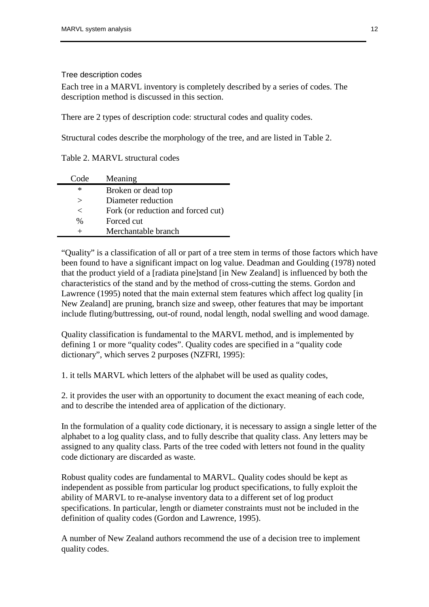## Tree description codes

Each tree in a MARVL inventory is completely described by a series of codes. The description method is discussed in this section.

There are 2 types of description code: structural codes and quality codes.

Structural codes describe the morphology of the tree, and are listed in Table 2.

Table 2. MARVL structural codes

| Code    | Meaning                            |
|---------|------------------------------------|
| ∗       | Broken or dead top                 |
| ↘       | Diameter reduction                 |
| $\,<\,$ | Fork (or reduction and forced cut) |
| $\%$    | Forced cut                         |
|         | Merchantable branch                |

"Quality" is a classification of all or part of a tree stem in terms of those factors which have been found to have a significant impact on log value. Deadman and Goulding (1978) noted that the product yield of a [radiata pine]stand [in New Zealand] is influenced by both the characteristics of the stand and by the method of cross-cutting the stems. Gordon and Lawrence (1995) noted that the main external stem features which affect log quality [in New Zealand] are pruning, branch size and sweep, other features that may be important include fluting/buttressing, out-of round, nodal length, nodal swelling and wood damage.

Quality classification is fundamental to the MARVL method, and is implemented by defining 1 or more "quality codes". Quality codes are specified in a "quality code dictionary", which serves 2 purposes (NZFRI, 1995):

1. it tells MARVL which letters of the alphabet will be used as quality codes,

2. it provides the user with an opportunity to document the exact meaning of each code, and to describe the intended area of application of the dictionary.

In the formulation of a quality code dictionary, it is necessary to assign a single letter of the alphabet to a log quality class, and to fully describe that quality class. Any letters may be assigned to any quality class. Parts of the tree coded with letters not found in the quality code dictionary are discarded as waste.

Robust quality codes are fundamental to MARVL. Quality codes should be kept as independent as possible from particular log product specifications, to fully exploit the ability of MARVL to re-analyse inventory data to a different set of log product specifications. In particular, length or diameter constraints must not be included in the definition of quality codes (Gordon and Lawrence, 1995).

A number of New Zealand authors recommend the use of a decision tree to implement quality codes.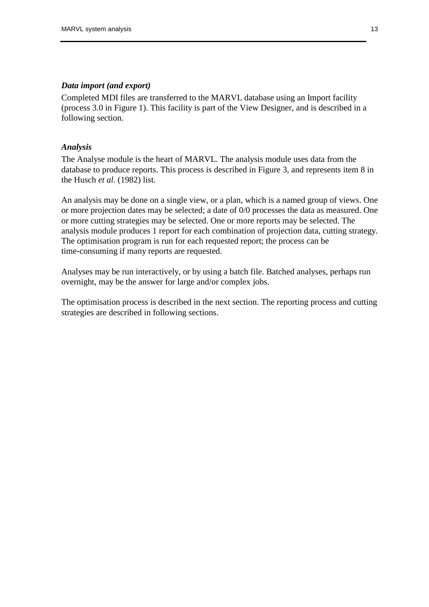### *Data import (and export)*

Completed MDI files are transferred to the MARVL database using an Import facility (process 3.0 in Figure 1). This facility is part of the View Designer, and is described in a following section.

### *Analysis*

The Analyse module is the heart of MARVL. The analysis module uses data from the database to produce reports. This process is described in Figure 3, and represents item 8 in the Husch *et al*. (1982) list.

An analysis may be done on a single view, or a plan, which is a named group of views. One or more projection dates may be selected; a date of 0/0 processes the data as measured. One or more cutting strategies may be selected. One or more reports may be selected. The analysis module produces 1 report for each combination of projection data, cutting strategy. The optimisation program is run for each requested report; the process can be time-consuming if many reports are requested.

Analyses may be run interactively, or by using a batch file. Batched analyses, perhaps run overnight, may be the answer for large and/or complex jobs.

The optimisation process is described in the next section. The reporting process and cutting strategies are described in following sections.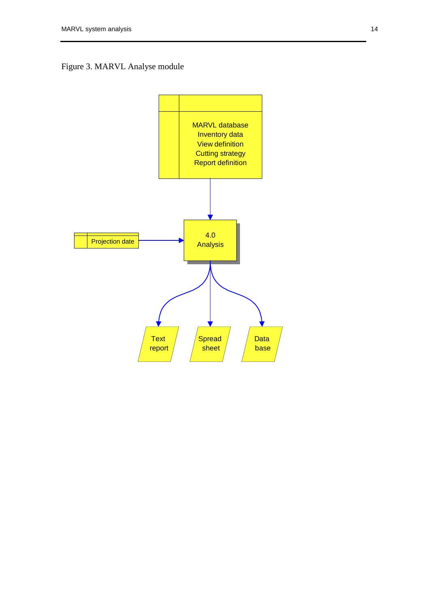

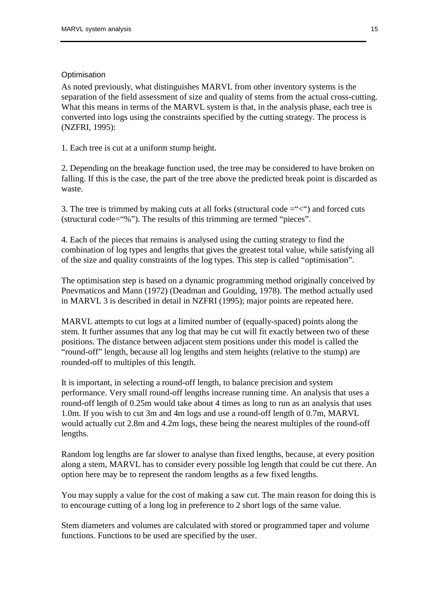### **Optimisation**

As noted previously, what distinguishes MARVL from other inventory systems is the separation of the field assessment of size and quality of stems from the actual cross-cutting. What this means in terms of the MARVL system is that, in the analysis phase, each tree is converted into logs using the constraints specified by the cutting strategy. The process is (NZFRI, 1995):

1. Each tree is cut at a uniform stump height.

2. Depending on the breakage function used, the tree may be considered to have broken on falling. If this is the case, the part of the tree above the predicted break point is discarded as waste.

3. The tree is trimmed by making cuts at all forks (structural code  $=$ " $\lt$ ") and forced cuts (structural code="%"). The results of this trimming are termed "pieces".

4. Each of the pieces that remains is analysed using the cutting strategy to find the combination of log types and lengths that gives the greatest total value, while satisfying all of the size and quality constraints of the log types. This step is called "optimisation".

The optimisation step is based on a dynamic programming method originally conceived by Pnevmaticos and Mann (1972) (Deadman and Goulding, 1978). The method actually used in MARVL 3 is described in detail in NZFRI (1995); major points are repeated here.

MARVL attempts to cut logs at a limited number of (equally-spaced) points along the stem. It further assumes that any log that may be cut will fit exactly between two of these positions. The distance between adjacent stem positions under this model is called the "round-off" length, because all log lengths and stem heights (relative to the stump) are rounded-off to multiples of this length.

It is important, in selecting a round-off length, to balance precision and system performance. Very small round-off lengths increase running time. An analysis that uses a round-off length of 0.25m would take about 4 times as long to run as an analysis that uses 1.0m. If you wish to cut 3m and 4m logs and use a round-off length of 0.7m, MARVL would actually cut 2.8m and 4.2m logs, these being the nearest multiples of the round-off lengths.

Random log lengths are far slower to analyse than fixed lengths, because, at every position along a stem, MARVL has to consider every possible log length that could be cut there. An option here may be to represent the random lengths as a few fixed lengths.

You may supply a value for the cost of making a saw cut. The main reason for doing this is to encourage cutting of a long log in preference to 2 short logs of the same value.

Stem diameters and volumes are calculated with stored or programmed taper and volume functions. Functions to be used are specified by the user.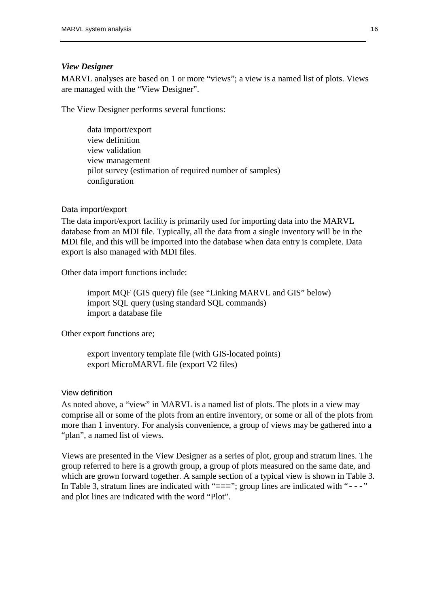### *View Designer*

MARVL analyses are based on 1 or more "views"; a view is a named list of plots. Views are managed with the "View Designer".

The View Designer performs several functions:

data import/export view definition view validation view management pilot survey (estimation of required number of samples) configuration

### Data import/export

The data import/export facility is primarily used for importing data into the MARVL database from an MDI file. Typically, all the data from a single inventory will be in the MDI file, and this will be imported into the database when data entry is complete. Data export is also managed with MDI files.

Other data import functions include:

import MQF (GIS query) file (see "Linking MARVL and GIS" below) import SQL query (using standard SQL commands) import a database file

Other export functions are;

export inventory template file (with GIS-located points) export MicroMARVL file (export V2 files)

### View definition

As noted above, a "view" in MARVL is a named list of plots. The plots in a view may comprise all or some of the plots from an entire inventory, or some or all of the plots from more than 1 inventory. For analysis convenience, a group of views may be gathered into a "plan", a named list of views.

Views are presented in the View Designer as a series of plot, group and stratum lines. The group referred to here is a growth group, a group of plots measured on the same date, and which are grown forward together. A sample section of a typical view is shown in Table 3. In Table 3, stratum lines are indicated with "==="; group lines are indicated with "---" and plot lines are indicated with the word "Plot".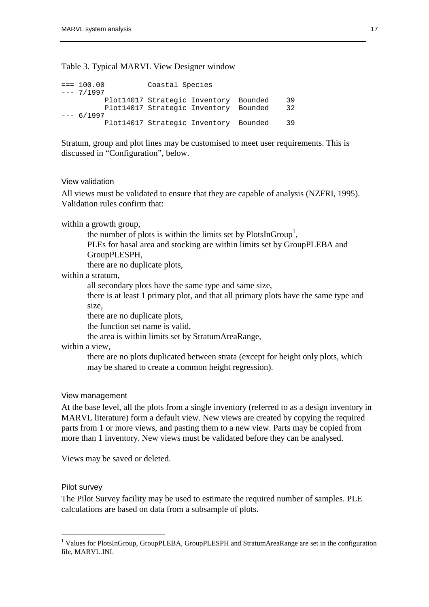Table 3. Typical MARVL View Designer window

=== 100.00 Coastal Species  $--- 7/1997$  Plot14017 Strategic Inventory Bounded 39 Plot14017 Strategic Inventory Bounded 32 --- 6/1997 Plot14017 Strategic Inventory Bounded 39

Stratum, group and plot lines may be customised to meet user requirements. This is discussed in "Configuration", below.

### View validation

All views must be validated to ensure that they are capable of analysis (NZFRI, 1995). Validation rules confirm that:

within a growth group,

the number of plots is within the limits set by  $PlotsInGroup<sup>1</sup>$ ,

PLEs for basal area and stocking are within limits set by GroupPLEBA and GroupPLESPH,

there are no duplicate plots,

within a stratum,

all secondary plots have the same type and same size,

there is at least 1 primary plot, and that all primary plots have the same type and size,

there are no duplicate plots,

the function set name is valid,

the area is within limits set by StratumAreaRange,

within a view,

there are no plots duplicated between strata (except for height only plots, which may be shared to create a common height regression).

#### View management

At the base level, all the plots from a single inventory (referred to as a design inventory in MARVL literature) form a default view. New views are created by copying the required parts from 1 or more views, and pasting them to a new view. Parts may be copied from more than 1 inventory. New views must be validated before they can be analysed.

Views may be saved or deleted.

#### Pilot survey

 $\overline{a}$ 

The Pilot Survey facility may be used to estimate the required number of samples. PLE calculations are based on data from a subsample of plots.

<sup>&</sup>lt;sup>1</sup> Values for PlotsInGroup, GroupPLEBA, GroupPLESPH and StratumAreaRange are set in the configuration file, MARVL.INI.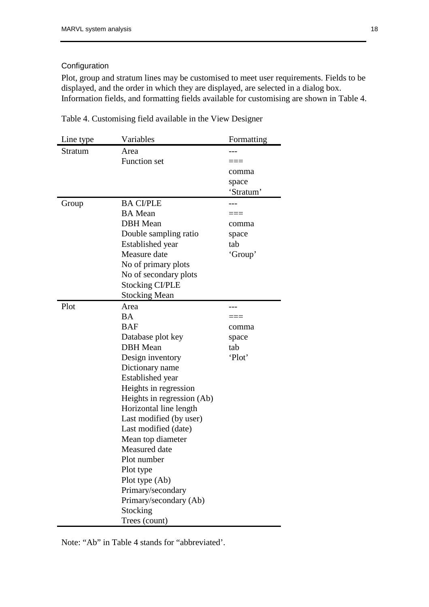### Configuration

Plot, group and stratum lines may be customised to meet user requirements. Fields to be displayed, and the order in which they are displayed, are selected in a dialog box. Information fields, and formatting fields available for customising are shown in Table 4.

| Line type | Variables                  | Formatting |
|-----------|----------------------------|------------|
| Stratum   | Area                       |            |
|           | <b>Function</b> set        |            |
|           |                            | comma      |
|           |                            | space      |
|           |                            | 'Stratum'  |
| Group     | <b>BA CI/PLE</b>           |            |
|           | <b>BA</b> Mean             |            |
|           | <b>DBH</b> Mean            | comma      |
|           | Double sampling ratio      | space      |
|           | Established year           | tab        |
|           | Measure date               | 'Group'    |
|           | No of primary plots        |            |
|           | No of secondary plots      |            |
|           | <b>Stocking CI/PLE</b>     |            |
|           | <b>Stocking Mean</b>       |            |
| Plot      | Area                       | ---        |
|           | <b>BA</b>                  |            |
|           | <b>BAF</b>                 | comma      |
|           | Database plot key          | space      |
|           | <b>DBH</b> Mean            | tab        |
|           | Design inventory           | 'Plot'     |
|           | Dictionary name            |            |
|           | Established year           |            |
|           | Heights in regression      |            |
|           | Heights in regression (Ab) |            |
|           | Horizontal line length     |            |
|           | Last modified (by user)    |            |
|           | Last modified (date)       |            |
|           | Mean top diameter          |            |
|           | Measured date              |            |
|           | Plot number                |            |
|           | Plot type                  |            |
|           | Plot type (Ab)             |            |
|           | Primary/secondary          |            |
|           | Primary/secondary (Ab)     |            |
|           | Stocking                   |            |
|           | Trees (count)              |            |

Table 4. Customising field available in the View Designer

Note: "Ab" in Table 4 stands for "abbreviated'.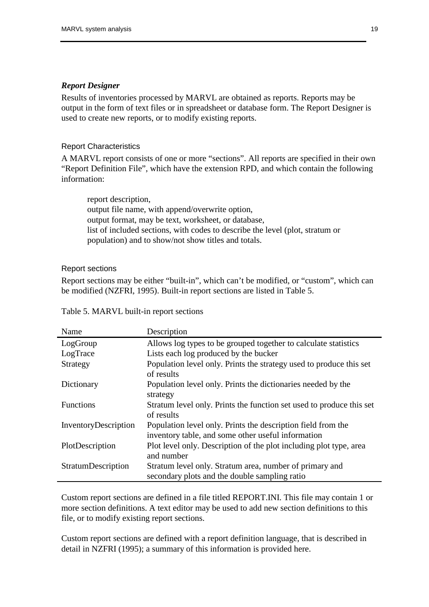### *Report Designer*

Results of inventories processed by MARVL are obtained as reports. Reports may be output in the form of text files or in spreadsheet or database form. The Report Designer is used to create new reports, or to modify existing reports.

## Report Characteristics

A MARVL report consists of one or more "sections". All reports are specified in their own "Report Definition File", which have the extension RPD, and which contain the following information:

report description, output file name, with append/overwrite option, output format, may be text, worksheet, or database, list of included sections, with codes to describe the level (plot, stratum or population) and to show/not show titles and totals.

### Report sections

Report sections may be either "built-in", which can't be modified, or "custom", which can be modified (NZFRI, 1995). Built-in report sections are listed in Table 5.

| Name                 | Description                                                                                                        |
|----------------------|--------------------------------------------------------------------------------------------------------------------|
| LogGroup             | Allows log types to be grouped together to calculate statistics                                                    |
| LogTrace             | Lists each log produced by the bucker                                                                              |
| Strategy             | Population level only. Prints the strategy used to produce this set<br>of results                                  |
| Dictionary           | Population level only. Prints the dictionaries needed by the<br>strategy                                           |
| <b>Functions</b>     | Stratum level only. Prints the function set used to produce this set<br>of results                                 |
| InventoryDescription | Population level only. Prints the description field from the<br>inventory table, and some other useful information |
| PlotDescription      | Plot level only. Description of the plot including plot type, area<br>and number                                   |
| StratumDescription   | Stratum level only. Stratum area, number of primary and<br>secondary plots and the double sampling ratio           |

Table 5. MARVL built-in report sections

Custom report sections are defined in a file titled REPORT.INI. This file may contain 1 or more section definitions. A text editor may be used to add new section definitions to this file, or to modify existing report sections.

Custom report sections are defined with a report definition language, that is described in detail in NZFRI (1995); a summary of this information is provided here.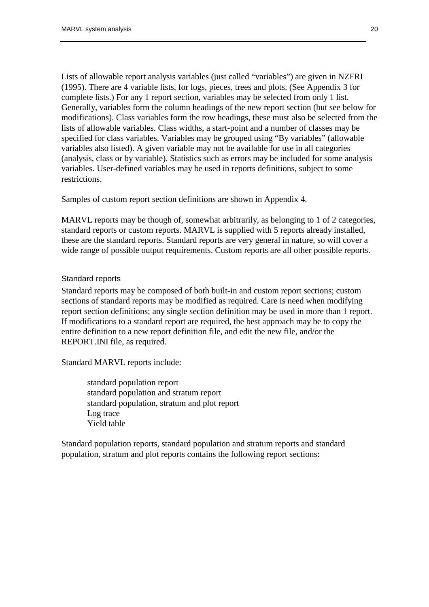Lists of allowable report analysis variables (just called "variables") are given in NZFRI (1995). There are 4 variable lists, for logs, pieces, trees and plots. (See Appendix 3 for complete lists.) For any 1 report section, variables may be selected from only 1 list. Generally, variables form the column headings of the new report section (but see below for modifications). Class variables form the row headings, these must also be selected from the lists of allowable variables. Class widths, a start-point and a number of classes may be specified for class variables. Variables may be grouped using "By variables" (allowable variables also listed). A given variable may not be available for use in all categories (analysis, class or by variable). Statistics such as errors may be included for some analysis variables. User-defined variables may be used in reports definitions, subject to some restrictions.

Samples of custom report section definitions are shown in Appendix 4.

MARVL reports may be though of, somewhat arbitrarily, as belonging to 1 of 2 categories, standard reports or custom reports. MARVL is supplied with 5 reports already installed, these are the standard reports. Standard reports are very general in nature, so will cover a wide range of possible output requirements. Custom reports are all other possible reports.

#### Standard reports

Standard reports may be composed of both built-in and custom report sections; custom sections of standard reports may be modified as required. Care is need when modifying report section definitions; any single section definition may be used in more than 1 report. If modifications to a standard report are required, the best approach may be to copy the entire definition to a new report definition file, and edit the new file, and/or the REPORT.INI file, as required.

Standard MARVL reports include:

standard population report standard population and stratum report standard population, stratum and plot report Log trace Yield table

Standard population reports, standard population and stratum reports and standard population, stratum and plot reports contains the following report sections: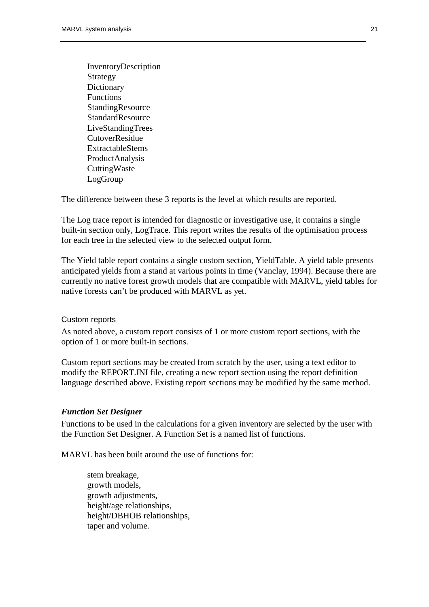InventoryDescription Strategy Dictionary Functions StandingResource StandardResource LiveStandingTrees **CutoverResidue** ExtractableStems ProductAnalysis **CuttingWaste** LogGroup

The difference between these 3 reports is the level at which results are reported.

The Log trace report is intended for diagnostic or investigative use, it contains a single built-in section only, LogTrace. This report writes the results of the optimisation process for each tree in the selected view to the selected output form.

The Yield table report contains a single custom section, YieldTable. A yield table presents anticipated yields from a stand at various points in time (Vanclay, 1994). Because there are currently no native forest growth models that are compatible with MARVL, yield tables for native forests can't be produced with MARVL as yet.

#### Custom reports

As noted above, a custom report consists of 1 or more custom report sections, with the option of 1 or more built-in sections.

Custom report sections may be created from scratch by the user, using a text editor to modify the REPORT.INI file, creating a new report section using the report definition language described above. Existing report sections may be modified by the same method.

#### *Function Set Designer*

Functions to be used in the calculations for a given inventory are selected by the user with the Function Set Designer. A Function Set is a named list of functions.

MARVL has been built around the use of functions for:

stem breakage, growth models, growth adjustments, height/age relationships, height/DBHOB relationships, taper and volume.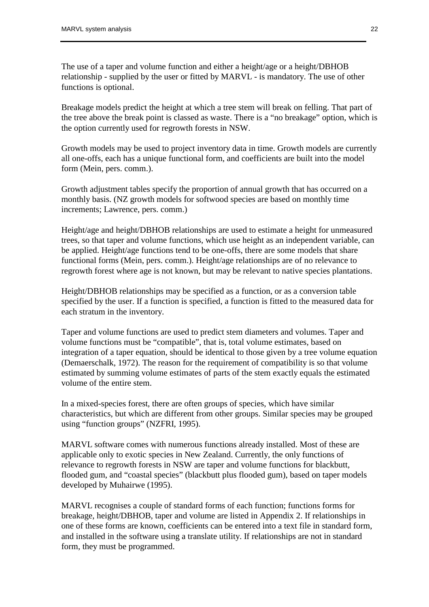The use of a taper and volume function and either a height/age or a height/DBHOB relationship - supplied by the user or fitted by MARVL - is mandatory. The use of other functions is optional.

Breakage models predict the height at which a tree stem will break on felling. That part of the tree above the break point is classed as waste. There is a "no breakage" option, which is the option currently used for regrowth forests in NSW.

Growth models may be used to project inventory data in time. Growth models are currently all one-offs, each has a unique functional form, and coefficients are built into the model form (Mein, pers. comm.).

Growth adjustment tables specify the proportion of annual growth that has occurred on a monthly basis. (NZ growth models for softwood species are based on monthly time increments; Lawrence, pers. comm.)

Height/age and height/DBHOB relationships are used to estimate a height for unmeasured trees, so that taper and volume functions, which use height as an independent variable, can be applied. Height/age functions tend to be one-offs, there are some models that share functional forms (Mein, pers. comm.). Height/age relationships are of no relevance to regrowth forest where age is not known, but may be relevant to native species plantations.

Height/DBHOB relationships may be specified as a function, or as a conversion table specified by the user. If a function is specified, a function is fitted to the measured data for each stratum in the inventory.

Taper and volume functions are used to predict stem diameters and volumes. Taper and volume functions must be "compatible", that is, total volume estimates, based on integration of a taper equation, should be identical to those given by a tree volume equation (Demaerschalk, 1972). The reason for the requirement of compatibility is so that volume estimated by summing volume estimates of parts of the stem exactly equals the estimated volume of the entire stem.

In a mixed-species forest, there are often groups of species, which have similar characteristics, but which are different from other groups. Similar species may be grouped using "function groups" (NZFRI, 1995).

MARVL software comes with numerous functions already installed. Most of these are applicable only to exotic species in New Zealand. Currently, the only functions of relevance to regrowth forests in NSW are taper and volume functions for blackbutt, flooded gum, and "coastal species" (blackbutt plus flooded gum), based on taper models developed by Muhairwe (1995).

MARVL recognises a couple of standard forms of each function; functions forms for breakage, height/DBHOB, taper and volume are listed in Appendix 2. If relationships in one of these forms are known, coefficients can be entered into a text file in standard form, and installed in the software using a translate utility. If relationships are not in standard form, they must be programmed.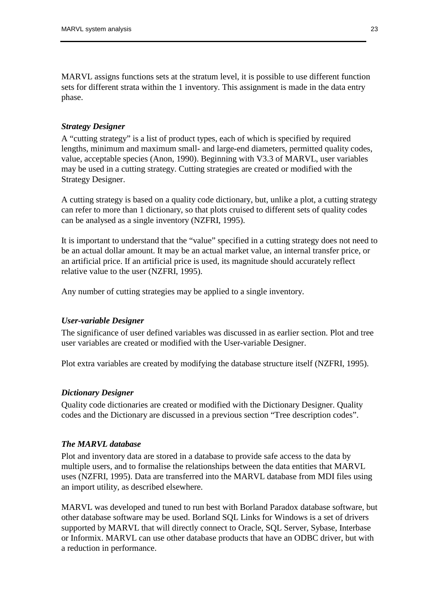MARVL assigns functions sets at the stratum level, it is possible to use different function sets for different strata within the 1 inventory. This assignment is made in the data entry phase.

## *Strategy Designer*

A "cutting strategy" is a list of product types, each of which is specified by required lengths, minimum and maximum small- and large-end diameters, permitted quality codes, value, acceptable species (Anon, 1990). Beginning with V3.3 of MARVL, user variables may be used in a cutting strategy. Cutting strategies are created or modified with the Strategy Designer.

A cutting strategy is based on a quality code dictionary, but, unlike a plot, a cutting strategy can refer to more than 1 dictionary, so that plots cruised to different sets of quality codes can be analysed as a single inventory (NZFRI, 1995).

It is important to understand that the "value" specified in a cutting strategy does not need to be an actual dollar amount. It may be an actual market value, an internal transfer price, or an artificial price. If an artificial price is used, its magnitude should accurately reflect relative value to the user (NZFRI, 1995).

Any number of cutting strategies may be applied to a single inventory.

## *User-variable Designer*

The significance of user defined variables was discussed in as earlier section. Plot and tree user variables are created or modified with the User-variable Designer.

Plot extra variables are created by modifying the database structure itself (NZFRI, 1995).

## *Dictionary Designer*

Quality code dictionaries are created or modified with the Dictionary Designer. Quality codes and the Dictionary are discussed in a previous section "Tree description codes".

## *The MARVL database*

Plot and inventory data are stored in a database to provide safe access to the data by multiple users, and to formalise the relationships between the data entities that MARVL uses (NZFRI, 1995). Data are transferred into the MARVL database from MDI files using an import utility, as described elsewhere.

MARVL was developed and tuned to run best with Borland Paradox database software, but other database software may be used. Borland SQL Links for Windows is a set of drivers supported by MARVL that will directly connect to Oracle, SQL Server, Sybase, Interbase or Informix. MARVL can use other database products that have an ODBC driver, but with a reduction in performance.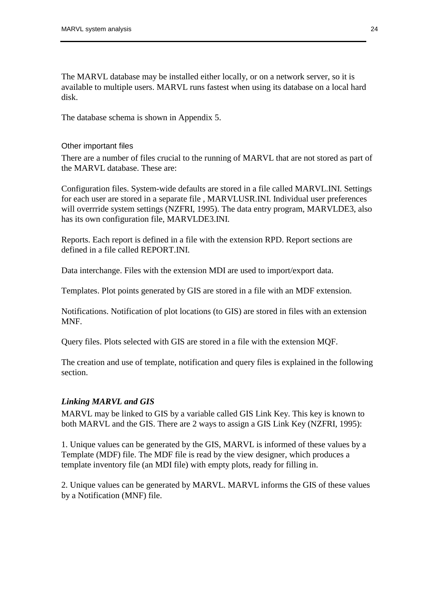The MARVL database may be installed either locally, or on a network server, so it is available to multiple users. MARVL runs fastest when using its database on a local hard disk.

The database schema is shown in Appendix 5.

### Other important files

There are a number of files crucial to the running of MARVL that are not stored as part of the MARVL database. These are:

Configuration files. System-wide defaults are stored in a file called MARVL.INI. Settings for each user are stored in a separate file , MARVLUSR.INI. Individual user preferences will overrride system settings (NZFRI, 1995). The data entry program, MARVLDE3, also has its own configuration file, MARVLDE3.INI.

Reports. Each report is defined in a file with the extension RPD. Report sections are defined in a file called REPORT.INI.

Data interchange. Files with the extension MDI are used to import/export data.

Templates. Plot points generated by GIS are stored in a file with an MDF extension.

Notifications. Notification of plot locations (to GIS) are stored in files with an extension MNF.

Query files. Plots selected with GIS are stored in a file with the extension MQF.

The creation and use of template, notification and query files is explained in the following section.

## *Linking MARVL and GIS*

MARVL may be linked to GIS by a variable called GIS Link Key. This key is known to both MARVL and the GIS. There are 2 ways to assign a GIS Link Key (NZFRI, 1995):

1. Unique values can be generated by the GIS, MARVL is informed of these values by a Template (MDF) file. The MDF file is read by the view designer, which produces a template inventory file (an MDI file) with empty plots, ready for filling in.

2. Unique values can be generated by MARVL. MARVL informs the GIS of these values by a Notification (MNF) file.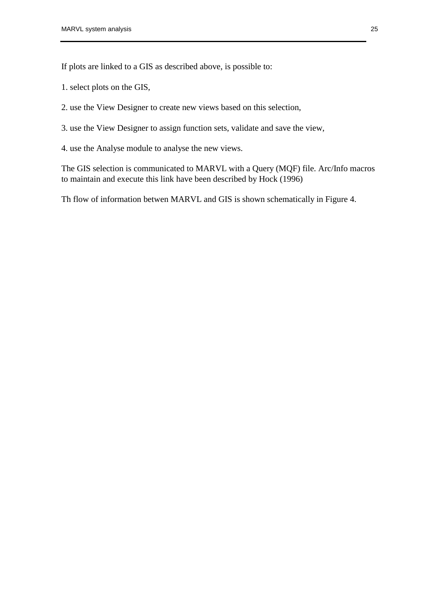If plots are linked to a GIS as described above, is possible to:

1. select plots on the GIS,

2. use the View Designer to create new views based on this selection,

3. use the View Designer to assign function sets, validate and save the view,

4. use the Analyse module to analyse the new views.

The GIS selection is communicated to MARVL with a Query (MQF) file. Arc/Info macros to maintain and execute this link have been described by Hock (1996)

Th flow of information betwen MARVL and GIS is shown schematically in Figure 4.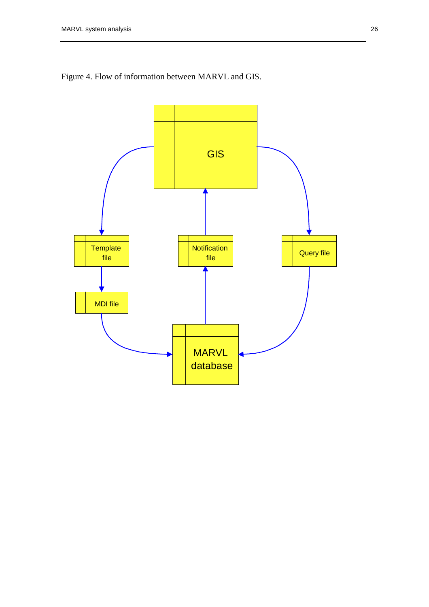Figure 4. Flow of information between MARVL and GIS.

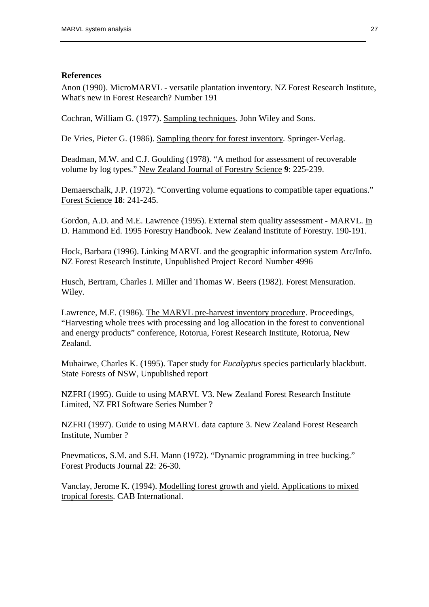### **References**

Anon (1990). MicroMARVL - versatile plantation inventory. NZ Forest Research Institute, What's new in Forest Research? Number 191

Cochran, William G. (1977). Sampling techniques. John Wiley and Sons.

De Vries, Pieter G. (1986). Sampling theory for forest inventory. Springer-Verlag.

Deadman, M.W. and C.J. Goulding (1978). "A method for assessment of recoverable volume by log types." New Zealand Journal of Forestry Science **9**: 225-239.

Demaerschalk, J.P. (1972). "Converting volume equations to compatible taper equations." Forest Science **18**: 241-245.

Gordon, A.D. and M.E. Lawrence (1995). External stem quality assessment - MARVL. In D. Hammond Ed. 1995 Forestry Handbook. New Zealand Institute of Forestry. 190-191.

Hock, Barbara (1996). Linking MARVL and the geographic information system Arc/Info. NZ Forest Research Institute, Unpublished Project Record Number 4996

Husch, Bertram, Charles I. Miller and Thomas W. Beers (1982). Forest Mensuration. Wiley.

Lawrence, M.E. (1986). The MARVL pre-harvest inventory procedure. Proceedings, "Harvesting whole trees with processing and log allocation in the forest to conventional and energy products" conference, Rotorua, Forest Research Institute, Rotorua, New Zealand.

Muhairwe, Charles K. (1995). Taper study for *Eucalyptus* species particularly blackbutt. State Forests of NSW, Unpublished report

NZFRI (1995). Guide to using MARVL V3. New Zealand Forest Research Institute Limited, NZ FRI Software Series Number ?

NZFRI (1997). Guide to using MARVL data capture 3. New Zealand Forest Research Institute, Number ?

Pnevmaticos, S.M. and S.H. Mann (1972). "Dynamic programming in tree bucking." Forest Products Journal **22**: 26-30.

Vanclay, Jerome K. (1994). Modelling forest growth and yield. Applications to mixed tropical forests. CAB International.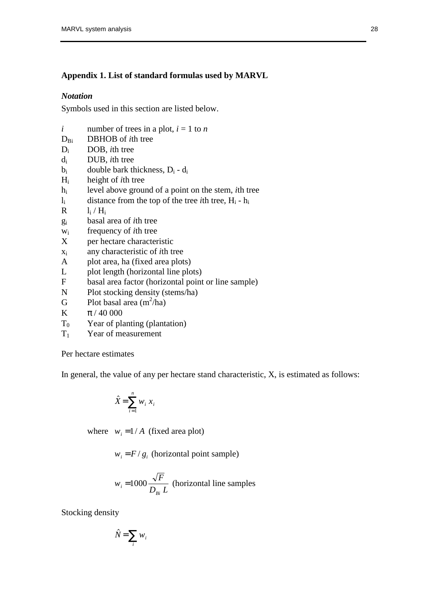### **Appendix 1. List of standard formulas used by MARVL**

### *Notation*

Symbols used in this section are listed below.

- *i* number of trees in a plot,  $i = 1$  to *n*
- D<sub>Bi</sub> DBHOB of *i*th tree
- Di DOB, *i*th tree
- di DUB, *i*th tree
- $b_i$  double bark thickness,  $D_i$  d<sub>i</sub>
- Hi height of *i*th tree
- hi level above ground of a point on the stem, *i*th tree
- l<sub>i</sub> distance from the top of the tree *i*th tree, H<sub>i</sub> h<sub>i</sub>
- $R$   $l_i / H_i$
- gi basal area of *i*th tree
- wi frequency of *i*th tree
- X per hectare characteristic
- xi any characteristic of *i*th tree
- A plot area, ha (fixed area plots)
- L plot length (horizontal line plots)
- F basal area factor (horizontal point or line sample)
- N Plot stocking density (stems/ha)
- G Plot basal area  $(m^2/ha)$
- K  $\pi/40000$
- $T_0$  Year of planting (plantation)
- T1 Year of measurement

Per hectare estimates

In general, the value of any per hectare stand characteristic, X, is estimated as follows:

$$
\hat{X} = \sum_{i=1}^{n} w_i \, x_i
$$

where  $w_i = 1/A$  (fixed area plot)

 $w_i = F/g_i$  (horizontal point sample)

$$
w_i = 1000 \frac{\sqrt{F}}{D_{Bi} L}
$$
 (horizontal line samples

Stocking density

$$
\hat{N} = \sum_{i} w_i
$$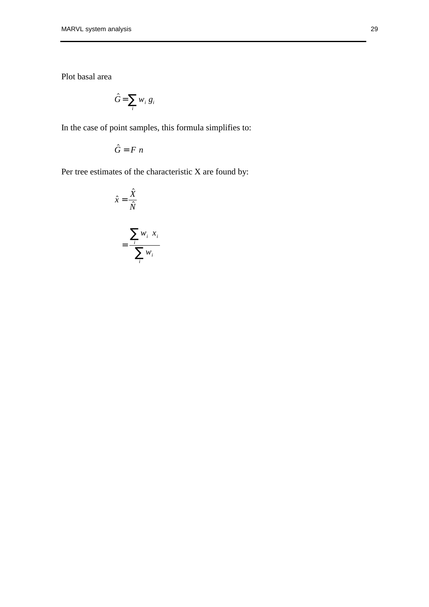Plot basal area

$$
\hat{G} = \sum_i w_i g_i
$$

In the case of point samples, this formula simplifies to:

$$
\hat{G} = F \; n
$$

Per tree estimates of the characteristic X are found by:

$$
\hat{x} = \frac{\hat{X}}{\hat{N}}
$$

$$
= \frac{\sum_{i} w_i x_i}{\sum_{i} w_i}
$$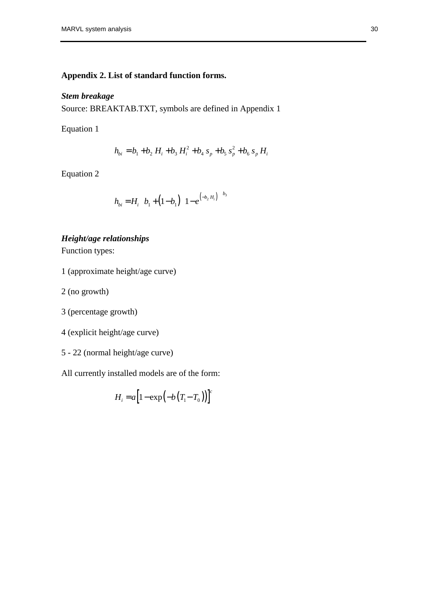## **Appendix 2. List of standard function forms.**

## *Stem breakage*

Source: BREAKTAB.TXT, symbols are defined in Appendix 1

Equation 1

$$
h_{bi} = b_1 + b_2 H_i + b_3 H_i^2 + b_4 s_p + b_5 s_p^2 + b_6 s_p H_i
$$

Equation 2

$$
h_{bi} = H_i \left[ b_1 + (1 - b_1) \left( 1 - e^{(-b_2 H_i)} \right)^{b_3} \right]
$$

## *Height/age relationships*

Function types:

- 1 (approximate height/age curve)
- 2 (no growth)
- 3 (percentage growth)
- 4 (explicit height/age curve)
- 5 22 (normal height/age curve)

All currently installed models are of the form:

$$
H_i = a \big[ 1 - \exp\bigl(-b\bigl(T_1 - T_0\bigr)\bigr) \big]^c
$$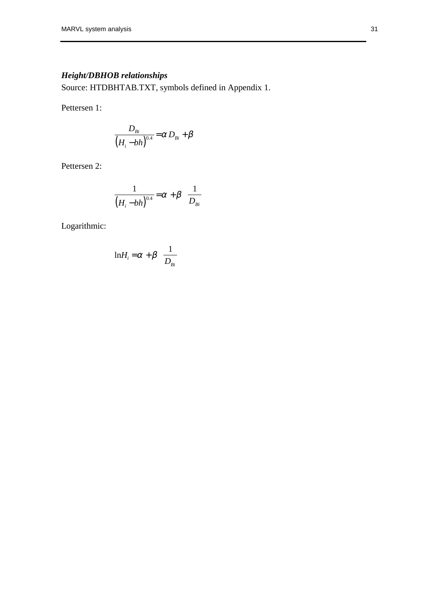## *Height/DBHOB relationships*

Source: HTDBHTAB.TXT, symbols defined in Appendix 1.

Pettersen 1:

$$
\frac{D_{Bi}}{(H_i - bh)^{0.4}} = \alpha D_{Bi} + \beta
$$

Pettersen 2:

$$
\frac{1}{(H_i-bh)^{0.4}} = \alpha + \beta \left(\frac{1}{D_{Bi}}\right)
$$

Logarithmic:

$$
\ln H_i = \alpha + \beta \left( \frac{1}{D_{Bi}} \right)
$$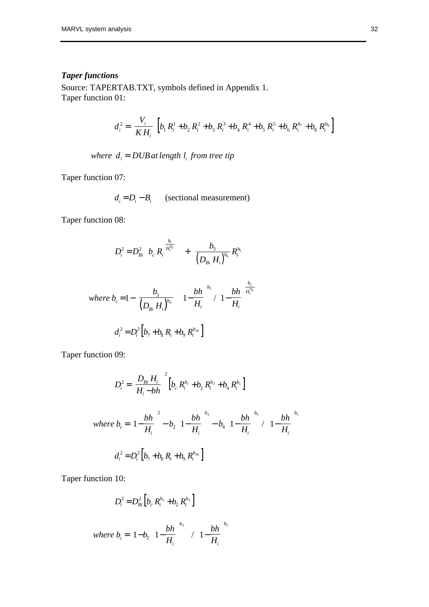## *Taper functions*

Source: TAPERTAB.TXT, symbols defined in Appendix 1. Taper function 01:

$$
d_i^2 = \left[ \frac{V_i}{KH_i} \right] \left[ b_1 R_i^1 + b_2 R_i^2 + b_3 R_i^3 + b_4 R_i^4 + b_5 R_i^5 + b_6 R_i^{b_7} + b_8 R_i^{b_9} \right]
$$

*where*  $d_i = DUB$  *at length l<sub>i</sub> from tree tip* 

Taper function 07:

$$
d_i = D_i - B_i
$$
 (sectional measurement)

Taper function 08:

$$
D_i^2 = D_{Bi}^2 \left[ b_c R_i^{\left(\frac{b_1}{H_i^{b_2}}\right)} \right] + \left[ \frac{b_3}{\left(D_{Bi} H_i\right)^{b_4}} R_i^{b_5} \right]
$$
  
where  $b_c = 1 - \left[ \frac{b_3}{\left(D_{Bi} H_i\right)^{b_4}} \right] \left[ 1 - \frac{bh}{H_i} \right]^{b_5} / \left[ 1 - \frac{bh}{H_i} \right]^{h_i^{b_5}}$   
 $d_i^2 = D_i^2 \left[ b_7 + b_8 R_i + b_9 R_i^{b_{10}} \right]$ 

Taper function 09:

$$
D_i^2 = \left[\frac{D_{Bi} H_i}{H_i - bh}\right]^2 \left[b_c R_i^{b_1} + b_2 R_i^{b_3} + b_4 R_i^{b_5}\right]
$$
  
where  $b_c = \left[1 - \frac{bh}{H_i}\right]^2 - b_2 \left[1 - \frac{bh}{H_i}\right]^{b_3} - b_4 \left[1 - \frac{bh}{H_i}\right]^{b_5} / \left[1 - \frac{bh}{H_i}\right]^{b_1}$   
 $d_i^2 = D_i^2 \left[b_7 + b_8 R_i + b_9 R_i^{b_{10}}\right]$ 

Taper function 10:

$$
D_i^2 = D_{Bi}^2 \left[ b_c R_i^{b_1} + b_2 R_i^{b_3} \right]
$$
  
where  $b_c = \left[ 1 - b_2 \left( 1 - \frac{bh}{H_i} \right)^{b_3} \right] / \left[ 1 - \frac{bh}{H_i} \right]^{b_1}$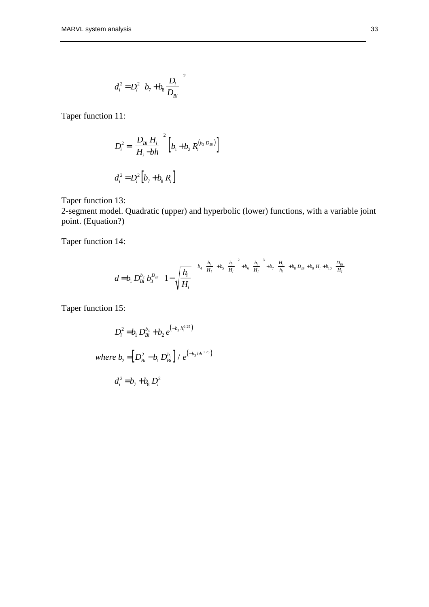$$
d_i^2 = D_i^2 \left[ b_7 + b_8 \frac{D_i}{D_{Bi}} \right]^2
$$

Taper function 11:

$$
D_i^2 = \left[ \frac{D_{Bi} H_i}{H_i - bh} \right]^2 \left[ b_1 + b_2 R_i^{(b_3 D_{Bi})} \right]
$$
  

$$
d_i^2 = D_i^2 \left[ b_7 + b_8 R_i \right]
$$

Taper function 13:

2-segment model. Quadratic (upper) and hyperbolic (lower) functions, with a variable joint point. (Equation?)

Taper function 14:

$$
d = b_1 D_{Bi}^{b_2} b_3^{D_{Bi}} \left[ 1 - \sqrt{\frac{h_i}{H_i}} \right]^{b_4 \left( \frac{h_i}{H_i} \right) + b_5 \left( \frac{h_i}{H_i} \right)^2 + b_6 \left( \frac{h_i}{H_i} \right)^3 + b_7 \left( \frac{H_i}{h_i} \right) + b_8 D_{Bi} + b_9 H_i + b_{10} \left( \frac{D_{Bi}}{H_i} \right)} \right]
$$

Taper function 15:

$$
D_i^2 = b_1 D_{Bi}^{b_4} + b_2 e^{-b_3 h_i^{0.25}}
$$
  
where  $b_2 = [D_{Bi}^2 - b_1 D_{Bi}^{b_3}] / e^{-b_3 bh^{0.25}}$   
 $d_i^2 = b_7 + b_8 D_i^2$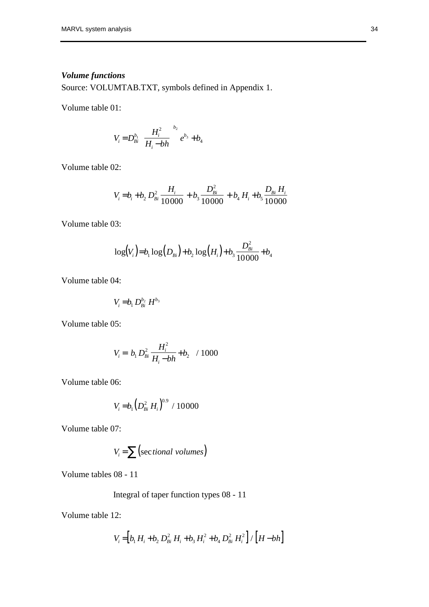## *Volume functions*

Source: VOLUMTAB.TXT, symbols defined in Appendix 1.

Volume table 01:

$$
V_i = D_{Bi}^{b_i} \left[ \frac{H_i^2}{H_i - bh} \right]^{b_2} e^{b_3} + b_4
$$

Volume table 02:

$$
V_i = b_i + b_2 D_{Bi}^2 \frac{H_i}{10000} + b_3 \frac{D_{Bi}^2}{10000} + b_4 H_i + b_5 \frac{D_{Bi} H_i}{10000}
$$

Volume table 03:

$$
\log(V_i) = b_1 \log(D_{Bi}) + b_2 \log(H_i) + b_3 \frac{D_{Bi}^2}{10000} + b_4
$$

Volume table 04:

$$
V_i = b_1 D_{Bi}^{b_2} H^{b_3}
$$

Volume table 05:

$$
V_i = \left[ b_1 D_{Bi}^2 \frac{H_i^2}{H_i - bh} + b_2 \right] / 1000
$$

Volume table 06:

$$
V_i = b_1 \left( D_{Bi}^2 H_i \right)^{0.9} / 10000
$$

Volume table 07:

$$
V_i = \sum \left( \text{sec } t \text{ional } volumes \right)
$$

Volume tables 08 - 11

Integral of taper function types 08 - 11

Volume table 12:

$$
V_i = \left[ b_1 H_i + b_2 D_{Bi}^2 H_i + b_3 H_i^2 + b_4 D_{Bi}^2 H_i^2 \right] / \left[ H - bh \right]
$$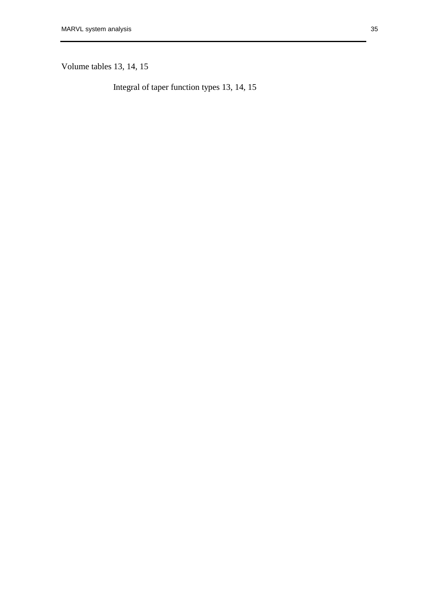Volume tables 13, 14, 15

Integral of taper function types 13, 14, 15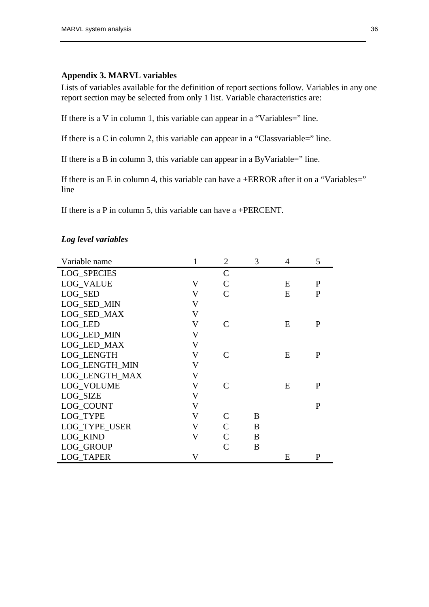## **Appendix 3. MARVL variables**

Lists of variables available for the definition of report sections follow. Variables in any one report section may be selected from only 1 list. Variable characteristics are:

If there is a V in column 1, this variable can appear in a "Variables=" line.

If there is a C in column 2, this variable can appear in a "Classvariable=" line.

If there is a B in column 3, this variable can appear in a ByVariable=" line.

If there is an E in column 4, this variable can have a +ERROR after it on a "Variables=" line

If there is a P in column 5, this variable can have a +PERCENT.

| Variable name         |             | $\overline{2}$ | 3 | $\overline{4}$ | 5              |
|-----------------------|-------------|----------------|---|----------------|----------------|
| <b>LOG_SPECIES</b>    |             | $\mathsf{C}$   |   |                |                |
| LOG_VALUE             | V           | $\mathcal{C}$  |   | E              | ${\bf P}$      |
| LOG_SED               | V           | $\mathcal{C}$  |   | E              | P              |
| LOG_SED_MIN           | V           |                |   |                |                |
| LOG_SED_MAX           | V           |                |   |                |                |
| LOG_LED               | V           | C              |   | E              | P              |
| LOG_LED_MIN           | V           |                |   |                |                |
| LOG_LED_MAX           | V           |                |   |                |                |
| <b>LOG LENGTH</b>     | $\mathbf V$ | $\mathcal{C}$  |   | E              | P              |
| LOG_LENGTH_MIN        | V           |                |   |                |                |
| <b>LOG LENGTH MAX</b> | V           |                |   |                |                |
| LOG_VOLUME            | V           | C              |   | E              | $\mathbf{P}$   |
| LOG_SIZE              | V           |                |   |                |                |
| LOG_COUNT             | V           |                |   |                | $\mathbf{P}$   |
| LOG_TYPE              | V           | $\mathcal{C}$  | B |                |                |
| LOG_TYPE_USER         | V           | $\mathcal{C}$  | B |                |                |
| <b>LOG KIND</b>       | V           | $\mathcal{C}$  | B |                |                |
| LOG_GROUP             |             | $\mathcal{C}$  | B |                |                |
| <b>LOG TAPER</b>      | V           |                |   | E              | $\overline{P}$ |

## *Log level variables*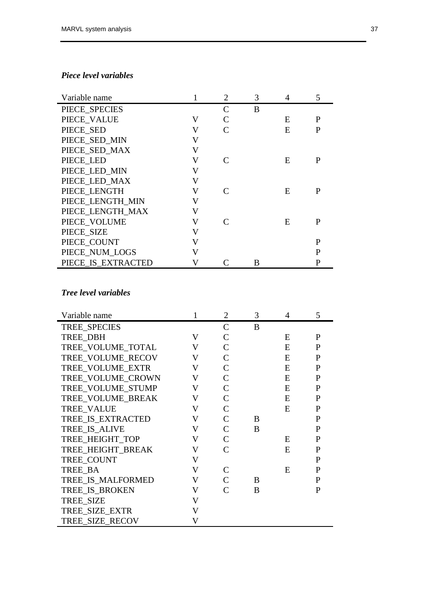# *Piece level variables*

| Variable name      |   | $\mathcal{D}_{\cdot}$       | 3 |   | 5 |
|--------------------|---|-----------------------------|---|---|---|
| PIECE SPECIES      |   | C                           | B |   |   |
| PIECE_VALUE        | V | $\mathcal{C}$               |   | E | P |
| PIECE_SED          | V | $\mathsf{C}$                |   | E | P |
| PIECE_SED_MIN      | V |                             |   |   |   |
| PIECE_SED_MAX      | V |                             |   |   |   |
| PIECE LED          | V | $\mathcal{C}_{\mathcal{C}}$ |   | E | P |
| PIECE_LED_MIN      | V |                             |   |   |   |
| PIECE LED MAX      | V |                             |   |   |   |
| PIECE LENGTH       | V | $\mathcal{C}_{\mathcal{C}}$ |   | E | P |
| PIECE LENGTH MIN   | V |                             |   |   |   |
| PIECE_LENGTH_MAX   | V |                             |   |   |   |
| PIECE_VOLUME       | V | $\subset$                   |   | E | P |
| PIECE_SIZE         | V |                             |   |   |   |
| PIECE_COUNT        | V |                             |   |   | P |
| PIECE NUM LOGS     | V |                             |   |   | P |
| PIECE_IS_EXTRACTED |   |                             | B |   |   |

# *Tree level variables*

| Variable name     | 1            | 2              | 3 | 4 | 5            |
|-------------------|--------------|----------------|---|---|--------------|
| TREE SPECIES      |              | $\mathsf{C}$   | B |   |              |
| <b>TREE DBH</b>   | $\mathbf{V}$ | $\mathsf{C}$   |   | E | $\mathbf{P}$ |
| TREE_VOLUME_TOTAL | V            | $\overline{C}$ |   | E | P            |
| TREE_VOLUME_RECOV | V            | $\overline{C}$ |   | E | $\mathbf{P}$ |
| TREE_VOLUME_EXTR  | V            | $\mathcal{C}$  |   | E | $\mathbf{P}$ |
| TREE VOLUME CROWN | $\mathbf{V}$ | $\overline{C}$ |   | E | $\mathbf{P}$ |
| TREE_VOLUME_STUMP | V            | $\overline{C}$ |   | E | $\mathbf{P}$ |
| TREE_VOLUME_BREAK | V            | $\mathcal{C}$  |   | E | P            |
| <b>TREE_VALUE</b> | V            | $\mathcal{C}$  |   | E | $\mathbf{P}$ |
| TREE IS EXTRACTED | $\mathbf V$  | $\mathcal{C}$  | B |   | $\mathbf{P}$ |
| TREE_IS_ALIVE     | $\mathbf V$  | $\overline{C}$ | B |   | $\mathbf{P}$ |
| TREE HEIGHT TOP   | $\mathbf V$  | $\overline{C}$ |   | E | P            |
| TREE_HEIGHT_BREAK | V            | $\mathcal{C}$  |   | E | $\mathbf{P}$ |
| TREE_COUNT        | V            |                |   |   | $\mathbf{P}$ |
| TREE BA           | V            | C              |   | E | $\mathbf{P}$ |
| TREE_IS_MALFORMED | $\mathbf V$  | $\mathsf{C}$   | B |   | $\mathbf{P}$ |
| TREE_IS_BROKEN    | V            | $\mathcal{C}$  | B |   | $\mathbf{P}$ |
| TREE_SIZE         | V            |                |   |   |              |
| TREE_SIZE_EXTR    | V            |                |   |   |              |
| TREE_SIZE_RECOV   | V            |                |   |   |              |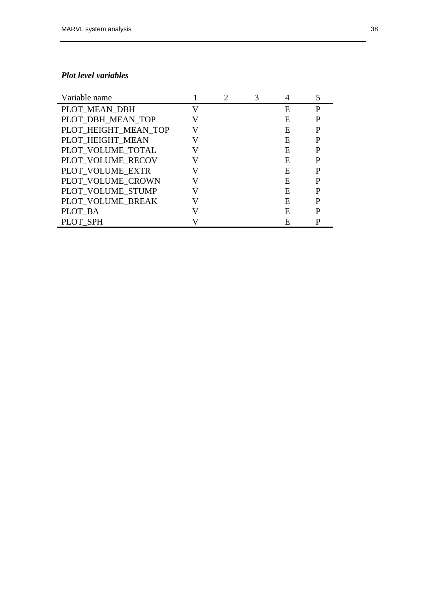## *Plot level variables*

| Variable name        |  |   |   |
|----------------------|--|---|---|
| PLOT MEAN DBH        |  | E | P |
| PLOT DBH MEAN TOP    |  | E | P |
| PLOT_HEIGHT_MEAN_TOP |  | E | P |
| PLOT_HEIGHT_MEAN     |  | E | P |
| PLOT VOLUME TOTAL    |  | E | P |
| PLOT VOLUME RECOV    |  | E | P |
| PLOT_VOLUME_EXTR     |  | E | P |
| PLOT VOLUME CROWN    |  | E | P |
| PLOT VOLUME STUMP    |  | E | P |
| PLOT_VOLUME_BREAK    |  | E | P |
| PLOT_BA              |  | E | P |
| PLOT SPH             |  | E | D |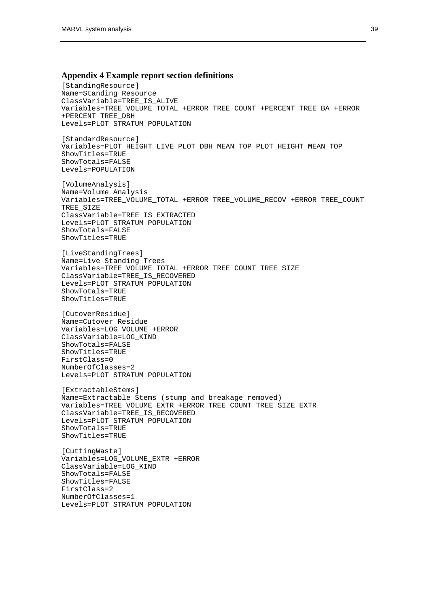#### **Appendix 4 Example report section definitions**

[StandingResource] Name=Standing Resource ClassVariable=TREE\_IS\_ALIVE Variables=TREE\_VOLUME\_TOTAL +ERROR TREE\_COUNT +PERCENT TREE\_BA +ERROR +PERCENT TREE\_DBH Levels=PLOT STRATUM POPULATION

[StandardResource] Variables=PLOT\_HEIGHT\_LIVE\_PLOT\_DBH\_MEAN\_TOP\_PLOT\_HEIGHT\_MEAN\_TOP ShowTitles=TRUE ShowTotals=FALSE Levels=POPULATION

[VolumeAnalysis] Name=Volume Analysis Variables=TREE\_VOLUME\_TOTAL +ERROR TREE\_VOLUME\_RECOV +ERROR TREE\_COUNT TREE\_SIZE ClassVariable=TREE\_IS\_EXTRACTED Levels=PLOT STRATUM POPULATION ShowTotals=FALSE ShowTitles=TRUE

[LiveStandingTrees] Name=Live Standing Trees Variables=TREE\_VOLUME\_TOTAL +ERROR TREE\_COUNT TREE\_SIZE ClassVariable=TREE\_IS\_RECOVERED Levels=PLOT STRATUM POPULATION ShowTotals=TRUE ShowTitles=TRUE

[CutoverResidue] Name=Cutover Residue Variables=LOG\_VOLUME +ERROR ClassVariable=LOG\_KIND ShowTotals=FALSE ShowTitles=TRUE FirstClass=0 NumberOfClasses=2 Levels=PLOT STRATUM POPULATION

[ExtractableStems] Name=Extractable Stems (stump and breakage removed) Variables=TREE\_VOLUME\_EXTR +ERROR TREE\_COUNT TREE\_SIZE\_EXTR ClassVariable=TREE\_IS\_RECOVERED Levels=PLOT STRATUM POPULATION ShowTotals=TRUE ShowTitles=TRUE

[CuttingWaste] Variables=LOG\_VOLUME\_EXTR +ERROR ClassVariable=LOG\_KIND ShowTotals=FALSE ShowTitles=FALSE FirstClass=2 NumberOfClasses=1 Levels=PLOT STRATUM POPULATION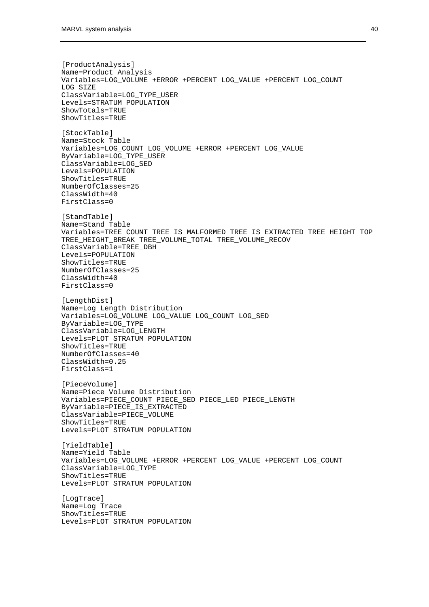[ProductAnalysis] Name=Product Analysis Variables=LOG\_VOLUME +ERROR +PERCENT LOG\_VALUE +PERCENT LOG\_COUNT LOG\_SIZE ClassVariable=LOG\_TYPE\_USER Levels=STRATUM POPULATION ShowTotals=TRUE ShowTitles=TRUE [StockTable] Name=Stock Table Variables=LOG\_COUNT LOG\_VOLUME +ERROR +PERCENT LOG\_VALUE ByVariable=LOG\_TYPE\_USER ClassVariable=LOG\_SED Levels=POPULATION ShowTitles=TRUE NumberOfClasses=25 ClassWidth=40 FirstClass=0 [StandTable] Name=Stand Table Variables=TREE\_COUNT TREE\_IS\_MALFORMED TREE\_IS\_EXTRACTED TREE\_HEIGHT\_TOP TREE\_HEIGHT\_BREAK TREE\_VOLUME\_TOTAL TREE\_VOLUME\_RECOV ClassVariable=TREE\_DBH Levels=POPULATION ShowTitles=TRUE NumberOfClasses=25 ClassWidth=40 FirstClass=0 [LengthDist] Name=Log Length Distribution Variables=LOG\_VOLUME LOG\_VALUE LOG\_COUNT LOG\_SED ByVariable=LOG\_TYPE ClassVariable=LOG\_LENGTH Levels=PLOT STRATUM POPULATION ShowTitles=TRUE NumberOfClasses=40 ClassWidth=0.25 FirstClass=1 [PieceVolume] Name=Piece Volume Distribution Variables=PIECE\_COUNT PIECE\_SED PIECE\_LED PIECE\_LENGTH ByVariable=PIECE\_IS\_EXTRACTED ClassVariable=PIECE\_VOLUME ShowTitles=TRUE Levels=PLOT STRATUM POPULATION [YieldTable] Name=Yield Table Variables=LOG\_VOLUME +ERROR +PERCENT LOG\_VALUE +PERCENT LOG\_COUNT ClassVariable=LOG\_TYPE ShowTitles=TRUE Levels=PLOT STRATUM POPULATION [LogTrace] Name=Log Trace ShowTitles=TRUE Levels=PLOT STRATUM POPULATION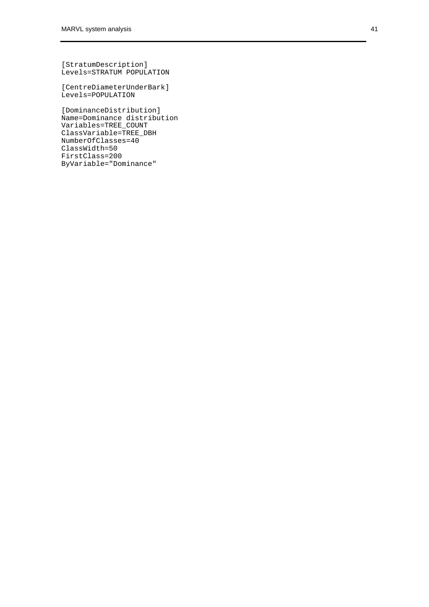[StratumDescription] Levels=STRATUM POPULATION

[CentreDiameterUnderBark] Levels=POPULATION

[DominanceDistribution] Name=Dominance distribution Variables=TREE\_COUNT ClassVariable=TREE\_DBH NumberOfClasses=40 ClassWidth=50 FirstClass=200 ByVariable="Dominance"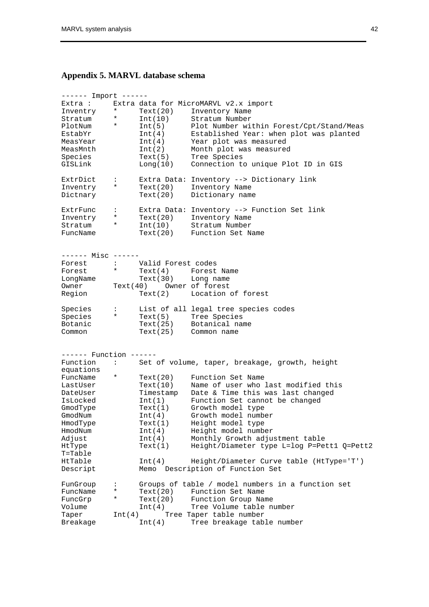## **Appendix 5. MARVL database schema**

| $--- - $ Import ------ |                             |                                |                                                            |
|------------------------|-----------------------------|--------------------------------|------------------------------------------------------------|
| Extra:                 |                             |                                | Extra data for MicroMARVL v2.x import                      |
| Inventry               | $\star$                     | Text(20)                       | Inventory Name                                             |
| Stratum                | $\star$                     | Int(10)                        | Stratum Number                                             |
| PlotNum                | $\ast$                      | Int(5)                         | Stratum Number<br>Plot Number within Forest/Cpt/Stand/Meas |
| EstabYr                |                             | Int(4)                         | Established Year: when plot was planted                    |
| MeasYear               |                             | Int(4)                         | Year plot was measured                                     |
| MeasMnth               |                             | Int(2)                         | Month plot was measured                                    |
| Species                |                             | Text(5)                        | Tree Species                                               |
| GISLink                |                             | Long(10)                       | Connection to unique Plot ID in GIS                        |
|                        |                             |                                |                                                            |
| ExtrDict               | $\sim$ 100 $\sim$           |                                | Extra Data: Inventory --> Dictionary link                  |
| Inventry               | $\ast$                      | Text(20)                       | Inventory Name                                             |
| Dictnary               |                             | Text(20)                       | Dictionary name                                            |
|                        |                             |                                |                                                            |
| ExtrFunc               | $\sim 100$                  |                                | Extra Data: Inventory --> Function Set link                |
| Inventry               | $\star$                     |                                | Text(20) Inventory Name                                    |
| Stratum                | $\star$                     |                                | Int(10) Stratum Number                                     |
| FuncName               |                             |                                | Text(20) Function Set Name                                 |
|                        |                             |                                |                                                            |
|                        |                             |                                |                                                            |
| $--- - -$ Misc $--- -$ |                             |                                |                                                            |
| Forest                 |                             | : Valid Forest codes           |                                                            |
| Forest                 |                             | * Text(4) Forest Name          |                                                            |
| LongName               |                             | Text(30) Long name             |                                                            |
|                        |                             | Owner Text(40) Owner of forest |                                                            |
| Region                 |                             |                                | Text(2) Location of forest                                 |
|                        |                             |                                |                                                            |
| Species                | $\sim 10^{11}$ km s $^{-1}$ |                                | List of all legal tree species codes                       |
| Species                | $\star$                     |                                | Text(5) Tree Species                                       |
| Botanic                |                             |                                | Text(25) Botanical name                                    |
| Common                 |                             | Text (25) Common name          |                                                            |
|                        |                             |                                |                                                            |
|                        |                             |                                |                                                            |
| $----$ Function $----$ |                             |                                |                                                            |
| Function               |                             |                                | : Set of volume, taper, breakage, growth, height           |
| equations              |                             |                                |                                                            |
| FuncName               | $\star$                     | Text(20)                       | Function Set Name                                          |
| LastUser               |                             | Text(10)                       | Name of user who last modified this                        |
| DateUser               |                             | Timestamp                      | Date & Time this was last changed                          |
| IsLocked               |                             | Int(1)                         | Function Set cannot be changed                             |
| GmodType               |                             | Text(1)                        | Growth model type                                          |
| GmodNum                |                             |                                | Int(4) Growth model number                                 |
| HmodType               |                             | Text(1)                        | Height model type                                          |
| HmodNum                |                             | Int(4)                         | Height model number                                        |
| Adjust                 |                             | Int(4)                         | Monthly Growth adjustment table                            |
| HtType                 |                             | Text(1)                        | Height/Diameter type L=log P=Pett1 Q=Pett2                 |
| $T = Table$            |                             |                                |                                                            |
| HtTable                |                             | Int(4)                         | Height/Diameter Curve table (HtType='T')                   |
| Descript               |                             |                                | Memo Description of Function Set                           |
|                        |                             |                                |                                                            |
| FunGroup               | $\ddot{\phantom{a}}$        |                                | Groups of table / model numbers in a function set          |
| FuncName               | *                           | Text(20)                       | Function Set Name                                          |
| FuncGrp                | ¥                           | Text(20)                       | Function Group Name                                        |
| Volume                 |                             | Int(4)                         | Tree Volume table number                                   |
| Taper                  | Int(4)                      |                                | Tree Taper table number                                    |
| Breakage               |                             | Int(4)                         | Tree breakage table number                                 |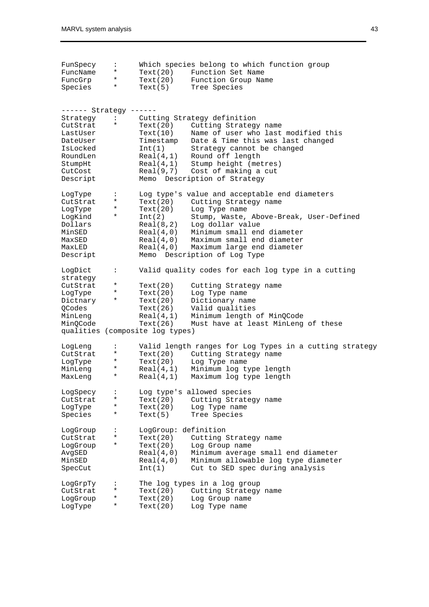| FunSpecy<br>FuncName<br>FuncGrp<br>Species | $\ddot{\phantom{a}}$<br>$\star$<br>$\ast$<br>$\ast$ | Text(20)                        | Which species belong to which function group<br>Text(20) Function Set Name<br>Function Group Name<br>Text(5) Tree Species |
|--------------------------------------------|-----------------------------------------------------|---------------------------------|---------------------------------------------------------------------------------------------------------------------------|
| $--- $ Strategy $--- $                     |                                                     |                                 |                                                                                                                           |
| Strategy                                   | $\mathbf{L}$                                        |                                 | Cutting Strategy definition                                                                                               |
| CutStrat                                   | $^\star$                                            | Text(20)                        | Cutting Strategy name                                                                                                     |
| LastUser                                   |                                                     | Text(10)                        | Name of user who last modified this                                                                                       |
| DateUser                                   |                                                     |                                 | Timestamp Date & Time this was last changed                                                                               |
| IsLocked                                   |                                                     | Int(1)                          | Strategy cannot be changed                                                                                                |
| RoundLen                                   |                                                     |                                 | Real(4,1) Round off length                                                                                                |
| StumpHt                                    |                                                     |                                 | Real(4,1) Stump height (metres)                                                                                           |
| CutCost                                    |                                                     |                                 | Real(9,7) Cost of making a cut                                                                                            |
| Descript                                   |                                                     |                                 | Memo Description of Strategy                                                                                              |
| LogType                                    | $\mathbf{L}$                                        |                                 | Log type's value and acceptable end diameters                                                                             |
| CutStrat                                   | $\star$                                             | Text(20)                        | Cutting Strategy name                                                                                                     |
| LoqType                                    | $\star$                                             | Text(20)                        | Log Type name                                                                                                             |
| LogKind                                    | $\star$                                             | Int(2)                          | Stump, Waste, Above-Break, User-Defined                                                                                   |
| Dollars                                    |                                                     |                                 | Real(8,2) Log dollar value                                                                                                |
| MinSED                                     |                                                     |                                 | Real(4,0) Minimum small end diameter<br>Real(4,0) Maximum small end diameter                                              |
| MaxSED                                     |                                                     |                                 |                                                                                                                           |
| MaxLED                                     |                                                     | Real(4,0)                       | Maximum large end diameter                                                                                                |
| Descript                                   |                                                     |                                 | Memo Description of Log Type                                                                                              |
| LogDict                                    | $\mathcal{Z}^{\mathcal{A}}$                         |                                 | Valid quality codes for each log type in a cutting                                                                        |
| strategy                                   |                                                     |                                 |                                                                                                                           |
| CutStrat                                   | $\star$                                             | Text(20)                        | Cutting Strategy name                                                                                                     |
| LogType                                    | $\star$                                             | Text(20)                        | Log Type name                                                                                                             |
| Dictnary                                   | $\star$                                             | Text(20)                        | Dictionary name                                                                                                           |
| QCodes<br>MinLeng                          |                                                     | Text (26)                       | Valid qualities<br>Real(4,1) Minimum length of MinQCode                                                                   |
| MinQCode                                   |                                                     | Text(26)                        | Must have at least MinLeng of these                                                                                       |
|                                            |                                                     | qualities (composite log types) |                                                                                                                           |
|                                            |                                                     |                                 |                                                                                                                           |
| LogLeng                                    | $\ddot{\phantom{a}}$                                |                                 | Valid length ranges for Log Types in a cutting strategy                                                                   |
| CutStrat                                   | $\star$<br>$\star$                                  |                                 | Text(20) Cutting Strategy name                                                                                            |
| LogType                                    | $^\star$                                            | Text(20)                        | Log Type name<br>$Real(4,1)$ Minimum log type length                                                                      |
| MinLeng<br>MaxLeng                         | $\ast$                                              | Real(4,1)                       | Maximum log type length                                                                                                   |
|                                            |                                                     |                                 |                                                                                                                           |
| LogSpecy                                   | $\ddot{\cdot}$                                      |                                 | Log type's allowed species                                                                                                |
| CutStrat                                   | $^\star$                                            | Text(20)                        | Cutting Strategy name                                                                                                     |
| LogType                                    | $^\star$                                            | Text(20)                        | Log Type name                                                                                                             |
| Species                                    | *                                                   | Text(5)                         | Tree Species                                                                                                              |
| LogGroup                                   | $\ddot{\cdot}$                                      | LogGroup: definition            |                                                                                                                           |
| CutStrat                                   | *                                                   | Text(20)                        | Cutting Strategy name                                                                                                     |
| LogGroup                                   | *                                                   | Text(20)                        | Log Group name                                                                                                            |
| AvgSED                                     |                                                     | Real(4,0)                       | Minimum average small end diameter                                                                                        |
| MinSED                                     |                                                     | Real(4,0)                       | Minimum allowable log type diameter                                                                                       |
| SpecCut                                    |                                                     | Int(1)                          | Cut to SED spec during analysis                                                                                           |
| LogGrpTy                                   | $\ddot{\phantom{a}}$                                |                                 | The log types in a log group                                                                                              |
| CutStrat                                   | *                                                   | Text(20)                        | Cutting Strategy name                                                                                                     |
| LogGroup                                   | *                                                   | Text(20)                        | Log Group name                                                                                                            |
| LogType                                    | *                                                   | Text(20)                        | Log Type name                                                                                                             |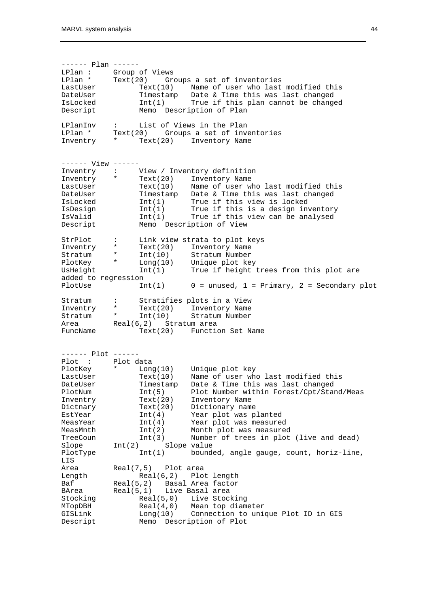------ Plan ------ LPlan : Group of Views<br>LPlan \* Text(20) Group  $Text(20)$  Groups a set of inventories LastUser Text(10) Name of user who last modified this DateUser Timestamp Date & Time this was last changed IsLocked Int(1) True if this plan cannot be changed Descript Memo Description of Plan LPlanInv : List of Views in the Plan<br>
LPlan \* Text(20) Croups a set of inve LPlan \* Text(20) Groups a set of inventories<br>Thyentry \* Text(20) Inventory Name Inventry \* Text(20) Inventory Name ------ View ------ Inventry : View / Inventory definition<br>Inventry \* Text(20) Inventory Name Inventry \* Text(20) Inventory Name LastUser Text(10) Name of user who last modified this DateUser Timestamp Date & Time this was last changed IsLocked Int(1) True if this view is locked IsDesign Int(1) True if this is a design inventory IsValid Int(1) True if this view can be analysed Descript Memo Description of View Link view strata to plot keys Inventry \* Text(20) Inventory Name<br>Stratum \* Int(10) Stratum Number Stratum \* Interpretational<br>Stratum Number PlotKey \* Long(10) Unique plot key UsHeight Int(1) True if height trees from this plot are added to regression PlotUse Int(1) 0 = unused, 1 = Primary, 2 = Secondary plot Stratum : Stratifies plots in a View<br>Inventry \* Text(20) Inventory Name Inventry \* Text(20) Inventory Name<br>Stratum \* Int(10) Stratum Number Stratum Number Area Real(6,2) Stratum area FuncName Text(20) Function Set Name ------ Plot ------ Plot : Plot data<br>PlotKey \* Long PlotKey \* Long(10) Unique plot key LastUser Text(10) Name of user who last modified this DateUser Timestamp Date & Time this was last changed PlotNum Int(5) Plot Number within Forest/Cpt/Stand/Meas PlotNum  $\begin{array}{ccc}\n\text{Hul}(3) & \text{Hul}(3) \\
\text{Iwentry} & \text{Text}(20) & \text{Inventory Name} \\
\text{Dichary} & \text{Text}(20) & \text{Dictionary nam}\n\end{array}$ Dictnary Text(20) Dictionary name EstYear Int(4) Year plot was planted MeasYear Int(4) Year plot was measured MeasMnth Int(2) Month plot was measured<br>TreeCoun Int(3) Number of trees in plot TreeCoun Int(3) Number of trees in plot (live and dead)<br>Slope Int(2) Slope value Slope Int(2) Slope value<br>PlotType Int(1) bound bounded, angle gauge, count, horiz-line, LIS Area Real(7,5) Plot area Length Real(6,2) Plot length Baf Real(5,2) Basal Area factor<br>BArea Real(5,1) Live Basal area<br>Stecking BArea Real(5,1) Live Basal area<br>Stocking Real(5,0) Live Stocl Stocking Real(5,0) Live Stocking<br>MTopDBH Real(4,0) Mean top diam MTopDBH Real(4,0) Mean top diameter GISLink Long(10) Connection to unique Plot ID in GIS Descript Memo Description of Plot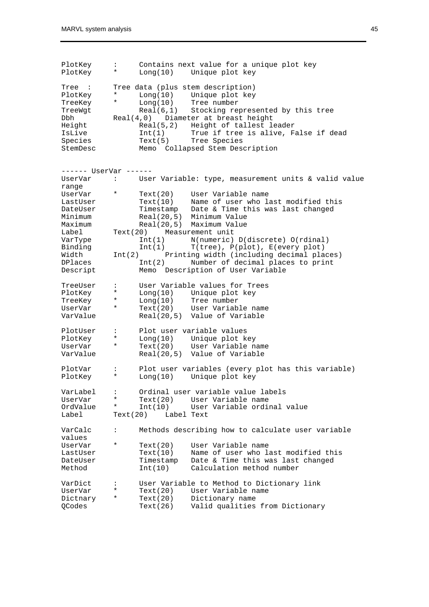PlotKey : Contains next value for a unique plot key PlotKey \* Long(10) Unique plot key Tree : Tree data (plus stem description) PlotKey \* Long(10) Unique plot key TreeKey \* Long(10) Tree number TreeWgt  $Real(6,1)$  Stocking represented by this tree<br>
Dbh  $Real(4,0)$  Diameter at breast height Dbh Real(4,0) Diameter at breast height<br>Height Real(5,2) Height of tallest lost Real(5,2) Height of tallest leader IsLive Int(1) True if tree is alive, False if dead Species Text(5) Tree Species StemDesc Memo Collapsed Stem Description ------ UserVar ------ User Variable: type, measurement units & valid value range<br>UserVar UserVar \* Text(20) User Variable name<br>LastUser Text(10) Name of user who l LastUser Text(10) Name of user who last modified this<br>DateUser Timestamp Date & Time this was last changed Timestamp Date & Time this was last changed Minimum Real(20,5) Minimum Value Maximum Real(20,5) Maximum Value Label Text(20) Measurement unit VarType Int(1) N(numeric) D(discrete) O(rdinal)<br>Binding Int(1) T(tree), P(plot), E(every plot) Binding Int(1) T(tree), P(plot), E(every plot)<br>Width Int(2) Printing width (including decimal pla Width Int(2) Printing width (including decimal places)<br>DPlaces Int(2) Number of decimal places to print  $Int(2)$  Number of decimal places to print Descript Memo Description of User Variable TreeUser : User Variable values for Trees<br>PlotKey \* Long(10) Unique plot key PlotKey \* Long(10) Unique plot key<br>TreeKey \* Long(10) Tree number TreeKey \* Long(10) Tree number<br>UserVar \* Text(20) User Variab Text(20) User Variable name VarValue Real(20,5) Value of Variable PlotUser : Plot user variable values<br>PlotKey \* Long(10) Unique plot k PlotKey \* Long(10) Unique plot key UserVar \* Text(20) User Variable name VarValue Real(20,5) Value of Variable PlotVar : Plot user variables (every plot has this variable)<br>PlotKev \* Long(10) Unique plot key  $Long(10)$  Unique plot key VarLabel : Ordinal user variable value labels<br>UserVar \* Text(20) User Variable name UserVar \* Text(20) User Variable name<br>OrdValue \* Int(10) User Variable ordin Int(10) User Variable ordinal value Label Text(20) Label Text VarCalc : Methods describing how to calculate user variable values<br>UserVar UserVar \* Text(20) User Variable name<br>LastUser Text(10) Name of user who la Name of user who last modified this DateUser Timestamp Date & Time this was last changed<br>Method Tht(10) Calculation method number Calculation method number VarDict : User Variable to Method to Dictionary link UserVar \* Text(20) User Variable name<br>Dictnary \* Text(20) Dictionary name Dictnary \* Text(20) Dictionary name QCodes Text(26) Valid qualities from Dictionary